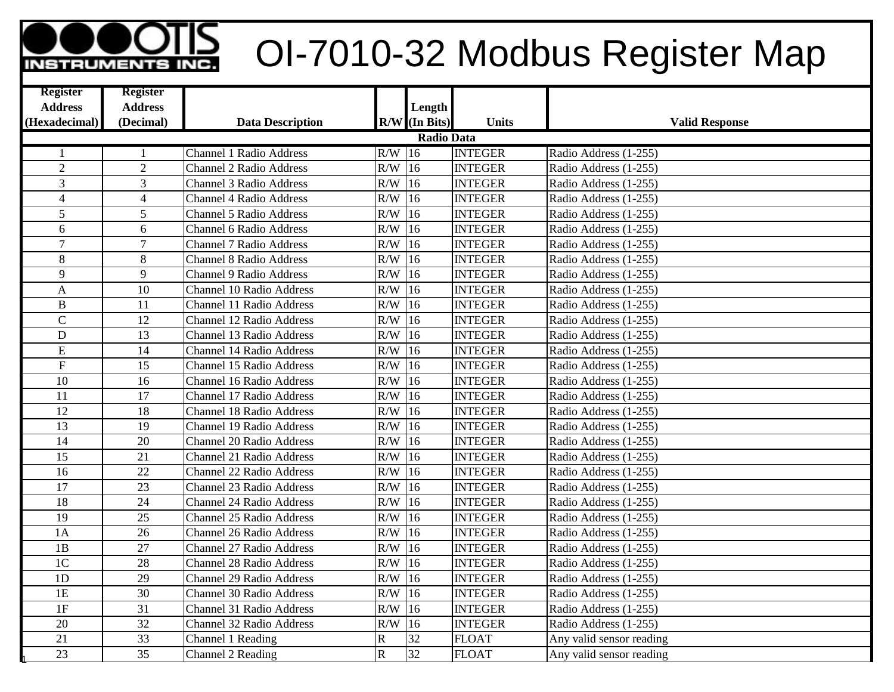## OI-7010-32 Modbus Register Map

| <b>Register</b>   | <b>Register</b> |                                 |             |                 |                |                          |  |  |  |
|-------------------|-----------------|---------------------------------|-------------|-----------------|----------------|--------------------------|--|--|--|
| <b>Address</b>    | <b>Address</b>  |                                 |             | Length          |                |                          |  |  |  |
| (Hexadecimal)     | (Decimal)       | <b>Data Description</b>         |             | $R/W$ (In Bits) | <b>Units</b>   | <b>Valid Response</b>    |  |  |  |
| <b>Radio Data</b> |                 |                                 |             |                 |                |                          |  |  |  |
| -1                | $\mathbf{1}$    | <b>Channel 1 Radio Address</b>  | $R/W$ 16    |                 | <b>INTEGER</b> | Radio Address (1-255)    |  |  |  |
| $\overline{2}$    | $\overline{2}$  | Channel 2 Radio Address         | R/W         | $\sqrt{16}$     | <b>INTEGER</b> | Radio Address (1-255)    |  |  |  |
| 3                 | $\overline{3}$  | <b>Channel 3 Radio Address</b>  | R/W         | 16              | <b>INTEGER</b> | Radio Address (1-255)    |  |  |  |
| $\overline{4}$    | $\overline{4}$  | <b>Channel 4 Radio Address</b>  | R/W         | 16              | <b>INTEGER</b> | Radio Address (1-255)    |  |  |  |
| 5                 | 5               | <b>Channel 5 Radio Address</b>  | R/W         | 16              | <b>INTEGER</b> | Radio Address (1-255)    |  |  |  |
| 6                 | 6               | <b>Channel 6 Radio Address</b>  | R/W         | 16              | <b>INTEGER</b> | Radio Address (1-255)    |  |  |  |
| $\overline{7}$    | $\overline{7}$  | <b>Channel 7 Radio Address</b>  | R/W         | 16              | <b>INTEGER</b> | Radio Address (1-255)    |  |  |  |
| 8                 | 8               | <b>Channel 8 Radio Address</b>  | R/W         | 16              | <b>INTEGER</b> | Radio Address (1-255)    |  |  |  |
| 9                 | 9               | <b>Channel 9 Radio Address</b>  | R/W         | 16              | <b>INTEGER</b> | Radio Address (1-255)    |  |  |  |
| A                 | 10              | <b>Channel 10 Radio Address</b> | R/W         | $ 16\rangle$    | <b>INTEGER</b> | Radio Address (1-255)    |  |  |  |
| $\, {\bf B}$      | 11              | <b>Channel 11 Radio Address</b> | R/W         | 16              | <b>INTEGER</b> | Radio Address (1-255)    |  |  |  |
| $\mathbf C$       | 12              | <b>Channel 12 Radio Address</b> | $R/W$ 16    |                 | <b>INTEGER</b> | Radio Address (1-255)    |  |  |  |
| D                 | 13              | <b>Channel 13 Radio Address</b> | $R/W$ 16    |                 | <b>INTEGER</b> | Radio Address (1-255)    |  |  |  |
| E                 | 14              | <b>Channel 14 Radio Address</b> | $R/W$ 16    |                 | <b>INTEGER</b> | Radio Address (1-255)    |  |  |  |
| F                 | 15              | <b>Channel 15 Radio Address</b> | R/W         | 16              | <b>INTEGER</b> | Radio Address (1-255)    |  |  |  |
| 10                | 16              | <b>Channel 16 Radio Address</b> | R/W         | 16              | <b>INTEGER</b> | Radio Address (1-255)    |  |  |  |
| 11                | 17              | <b>Channel 17 Radio Address</b> | R/W         | 16              | <b>INTEGER</b> | Radio Address (1-255)    |  |  |  |
| 12                | 18              | <b>Channel 18 Radio Address</b> | R/W         | 16              | <b>INTEGER</b> | Radio Address (1-255)    |  |  |  |
| 13                | 19              | <b>Channel 19 Radio Address</b> | R/W         | 16              | <b>INTEGER</b> | Radio Address (1-255)    |  |  |  |
| 14                | 20              | <b>Channel 20 Radio Address</b> | R/W         | 16              | <b>INTEGER</b> | Radio Address (1-255)    |  |  |  |
| 15                | 21              | <b>Channel 21 Radio Address</b> | R/W         | 16              | <b>INTEGER</b> | Radio Address (1-255)    |  |  |  |
| 16                | $\overline{22}$ | <b>Channel 22 Radio Address</b> | R/W         | 16              | <b>INTEGER</b> | Radio Address (1-255)    |  |  |  |
| 17                | 23              | <b>Channel 23 Radio Address</b> | R/W         | 16              | <b>INTEGER</b> | Radio Address (1-255)    |  |  |  |
| $\overline{18}$   | 24              | <b>Channel 24 Radio Address</b> | $R/W$ 16    |                 | <b>INTEGER</b> | Radio Address (1-255)    |  |  |  |
| 19                | 25              | <b>Channel 25 Radio Address</b> | $R/W$ 16    |                 | <b>INTEGER</b> | Radio Address (1-255)    |  |  |  |
| 1A                | 26              | <b>Channel 26 Radio Address</b> | $R/W$ 16    |                 | <b>INTEGER</b> | Radio Address (1-255)    |  |  |  |
| 1B                | 27              | <b>Channel 27 Radio Address</b> | $R/W$ 16    |                 | <b>INTEGER</b> | Radio Address (1-255)    |  |  |  |
| 1 <sup>C</sup>    | 28              | <b>Channel 28 Radio Address</b> | R/W         | 16              | <b>INTEGER</b> | Radio Address (1-255)    |  |  |  |
| 1D                | $\overline{29}$ | <b>Channel 29 Radio Address</b> | R/W         | 16              | <b>INTEGER</b> | Radio Address (1-255)    |  |  |  |
| 1E                | 30              | <b>Channel 30 Radio Address</b> | R/W         | 16              | <b>INTEGER</b> | Radio Address (1-255)    |  |  |  |
| 1F                | 31              | Channel 31 Radio Address        | R/W         | 16              | <b>INTEGER</b> | Radio Address (1-255)    |  |  |  |
| 20                | 32              | <b>Channel 32 Radio Address</b> | R/W         | 16              | <b>INTEGER</b> | Radio Address (1-255)    |  |  |  |
| 21                | 33              | Channel 1 Reading               | $\mathbf R$ | 32              | <b>FLOAT</b>   | Any valid sensor reading |  |  |  |
| 23                | 35              | Channel 2 Reading               | $\mathbf R$ | 32              | <b>FLOAT</b>   | Any valid sensor reading |  |  |  |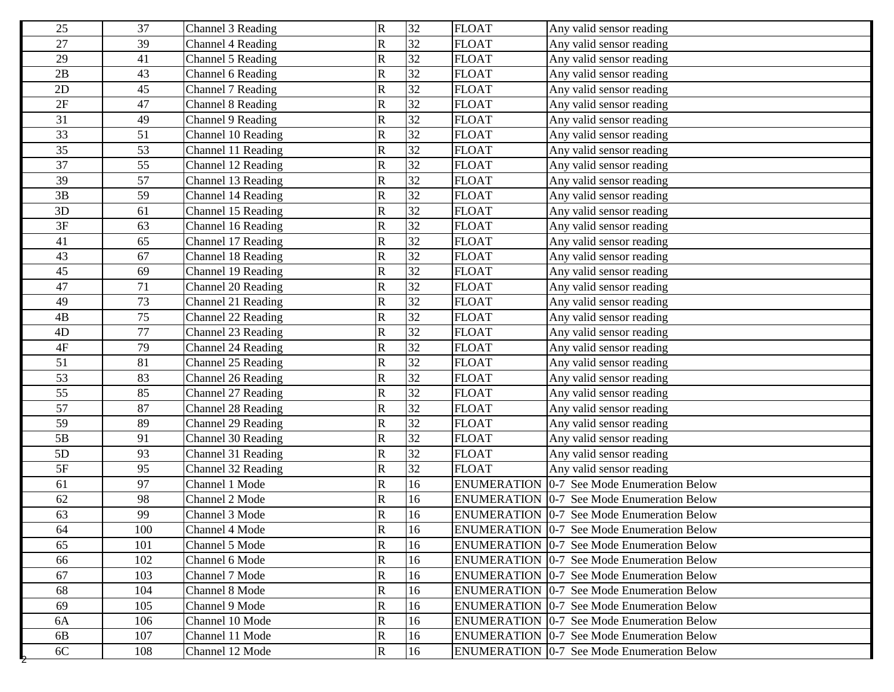| 25              | 37  | Channel 3 Reading  | $\mathbf R$             | 32 | <b>FLOAT</b> | Any valid sensor reading                          |
|-----------------|-----|--------------------|-------------------------|----|--------------|---------------------------------------------------|
| 27              | 39  | Channel 4 Reading  | R                       | 32 | <b>FLOAT</b> | Any valid sensor reading                          |
| 29              | 41  | Channel 5 Reading  | $\mathsf{R}% _{T}$      | 32 | <b>FLOAT</b> | Any valid sensor reading                          |
| 2B              | 43  | Channel 6 Reading  | ${\bf R}$               | 32 | <b>FLOAT</b> | Any valid sensor reading                          |
| 2D              | 45  | Channel 7 Reading  | $\mathbf R$             | 32 | <b>FLOAT</b> | Any valid sensor reading                          |
| 2F              | 47  | Channel 8 Reading  | $\mathbf R$             | 32 | <b>FLOAT</b> | Any valid sensor reading                          |
| 31              | 49  | Channel 9 Reading  | $\mathbf R$             | 32 | <b>FLOAT</b> | Any valid sensor reading                          |
| 33              | 51  | Channel 10 Reading | ${\bf R}$               | 32 | <b>FLOAT</b> | Any valid sensor reading                          |
| 35              | 53  | Channel 11 Reading | ${\bf R}$               | 32 | <b>FLOAT</b> | Any valid sensor reading                          |
| $\overline{37}$ | 55  | Channel 12 Reading | $\mathbf R$             | 32 | <b>FLOAT</b> | Any valid sensor reading                          |
| 39              | 57  | Channel 13 Reading | R                       | 32 | <b>FLOAT</b> | Any valid sensor reading                          |
| 3B              | 59  | Channel 14 Reading | ${\bf R}$               | 32 | <b>FLOAT</b> | Any valid sensor reading                          |
| 3D              | 61  | Channel 15 Reading | $\mathbf R$             | 32 | <b>FLOAT</b> | Any valid sensor reading                          |
| 3F              | 63  | Channel 16 Reading | $\mathbf R$             | 32 | <b>FLOAT</b> | Any valid sensor reading                          |
| 41              | 65  | Channel 17 Reading | $\mathsf{R}% _{T}$      | 32 | <b>FLOAT</b> | Any valid sensor reading                          |
| 43              | 67  | Channel 18 Reading | ${\bf R}$               | 32 | <b>FLOAT</b> | Any valid sensor reading                          |
| 45              | 69  | Channel 19 Reading | ${\bf R}$               | 32 | <b>FLOAT</b> | Any valid sensor reading                          |
| 47              | 71  | Channel 20 Reading | ${\bf R}$               | 32 | <b>FLOAT</b> | Any valid sensor reading                          |
| 49              | 73  | Channel 21 Reading | ${\bf R}$               | 32 | <b>FLOAT</b> | Any valid sensor reading                          |
| 4B              | 75  | Channel 22 Reading | $\overline{\mathsf{R}}$ | 32 | <b>FLOAT</b> | Any valid sensor reading                          |
| 4D              | 77  | Channel 23 Reading | ${\bf R}$               | 32 | <b>FLOAT</b> | Any valid sensor reading                          |
| $4F$            | 79  | Channel 24 Reading | R                       | 32 | <b>FLOAT</b> | Any valid sensor reading                          |
| 51              | 81  | Channel 25 Reading | R                       | 32 | <b>FLOAT</b> | Any valid sensor reading                          |
| 53              | 83  | Channel 26 Reading | $\mathsf{R}% _{T}$      | 32 | <b>FLOAT</b> | Any valid sensor reading                          |
| 55              | 85  | Channel 27 Reading | ${\bf R}$               | 32 | <b>FLOAT</b> | Any valid sensor reading                          |
| 57              | 87  | Channel 28 Reading | R                       | 32 | <b>FLOAT</b> | Any valid sensor reading                          |
| 59              | 89  | Channel 29 Reading | $\mathbf R$             | 32 | <b>FLOAT</b> | Any valid sensor reading                          |
| 5B              | 91  | Channel 30 Reading | ${\bf R}$               | 32 | <b>FLOAT</b> | Any valid sensor reading                          |
| 5D              | 93  | Channel 31 Reading | ${\bf R}$               | 32 | <b>FLOAT</b> | Any valid sensor reading                          |
| 5F              | 95  | Channel 32 Reading | ${\bf R}$               | 32 | <b>FLOAT</b> | Any valid sensor reading                          |
| 61              | 97  | Channel 1 Mode     | $\mathbf R$             | 16 |              | <b>ENUMERATION 0-7 See Mode Enumeration Below</b> |
| 62              | 98  | Channel 2 Mode     | $\mathsf{R}% _{T}$      | 16 |              | <b>ENUMERATION 0-7 See Mode Enumeration Below</b> |
| 63              | 99  | Channel 3 Mode     | $\mathbf R$             | 16 |              | <b>ENUMERATION 0-7 See Mode Enumeration Below</b> |
| 64              | 100 | Channel 4 Mode     | R                       | 16 |              | <b>ENUMERATION 0-7 See Mode Enumeration Below</b> |
| 65              | 101 | Channel 5 Mode     | $\overline{\mathsf{R}}$ | 16 |              | <b>ENUMERATION 0-7 See Mode Enumeration Below</b> |
| 66              | 102 | Channel 6 Mode     | ${\bf R}$               | 16 |              | <b>ENUMERATION 0-7 See Mode Enumeration Below</b> |
| 67              | 103 | Channel 7 Mode     | $\mathbf R$             | 16 |              | <b>ENUMERATION 0-7 See Mode Enumeration Below</b> |
| 68              | 104 | Channel 8 Mode     | $\mathbf R$             | 16 |              | <b>ENUMERATION 0-7 See Mode Enumeration Below</b> |
| 69              | 105 | Channel 9 Mode     | $\mathbf R$             | 16 |              | <b>ENUMERATION 0-7 See Mode Enumeration Below</b> |
| 6A              | 106 | Channel 10 Mode    | R                       | 16 |              | <b>ENUMERATION 0-7 See Mode Enumeration Below</b> |
| 6B              | 107 | Channel 11 Mode    | $\mathbf R$             | 16 |              | <b>ENUMERATION 0-7 See Mode Enumeration Below</b> |
| $6C$            | 108 | Channel 12 Mode    | $\mathbf R$             | 16 |              | <b>ENUMERATION 0-7 See Mode Enumeration Below</b> |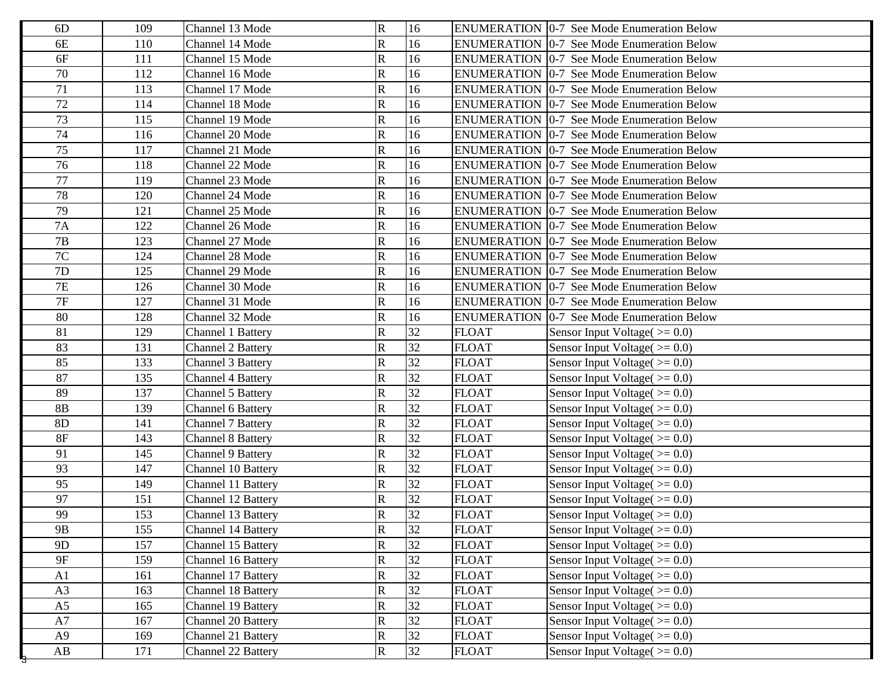| R<br>16<br><b>ENUMERATION 0-7 See Mode Enumeration Below</b><br>6E<br>110<br>Channel 14 Mode<br>6F<br>R<br>16<br><b>ENUMERATION 0-7 See Mode Enumeration Below</b><br>111<br>Channel 15 Mode<br>70<br>R<br>16<br>112<br>Channel 16 Mode<br><b>ENUMERATION 0-7 See Mode Enumeration Below</b><br>R<br>71<br>16<br><b>ENUMERATION 0-7 See Mode Enumeration Below</b><br>113<br>Channel 17 Mode<br>$72\,$<br>R<br>16<br>ENUMERATION 0-7 See Mode Enumeration Below<br>114<br>Channel 18 Mode<br>73<br>R<br>16<br><b>ENUMERATION</b> 0-7 See Mode Enumeration Below<br>115<br>Channel 19 Mode<br>74<br>R<br>16<br>116<br>Channel 20 Mode<br><b>ENUMERATION 0-7 See Mode Enumeration Below</b><br>75<br>R<br>16<br>117<br><b>ENUMERATION 0-7 See Mode Enumeration Below</b><br>Channel 21 Mode<br>$\overline{76}$<br>$\mathbf R$<br>16<br>118<br>Channel 22 Mode<br><b>ENUMERATION 0-7 See Mode Enumeration Below</b><br>77<br>$\mathbf R$<br>16<br><b>ENUMERATION 0-7 See Mode Enumeration Below</b><br>119<br>Channel 23 Mode<br>78<br>$\mathbf R$<br>Channel 24 Mode<br>16<br><b>ENUMERATION 0-7 See Mode Enumeration Below</b><br>120<br>79<br>${\bf R}$<br>16<br>ENUMERATION 0-7 See Mode Enumeration Below<br>121<br>Channel 25 Mode<br>7A<br>$\mathbf R$<br>Channel 26 Mode<br>16<br><b>ENUMERATION 0-7 See Mode Enumeration Below</b><br>122<br>$\mathbf R$<br>7B<br>16<br>123<br>Channel 27 Mode<br><b>ENUMERATION 0-7 See Mode Enumeration Below</b><br>$7\mathrm{C}$<br>R<br>124<br>Channel 28 Mode<br>16<br><b>ENUMERATION 0-7 See Mode Enumeration Below</b><br>$\mathbf R$<br>16<br>7D<br>125<br>Channel 29 Mode<br><b>ENUMERATION 0-7 See Mode Enumeration Below</b><br>$7\mathrm{E}$<br>${\bf R}$<br>Channel 30 Mode<br>16<br><b>ENUMERATION 0-7 See Mode Enumeration Below</b><br>126<br>$7\mathrm{F}$<br>$\mathbf R$<br>16<br>Channel 31 Mode<br><b>ENUMERATION 0-7 See Mode Enumeration Below</b><br>127<br>80<br>${\bf R}$<br>16<br>128<br>Channel 32 Mode<br><b>ENUMERATION 0-7 See Mode Enumeration Below</b><br>$\mathbf R$<br>32<br>81<br>129<br><b>FLOAT</b><br>Channel 1 Battery<br>Sensor Input Voltage( $\ge$ = 0.0)<br> 32 <br>83<br>${\bf R}$<br><b>FLOAT</b><br>131<br>Channel 2 Battery<br>Sensor Input Voltage( $\ge$ = 0.0)<br>85<br> 32 <br>R<br>133<br>Channel 3 Battery<br><b>FLOAT</b><br>Sensor Input Voltage( $\ge$ = 0.0)<br>32<br>87<br>R<br><b>FLOAT</b><br>135<br><b>Channel 4 Battery</b><br>Sensor Input Voltage $(>=0.0)$<br>32<br>89<br>R<br>137<br><b>FLOAT</b><br>Channel 5 Battery<br>Sensor Input Voltage( $>= 0.0$ )<br>32<br>$8\mathrm{B}$<br>R<br><b>FLOAT</b><br>139<br>Channel 6 Battery<br>Sensor Input Voltage( $\ge$ = 0.0)<br>32<br>8D<br>$\mathbf R$<br><b>Channel 7 Battery</b><br><b>FLOAT</b><br>Sensor Input Voltage( $\ge$ = 0.0)<br>141<br>32<br>$8F$<br>R<br><b>Channel 8 Battery</b><br><b>FLOAT</b><br>Sensor Input Voltage( $>= 0.0$ )<br>143<br>32<br>R<br>91<br><b>FLOAT</b><br><b>Channel 9 Battery</b><br>Sensor Input Voltage( $>= 0.0$ )<br>145<br>R<br>32<br>93<br><b>FLOAT</b><br>147<br>Channel 10 Battery<br>Sensor Input Voltage( $\ge$ = 0.0)<br>32<br>95<br>R<br>Channel 11 Battery<br><b>FLOAT</b><br>Sensor Input Voltage( $\ge$ = 0.0)<br>149<br>32<br>97<br>R<br><b>FLOAT</b><br>Sensor Input Voltage $(>=0.0)$<br>151<br>Channel 12 Battery<br>32<br>99<br>$\mathbf R$<br><b>FLOAT</b><br>153<br>Channel 13 Battery<br>Sensor Input Voltage( $>= 0.0$ )<br>32<br>$\overline{R}$<br><b>FLOAT</b><br>Channel 14 Battery<br>Sensor Input Voltage( $>= 0.0$ )<br>$9B$<br>155<br>$\overline{32}$<br>R<br>9 <sub>D</sub><br><b>FLOAT</b><br>157<br>Channel 15 Battery<br>Sensor Input Voltage( $>= 0.0$ )<br>$9F$<br>${\bf R}$<br>32<br><b>FLOAT</b><br>Sensor Input Voltage( $>= 0.0$ )<br>159<br>Channel 16 Battery<br>R<br>32<br>A1<br><b>FLOAT</b><br>Sensor Input Voltage( $>= 0.0$ )<br>161<br>Channel 17 Battery<br>$\overline{32}$<br>${\bf R}$<br>A3<br><b>FLOAT</b><br>Sensor Input Voltage( $>= 0.0$ )<br>163<br>Channel 18 Battery<br>$\mathbf R$<br>32<br>A5<br>Channel 19 Battery<br><b>FLOAT</b><br>Sensor Input Voltage( $\geq 0.0$ )<br>165<br>$\rm A7$<br>${\bf R}$<br>32<br><b>FLOAT</b><br>Sensor Input Voltage( $>= 0.0$ )<br>167<br>Channel 20 Battery<br>$\mathbf R$<br>32<br><b>FLOAT</b><br>Sensor Input Voltage( $>= 0.0$ )<br>A9<br>Channel 21 Battery<br>169<br>$\mathbf R$<br>32<br><b>FLOAT</b><br>Sensor Input Voltage( $>= 0.0$ )<br>$\mathbf{A}\mathbf{B}$<br>171<br>Channel 22 Battery | 6D | 109 | Channel 13 Mode | $\mathbf R$ | 16 | <b>ENUMERATION 0-7 See Mode Enumeration Below</b> |
|---------------------------------------------------------------------------------------------------------------------------------------------------------------------------------------------------------------------------------------------------------------------------------------------------------------------------------------------------------------------------------------------------------------------------------------------------------------------------------------------------------------------------------------------------------------------------------------------------------------------------------------------------------------------------------------------------------------------------------------------------------------------------------------------------------------------------------------------------------------------------------------------------------------------------------------------------------------------------------------------------------------------------------------------------------------------------------------------------------------------------------------------------------------------------------------------------------------------------------------------------------------------------------------------------------------------------------------------------------------------------------------------------------------------------------------------------------------------------------------------------------------------------------------------------------------------------------------------------------------------------------------------------------------------------------------------------------------------------------------------------------------------------------------------------------------------------------------------------------------------------------------------------------------------------------------------------------------------------------------------------------------------------------------------------------------------------------------------------------------------------------------------------------------------------------------------------------------------------------------------------------------------------------------------------------------------------------------------------------------------------------------------------------------------------------------------------------------------------------------------------------------------------------------------------------------------------------------------------------------------------------------------------------------------------------------------------------------------------------------------------------------------------------------------------------------------------------------------------------------------------------------------------------------------------------------------------------------------------------------------------------------------------------------------------------------------------------------------------------------------------------------------------------------------------------------------------------------------------------------------------------------------------------------------------------------------------------------------------------------------------------------------------------------------------------------------------------------------------------------------------------------------------------------------------------------------------------------------------------------------------------------------------------------------------------------------------------------------------------------------------------------------------------------------------------------------------------------------------------------------------------------------------------------------------------------------------------------------------------------------------------------------------------------------------------------------------------------------------------------------------------------------------------------------------------------------------------------------------------------------------------------------------------------------------------------------------------------------------------------------------------------------------------------------------------------------------------------------------------------------------------|----|-----|-----------------|-------------|----|---------------------------------------------------|
|                                                                                                                                                                                                                                                                                                                                                                                                                                                                                                                                                                                                                                                                                                                                                                                                                                                                                                                                                                                                                                                                                                                                                                                                                                                                                                                                                                                                                                                                                                                                                                                                                                                                                                                                                                                                                                                                                                                                                                                                                                                                                                                                                                                                                                                                                                                                                                                                                                                                                                                                                                                                                                                                                                                                                                                                                                                                                                                                                                                                                                                                                                                                                                                                                                                                                                                                                                                                                                                                                                                                                                                                                                                                                                                                                                                                                                                                                                                                                                                                                                                                                                                                                                                                                                                                                                                                                                                                                                                                                                         |    |     |                 |             |    |                                                   |
|                                                                                                                                                                                                                                                                                                                                                                                                                                                                                                                                                                                                                                                                                                                                                                                                                                                                                                                                                                                                                                                                                                                                                                                                                                                                                                                                                                                                                                                                                                                                                                                                                                                                                                                                                                                                                                                                                                                                                                                                                                                                                                                                                                                                                                                                                                                                                                                                                                                                                                                                                                                                                                                                                                                                                                                                                                                                                                                                                                                                                                                                                                                                                                                                                                                                                                                                                                                                                                                                                                                                                                                                                                                                                                                                                                                                                                                                                                                                                                                                                                                                                                                                                                                                                                                                                                                                                                                                                                                                                                         |    |     |                 |             |    |                                                   |
|                                                                                                                                                                                                                                                                                                                                                                                                                                                                                                                                                                                                                                                                                                                                                                                                                                                                                                                                                                                                                                                                                                                                                                                                                                                                                                                                                                                                                                                                                                                                                                                                                                                                                                                                                                                                                                                                                                                                                                                                                                                                                                                                                                                                                                                                                                                                                                                                                                                                                                                                                                                                                                                                                                                                                                                                                                                                                                                                                                                                                                                                                                                                                                                                                                                                                                                                                                                                                                                                                                                                                                                                                                                                                                                                                                                                                                                                                                                                                                                                                                                                                                                                                                                                                                                                                                                                                                                                                                                                                                         |    |     |                 |             |    |                                                   |
|                                                                                                                                                                                                                                                                                                                                                                                                                                                                                                                                                                                                                                                                                                                                                                                                                                                                                                                                                                                                                                                                                                                                                                                                                                                                                                                                                                                                                                                                                                                                                                                                                                                                                                                                                                                                                                                                                                                                                                                                                                                                                                                                                                                                                                                                                                                                                                                                                                                                                                                                                                                                                                                                                                                                                                                                                                                                                                                                                                                                                                                                                                                                                                                                                                                                                                                                                                                                                                                                                                                                                                                                                                                                                                                                                                                                                                                                                                                                                                                                                                                                                                                                                                                                                                                                                                                                                                                                                                                                                                         |    |     |                 |             |    |                                                   |
|                                                                                                                                                                                                                                                                                                                                                                                                                                                                                                                                                                                                                                                                                                                                                                                                                                                                                                                                                                                                                                                                                                                                                                                                                                                                                                                                                                                                                                                                                                                                                                                                                                                                                                                                                                                                                                                                                                                                                                                                                                                                                                                                                                                                                                                                                                                                                                                                                                                                                                                                                                                                                                                                                                                                                                                                                                                                                                                                                                                                                                                                                                                                                                                                                                                                                                                                                                                                                                                                                                                                                                                                                                                                                                                                                                                                                                                                                                                                                                                                                                                                                                                                                                                                                                                                                                                                                                                                                                                                                                         |    |     |                 |             |    |                                                   |
|                                                                                                                                                                                                                                                                                                                                                                                                                                                                                                                                                                                                                                                                                                                                                                                                                                                                                                                                                                                                                                                                                                                                                                                                                                                                                                                                                                                                                                                                                                                                                                                                                                                                                                                                                                                                                                                                                                                                                                                                                                                                                                                                                                                                                                                                                                                                                                                                                                                                                                                                                                                                                                                                                                                                                                                                                                                                                                                                                                                                                                                                                                                                                                                                                                                                                                                                                                                                                                                                                                                                                                                                                                                                                                                                                                                                                                                                                                                                                                                                                                                                                                                                                                                                                                                                                                                                                                                                                                                                                                         |    |     |                 |             |    |                                                   |
|                                                                                                                                                                                                                                                                                                                                                                                                                                                                                                                                                                                                                                                                                                                                                                                                                                                                                                                                                                                                                                                                                                                                                                                                                                                                                                                                                                                                                                                                                                                                                                                                                                                                                                                                                                                                                                                                                                                                                                                                                                                                                                                                                                                                                                                                                                                                                                                                                                                                                                                                                                                                                                                                                                                                                                                                                                                                                                                                                                                                                                                                                                                                                                                                                                                                                                                                                                                                                                                                                                                                                                                                                                                                                                                                                                                                                                                                                                                                                                                                                                                                                                                                                                                                                                                                                                                                                                                                                                                                                                         |    |     |                 |             |    |                                                   |
|                                                                                                                                                                                                                                                                                                                                                                                                                                                                                                                                                                                                                                                                                                                                                                                                                                                                                                                                                                                                                                                                                                                                                                                                                                                                                                                                                                                                                                                                                                                                                                                                                                                                                                                                                                                                                                                                                                                                                                                                                                                                                                                                                                                                                                                                                                                                                                                                                                                                                                                                                                                                                                                                                                                                                                                                                                                                                                                                                                                                                                                                                                                                                                                                                                                                                                                                                                                                                                                                                                                                                                                                                                                                                                                                                                                                                                                                                                                                                                                                                                                                                                                                                                                                                                                                                                                                                                                                                                                                                                         |    |     |                 |             |    |                                                   |
|                                                                                                                                                                                                                                                                                                                                                                                                                                                                                                                                                                                                                                                                                                                                                                                                                                                                                                                                                                                                                                                                                                                                                                                                                                                                                                                                                                                                                                                                                                                                                                                                                                                                                                                                                                                                                                                                                                                                                                                                                                                                                                                                                                                                                                                                                                                                                                                                                                                                                                                                                                                                                                                                                                                                                                                                                                                                                                                                                                                                                                                                                                                                                                                                                                                                                                                                                                                                                                                                                                                                                                                                                                                                                                                                                                                                                                                                                                                                                                                                                                                                                                                                                                                                                                                                                                                                                                                                                                                                                                         |    |     |                 |             |    |                                                   |
|                                                                                                                                                                                                                                                                                                                                                                                                                                                                                                                                                                                                                                                                                                                                                                                                                                                                                                                                                                                                                                                                                                                                                                                                                                                                                                                                                                                                                                                                                                                                                                                                                                                                                                                                                                                                                                                                                                                                                                                                                                                                                                                                                                                                                                                                                                                                                                                                                                                                                                                                                                                                                                                                                                                                                                                                                                                                                                                                                                                                                                                                                                                                                                                                                                                                                                                                                                                                                                                                                                                                                                                                                                                                                                                                                                                                                                                                                                                                                                                                                                                                                                                                                                                                                                                                                                                                                                                                                                                                                                         |    |     |                 |             |    |                                                   |
|                                                                                                                                                                                                                                                                                                                                                                                                                                                                                                                                                                                                                                                                                                                                                                                                                                                                                                                                                                                                                                                                                                                                                                                                                                                                                                                                                                                                                                                                                                                                                                                                                                                                                                                                                                                                                                                                                                                                                                                                                                                                                                                                                                                                                                                                                                                                                                                                                                                                                                                                                                                                                                                                                                                                                                                                                                                                                                                                                                                                                                                                                                                                                                                                                                                                                                                                                                                                                                                                                                                                                                                                                                                                                                                                                                                                                                                                                                                                                                                                                                                                                                                                                                                                                                                                                                                                                                                                                                                                                                         |    |     |                 |             |    |                                                   |
|                                                                                                                                                                                                                                                                                                                                                                                                                                                                                                                                                                                                                                                                                                                                                                                                                                                                                                                                                                                                                                                                                                                                                                                                                                                                                                                                                                                                                                                                                                                                                                                                                                                                                                                                                                                                                                                                                                                                                                                                                                                                                                                                                                                                                                                                                                                                                                                                                                                                                                                                                                                                                                                                                                                                                                                                                                                                                                                                                                                                                                                                                                                                                                                                                                                                                                                                                                                                                                                                                                                                                                                                                                                                                                                                                                                                                                                                                                                                                                                                                                                                                                                                                                                                                                                                                                                                                                                                                                                                                                         |    |     |                 |             |    |                                                   |
|                                                                                                                                                                                                                                                                                                                                                                                                                                                                                                                                                                                                                                                                                                                                                                                                                                                                                                                                                                                                                                                                                                                                                                                                                                                                                                                                                                                                                                                                                                                                                                                                                                                                                                                                                                                                                                                                                                                                                                                                                                                                                                                                                                                                                                                                                                                                                                                                                                                                                                                                                                                                                                                                                                                                                                                                                                                                                                                                                                                                                                                                                                                                                                                                                                                                                                                                                                                                                                                                                                                                                                                                                                                                                                                                                                                                                                                                                                                                                                                                                                                                                                                                                                                                                                                                                                                                                                                                                                                                                                         |    |     |                 |             |    |                                                   |
|                                                                                                                                                                                                                                                                                                                                                                                                                                                                                                                                                                                                                                                                                                                                                                                                                                                                                                                                                                                                                                                                                                                                                                                                                                                                                                                                                                                                                                                                                                                                                                                                                                                                                                                                                                                                                                                                                                                                                                                                                                                                                                                                                                                                                                                                                                                                                                                                                                                                                                                                                                                                                                                                                                                                                                                                                                                                                                                                                                                                                                                                                                                                                                                                                                                                                                                                                                                                                                                                                                                                                                                                                                                                                                                                                                                                                                                                                                                                                                                                                                                                                                                                                                                                                                                                                                                                                                                                                                                                                                         |    |     |                 |             |    |                                                   |
|                                                                                                                                                                                                                                                                                                                                                                                                                                                                                                                                                                                                                                                                                                                                                                                                                                                                                                                                                                                                                                                                                                                                                                                                                                                                                                                                                                                                                                                                                                                                                                                                                                                                                                                                                                                                                                                                                                                                                                                                                                                                                                                                                                                                                                                                                                                                                                                                                                                                                                                                                                                                                                                                                                                                                                                                                                                                                                                                                                                                                                                                                                                                                                                                                                                                                                                                                                                                                                                                                                                                                                                                                                                                                                                                                                                                                                                                                                                                                                                                                                                                                                                                                                                                                                                                                                                                                                                                                                                                                                         |    |     |                 |             |    |                                                   |
|                                                                                                                                                                                                                                                                                                                                                                                                                                                                                                                                                                                                                                                                                                                                                                                                                                                                                                                                                                                                                                                                                                                                                                                                                                                                                                                                                                                                                                                                                                                                                                                                                                                                                                                                                                                                                                                                                                                                                                                                                                                                                                                                                                                                                                                                                                                                                                                                                                                                                                                                                                                                                                                                                                                                                                                                                                                                                                                                                                                                                                                                                                                                                                                                                                                                                                                                                                                                                                                                                                                                                                                                                                                                                                                                                                                                                                                                                                                                                                                                                                                                                                                                                                                                                                                                                                                                                                                                                                                                                                         |    |     |                 |             |    |                                                   |
|                                                                                                                                                                                                                                                                                                                                                                                                                                                                                                                                                                                                                                                                                                                                                                                                                                                                                                                                                                                                                                                                                                                                                                                                                                                                                                                                                                                                                                                                                                                                                                                                                                                                                                                                                                                                                                                                                                                                                                                                                                                                                                                                                                                                                                                                                                                                                                                                                                                                                                                                                                                                                                                                                                                                                                                                                                                                                                                                                                                                                                                                                                                                                                                                                                                                                                                                                                                                                                                                                                                                                                                                                                                                                                                                                                                                                                                                                                                                                                                                                                                                                                                                                                                                                                                                                                                                                                                                                                                                                                         |    |     |                 |             |    |                                                   |
|                                                                                                                                                                                                                                                                                                                                                                                                                                                                                                                                                                                                                                                                                                                                                                                                                                                                                                                                                                                                                                                                                                                                                                                                                                                                                                                                                                                                                                                                                                                                                                                                                                                                                                                                                                                                                                                                                                                                                                                                                                                                                                                                                                                                                                                                                                                                                                                                                                                                                                                                                                                                                                                                                                                                                                                                                                                                                                                                                                                                                                                                                                                                                                                                                                                                                                                                                                                                                                                                                                                                                                                                                                                                                                                                                                                                                                                                                                                                                                                                                                                                                                                                                                                                                                                                                                                                                                                                                                                                                                         |    |     |                 |             |    |                                                   |
|                                                                                                                                                                                                                                                                                                                                                                                                                                                                                                                                                                                                                                                                                                                                                                                                                                                                                                                                                                                                                                                                                                                                                                                                                                                                                                                                                                                                                                                                                                                                                                                                                                                                                                                                                                                                                                                                                                                                                                                                                                                                                                                                                                                                                                                                                                                                                                                                                                                                                                                                                                                                                                                                                                                                                                                                                                                                                                                                                                                                                                                                                                                                                                                                                                                                                                                                                                                                                                                                                                                                                                                                                                                                                                                                                                                                                                                                                                                                                                                                                                                                                                                                                                                                                                                                                                                                                                                                                                                                                                         |    |     |                 |             |    |                                                   |
|                                                                                                                                                                                                                                                                                                                                                                                                                                                                                                                                                                                                                                                                                                                                                                                                                                                                                                                                                                                                                                                                                                                                                                                                                                                                                                                                                                                                                                                                                                                                                                                                                                                                                                                                                                                                                                                                                                                                                                                                                                                                                                                                                                                                                                                                                                                                                                                                                                                                                                                                                                                                                                                                                                                                                                                                                                                                                                                                                                                                                                                                                                                                                                                                                                                                                                                                                                                                                                                                                                                                                                                                                                                                                                                                                                                                                                                                                                                                                                                                                                                                                                                                                                                                                                                                                                                                                                                                                                                                                                         |    |     |                 |             |    |                                                   |
|                                                                                                                                                                                                                                                                                                                                                                                                                                                                                                                                                                                                                                                                                                                                                                                                                                                                                                                                                                                                                                                                                                                                                                                                                                                                                                                                                                                                                                                                                                                                                                                                                                                                                                                                                                                                                                                                                                                                                                                                                                                                                                                                                                                                                                                                                                                                                                                                                                                                                                                                                                                                                                                                                                                                                                                                                                                                                                                                                                                                                                                                                                                                                                                                                                                                                                                                                                                                                                                                                                                                                                                                                                                                                                                                                                                                                                                                                                                                                                                                                                                                                                                                                                                                                                                                                                                                                                                                                                                                                                         |    |     |                 |             |    |                                                   |
|                                                                                                                                                                                                                                                                                                                                                                                                                                                                                                                                                                                                                                                                                                                                                                                                                                                                                                                                                                                                                                                                                                                                                                                                                                                                                                                                                                                                                                                                                                                                                                                                                                                                                                                                                                                                                                                                                                                                                                                                                                                                                                                                                                                                                                                                                                                                                                                                                                                                                                                                                                                                                                                                                                                                                                                                                                                                                                                                                                                                                                                                                                                                                                                                                                                                                                                                                                                                                                                                                                                                                                                                                                                                                                                                                                                                                                                                                                                                                                                                                                                                                                                                                                                                                                                                                                                                                                                                                                                                                                         |    |     |                 |             |    |                                                   |
|                                                                                                                                                                                                                                                                                                                                                                                                                                                                                                                                                                                                                                                                                                                                                                                                                                                                                                                                                                                                                                                                                                                                                                                                                                                                                                                                                                                                                                                                                                                                                                                                                                                                                                                                                                                                                                                                                                                                                                                                                                                                                                                                                                                                                                                                                                                                                                                                                                                                                                                                                                                                                                                                                                                                                                                                                                                                                                                                                                                                                                                                                                                                                                                                                                                                                                                                                                                                                                                                                                                                                                                                                                                                                                                                                                                                                                                                                                                                                                                                                                                                                                                                                                                                                                                                                                                                                                                                                                                                                                         |    |     |                 |             |    |                                                   |
|                                                                                                                                                                                                                                                                                                                                                                                                                                                                                                                                                                                                                                                                                                                                                                                                                                                                                                                                                                                                                                                                                                                                                                                                                                                                                                                                                                                                                                                                                                                                                                                                                                                                                                                                                                                                                                                                                                                                                                                                                                                                                                                                                                                                                                                                                                                                                                                                                                                                                                                                                                                                                                                                                                                                                                                                                                                                                                                                                                                                                                                                                                                                                                                                                                                                                                                                                                                                                                                                                                                                                                                                                                                                                                                                                                                                                                                                                                                                                                                                                                                                                                                                                                                                                                                                                                                                                                                                                                                                                                         |    |     |                 |             |    |                                                   |
|                                                                                                                                                                                                                                                                                                                                                                                                                                                                                                                                                                                                                                                                                                                                                                                                                                                                                                                                                                                                                                                                                                                                                                                                                                                                                                                                                                                                                                                                                                                                                                                                                                                                                                                                                                                                                                                                                                                                                                                                                                                                                                                                                                                                                                                                                                                                                                                                                                                                                                                                                                                                                                                                                                                                                                                                                                                                                                                                                                                                                                                                                                                                                                                                                                                                                                                                                                                                                                                                                                                                                                                                                                                                                                                                                                                                                                                                                                                                                                                                                                                                                                                                                                                                                                                                                                                                                                                                                                                                                                         |    |     |                 |             |    |                                                   |
|                                                                                                                                                                                                                                                                                                                                                                                                                                                                                                                                                                                                                                                                                                                                                                                                                                                                                                                                                                                                                                                                                                                                                                                                                                                                                                                                                                                                                                                                                                                                                                                                                                                                                                                                                                                                                                                                                                                                                                                                                                                                                                                                                                                                                                                                                                                                                                                                                                                                                                                                                                                                                                                                                                                                                                                                                                                                                                                                                                                                                                                                                                                                                                                                                                                                                                                                                                                                                                                                                                                                                                                                                                                                                                                                                                                                                                                                                                                                                                                                                                                                                                                                                                                                                                                                                                                                                                                                                                                                                                         |    |     |                 |             |    |                                                   |
|                                                                                                                                                                                                                                                                                                                                                                                                                                                                                                                                                                                                                                                                                                                                                                                                                                                                                                                                                                                                                                                                                                                                                                                                                                                                                                                                                                                                                                                                                                                                                                                                                                                                                                                                                                                                                                                                                                                                                                                                                                                                                                                                                                                                                                                                                                                                                                                                                                                                                                                                                                                                                                                                                                                                                                                                                                                                                                                                                                                                                                                                                                                                                                                                                                                                                                                                                                                                                                                                                                                                                                                                                                                                                                                                                                                                                                                                                                                                                                                                                                                                                                                                                                                                                                                                                                                                                                                                                                                                                                         |    |     |                 |             |    |                                                   |
|                                                                                                                                                                                                                                                                                                                                                                                                                                                                                                                                                                                                                                                                                                                                                                                                                                                                                                                                                                                                                                                                                                                                                                                                                                                                                                                                                                                                                                                                                                                                                                                                                                                                                                                                                                                                                                                                                                                                                                                                                                                                                                                                                                                                                                                                                                                                                                                                                                                                                                                                                                                                                                                                                                                                                                                                                                                                                                                                                                                                                                                                                                                                                                                                                                                                                                                                                                                                                                                                                                                                                                                                                                                                                                                                                                                                                                                                                                                                                                                                                                                                                                                                                                                                                                                                                                                                                                                                                                                                                                         |    |     |                 |             |    |                                                   |
|                                                                                                                                                                                                                                                                                                                                                                                                                                                                                                                                                                                                                                                                                                                                                                                                                                                                                                                                                                                                                                                                                                                                                                                                                                                                                                                                                                                                                                                                                                                                                                                                                                                                                                                                                                                                                                                                                                                                                                                                                                                                                                                                                                                                                                                                                                                                                                                                                                                                                                                                                                                                                                                                                                                                                                                                                                                                                                                                                                                                                                                                                                                                                                                                                                                                                                                                                                                                                                                                                                                                                                                                                                                                                                                                                                                                                                                                                                                                                                                                                                                                                                                                                                                                                                                                                                                                                                                                                                                                                                         |    |     |                 |             |    |                                                   |
|                                                                                                                                                                                                                                                                                                                                                                                                                                                                                                                                                                                                                                                                                                                                                                                                                                                                                                                                                                                                                                                                                                                                                                                                                                                                                                                                                                                                                                                                                                                                                                                                                                                                                                                                                                                                                                                                                                                                                                                                                                                                                                                                                                                                                                                                                                                                                                                                                                                                                                                                                                                                                                                                                                                                                                                                                                                                                                                                                                                                                                                                                                                                                                                                                                                                                                                                                                                                                                                                                                                                                                                                                                                                                                                                                                                                                                                                                                                                                                                                                                                                                                                                                                                                                                                                                                                                                                                                                                                                                                         |    |     |                 |             |    |                                                   |
|                                                                                                                                                                                                                                                                                                                                                                                                                                                                                                                                                                                                                                                                                                                                                                                                                                                                                                                                                                                                                                                                                                                                                                                                                                                                                                                                                                                                                                                                                                                                                                                                                                                                                                                                                                                                                                                                                                                                                                                                                                                                                                                                                                                                                                                                                                                                                                                                                                                                                                                                                                                                                                                                                                                                                                                                                                                                                                                                                                                                                                                                                                                                                                                                                                                                                                                                                                                                                                                                                                                                                                                                                                                                                                                                                                                                                                                                                                                                                                                                                                                                                                                                                                                                                                                                                                                                                                                                                                                                                                         |    |     |                 |             |    |                                                   |
|                                                                                                                                                                                                                                                                                                                                                                                                                                                                                                                                                                                                                                                                                                                                                                                                                                                                                                                                                                                                                                                                                                                                                                                                                                                                                                                                                                                                                                                                                                                                                                                                                                                                                                                                                                                                                                                                                                                                                                                                                                                                                                                                                                                                                                                                                                                                                                                                                                                                                                                                                                                                                                                                                                                                                                                                                                                                                                                                                                                                                                                                                                                                                                                                                                                                                                                                                                                                                                                                                                                                                                                                                                                                                                                                                                                                                                                                                                                                                                                                                                                                                                                                                                                                                                                                                                                                                                                                                                                                                                         |    |     |                 |             |    |                                                   |
|                                                                                                                                                                                                                                                                                                                                                                                                                                                                                                                                                                                                                                                                                                                                                                                                                                                                                                                                                                                                                                                                                                                                                                                                                                                                                                                                                                                                                                                                                                                                                                                                                                                                                                                                                                                                                                                                                                                                                                                                                                                                                                                                                                                                                                                                                                                                                                                                                                                                                                                                                                                                                                                                                                                                                                                                                                                                                                                                                                                                                                                                                                                                                                                                                                                                                                                                                                                                                                                                                                                                                                                                                                                                                                                                                                                                                                                                                                                                                                                                                                                                                                                                                                                                                                                                                                                                                                                                                                                                                                         |    |     |                 |             |    |                                                   |
|                                                                                                                                                                                                                                                                                                                                                                                                                                                                                                                                                                                                                                                                                                                                                                                                                                                                                                                                                                                                                                                                                                                                                                                                                                                                                                                                                                                                                                                                                                                                                                                                                                                                                                                                                                                                                                                                                                                                                                                                                                                                                                                                                                                                                                                                                                                                                                                                                                                                                                                                                                                                                                                                                                                                                                                                                                                                                                                                                                                                                                                                                                                                                                                                                                                                                                                                                                                                                                                                                                                                                                                                                                                                                                                                                                                                                                                                                                                                                                                                                                                                                                                                                                                                                                                                                                                                                                                                                                                                                                         |    |     |                 |             |    |                                                   |
|                                                                                                                                                                                                                                                                                                                                                                                                                                                                                                                                                                                                                                                                                                                                                                                                                                                                                                                                                                                                                                                                                                                                                                                                                                                                                                                                                                                                                                                                                                                                                                                                                                                                                                                                                                                                                                                                                                                                                                                                                                                                                                                                                                                                                                                                                                                                                                                                                                                                                                                                                                                                                                                                                                                                                                                                                                                                                                                                                                                                                                                                                                                                                                                                                                                                                                                                                                                                                                                                                                                                                                                                                                                                                                                                                                                                                                                                                                                                                                                                                                                                                                                                                                                                                                                                                                                                                                                                                                                                                                         |    |     |                 |             |    |                                                   |
|                                                                                                                                                                                                                                                                                                                                                                                                                                                                                                                                                                                                                                                                                                                                                                                                                                                                                                                                                                                                                                                                                                                                                                                                                                                                                                                                                                                                                                                                                                                                                                                                                                                                                                                                                                                                                                                                                                                                                                                                                                                                                                                                                                                                                                                                                                                                                                                                                                                                                                                                                                                                                                                                                                                                                                                                                                                                                                                                                                                                                                                                                                                                                                                                                                                                                                                                                                                                                                                                                                                                                                                                                                                                                                                                                                                                                                                                                                                                                                                                                                                                                                                                                                                                                                                                                                                                                                                                                                                                                                         |    |     |                 |             |    |                                                   |
|                                                                                                                                                                                                                                                                                                                                                                                                                                                                                                                                                                                                                                                                                                                                                                                                                                                                                                                                                                                                                                                                                                                                                                                                                                                                                                                                                                                                                                                                                                                                                                                                                                                                                                                                                                                                                                                                                                                                                                                                                                                                                                                                                                                                                                                                                                                                                                                                                                                                                                                                                                                                                                                                                                                                                                                                                                                                                                                                                                                                                                                                                                                                                                                                                                                                                                                                                                                                                                                                                                                                                                                                                                                                                                                                                                                                                                                                                                                                                                                                                                                                                                                                                                                                                                                                                                                                                                                                                                                                                                         |    |     |                 |             |    |                                                   |
|                                                                                                                                                                                                                                                                                                                                                                                                                                                                                                                                                                                                                                                                                                                                                                                                                                                                                                                                                                                                                                                                                                                                                                                                                                                                                                                                                                                                                                                                                                                                                                                                                                                                                                                                                                                                                                                                                                                                                                                                                                                                                                                                                                                                                                                                                                                                                                                                                                                                                                                                                                                                                                                                                                                                                                                                                                                                                                                                                                                                                                                                                                                                                                                                                                                                                                                                                                                                                                                                                                                                                                                                                                                                                                                                                                                                                                                                                                                                                                                                                                                                                                                                                                                                                                                                                                                                                                                                                                                                                                         |    |     |                 |             |    |                                                   |
|                                                                                                                                                                                                                                                                                                                                                                                                                                                                                                                                                                                                                                                                                                                                                                                                                                                                                                                                                                                                                                                                                                                                                                                                                                                                                                                                                                                                                                                                                                                                                                                                                                                                                                                                                                                                                                                                                                                                                                                                                                                                                                                                                                                                                                                                                                                                                                                                                                                                                                                                                                                                                                                                                                                                                                                                                                                                                                                                                                                                                                                                                                                                                                                                                                                                                                                                                                                                                                                                                                                                                                                                                                                                                                                                                                                                                                                                                                                                                                                                                                                                                                                                                                                                                                                                                                                                                                                                                                                                                                         |    |     |                 |             |    |                                                   |
|                                                                                                                                                                                                                                                                                                                                                                                                                                                                                                                                                                                                                                                                                                                                                                                                                                                                                                                                                                                                                                                                                                                                                                                                                                                                                                                                                                                                                                                                                                                                                                                                                                                                                                                                                                                                                                                                                                                                                                                                                                                                                                                                                                                                                                                                                                                                                                                                                                                                                                                                                                                                                                                                                                                                                                                                                                                                                                                                                                                                                                                                                                                                                                                                                                                                                                                                                                                                                                                                                                                                                                                                                                                                                                                                                                                                                                                                                                                                                                                                                                                                                                                                                                                                                                                                                                                                                                                                                                                                                                         |    |     |                 |             |    |                                                   |
|                                                                                                                                                                                                                                                                                                                                                                                                                                                                                                                                                                                                                                                                                                                                                                                                                                                                                                                                                                                                                                                                                                                                                                                                                                                                                                                                                                                                                                                                                                                                                                                                                                                                                                                                                                                                                                                                                                                                                                                                                                                                                                                                                                                                                                                                                                                                                                                                                                                                                                                                                                                                                                                                                                                                                                                                                                                                                                                                                                                                                                                                                                                                                                                                                                                                                                                                                                                                                                                                                                                                                                                                                                                                                                                                                                                                                                                                                                                                                                                                                                                                                                                                                                                                                                                                                                                                                                                                                                                                                                         |    |     |                 |             |    |                                                   |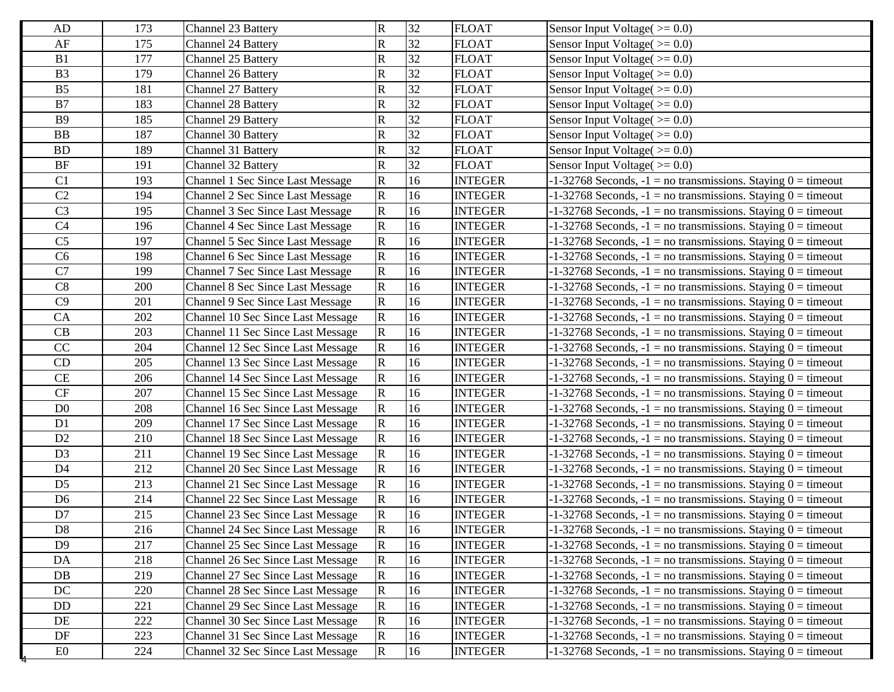| AD              | 173 | Channel 23 Battery                       | $\mathbf R$             | 32              | <b>FLOAT</b>   | Sensor Input Voltage( $>= 0.0$ )                                   |
|-----------------|-----|------------------------------------------|-------------------------|-----------------|----------------|--------------------------------------------------------------------|
| AF              | 175 | <b>Channel 24 Battery</b>                | $\mathbf R$             | 32              | <b>FLOAT</b>   | Sensor Input Voltage $(>= 0.0)$                                    |
| B1              | 177 | Channel 25 Battery                       | ${\bf R}$               | 32              | <b>FLOAT</b>   | Sensor Input Voltage( $>= 0.0$ )                                   |
| B <sub>3</sub>  | 179 | Channel 26 Battery                       | $\mathbf R$             | 32              | <b>FLOAT</b>   | Sensor Input Voltage( $\ge$ = 0.0)                                 |
| B <sub>5</sub>  | 181 | Channel 27 Battery                       | $\mathbf R$             | 32              | <b>FLOAT</b>   | Sensor Input Voltage( $\ge$ = 0.0)                                 |
| B7              | 183 | <b>Channel 28 Battery</b>                | $\mathbf R$             | 32              | <b>FLOAT</b>   | Sensor Input Voltage( $\ge$ = 0.0)                                 |
| <b>B9</b>       | 185 | Channel 29 Battery                       | $\mathbf R$             | 32              | <b>FLOAT</b>   | Sensor Input Voltage $(>= 0.0)$                                    |
| BB              | 187 | Channel 30 Battery                       | $\mathbf R$             | 32              | <b>FLOAT</b>   | Sensor Input Voltage( $>= 0.0$ )                                   |
| ${\rm BD}$      | 189 | Channel 31 Battery                       | $\mathbf R$             | 32              | <b>FLOAT</b>   | Sensor Input Voltage( $>= 0.0$ )                                   |
| BF              | 191 | Channel 32 Battery                       | $\mathbf R$             | 32              | <b>FLOAT</b>   | Sensor Input Voltage( $\ge$ = 0.0)                                 |
| C <sub>1</sub>  | 193 | Channel 1 Sec Since Last Message         | $\mathbf R$             | 16              | <b>INTEGER</b> | $-1-32768$ Seconds, $-1 =$ no transmissions. Staying $0 =$ timeout |
| C <sub>2</sub>  | 194 | <b>Channel 2 Sec Since Last Message</b>  | $\mathbf R$             | 16              | <b>INTEGER</b> | $-1-32768$ Seconds, $-1 =$ no transmissions. Staying $0 =$ timeout |
| C <sub>3</sub>  | 195 | <b>Channel 3 Sec Since Last Message</b>  | $\mathbf R$             | 16              | <b>INTEGER</b> | $-1-32768$ Seconds, $-1 =$ no transmissions. Staying $0 =$ timeout |
| C <sub>4</sub>  | 196 | <b>Channel 4 Sec Since Last Message</b>  | $\mathbf R$             | 16              | <b>INTEGER</b> | $-1-32768$ Seconds, $-1 =$ no transmissions. Staying $0 =$ timeout |
| C <sub>5</sub>  | 197 | Channel 5 Sec Since Last Message         | $\mathbf R$             | 16              | <b>INTEGER</b> | $-1-32768$ Seconds, $-1 =$ no transmissions. Staying $0 =$ timeout |
| C6              | 198 | <b>Channel 6 Sec Since Last Message</b>  | $\mathbf R$             | 16              | <b>INTEGER</b> | $-1-32768$ Seconds, $-1 =$ no transmissions. Staying $0 =$ timeout |
| $\overline{C7}$ | 199 | <b>Channel 7 Sec Since Last Message</b>  | $\mathbf R$             | 16              | <b>INTEGER</b> | $-1-32768$ Seconds, $-1 =$ no transmissions. Staying $0 =$ timeout |
| C8              | 200 | <b>Channel 8 Sec Since Last Message</b>  | $\mathbf R$             | 16              | <b>INTEGER</b> | $-1-32768$ Seconds, $-1 =$ no transmissions. Staying $0 =$ timeout |
| C9              | 201 | Channel 9 Sec Since Last Message         | $\mathbf R$             | 16              | <b>INTEGER</b> | $-1-32768$ Seconds, $-1 =$ no transmissions. Staying $0 =$ timeout |
| CA              | 202 | <b>Channel 10 Sec Since Last Message</b> | R                       | 16              | <b>INTEGER</b> | $-1-32768$ Seconds, $-1 =$ no transmissions. Staying $0 =$ timeout |
| CB              | 203 | Channel 11 Sec Since Last Message        | $\mathbf R$             | 16              | <b>INTEGER</b> | $-1-32768$ Seconds, $-1 =$ no transmissions. Staying $0 =$ timeout |
| CC              | 204 | Channel 12 Sec Since Last Message        | $\mathbf R$             | 16              | <b>INTEGER</b> | $-1-32768$ Seconds, $-1 =$ no transmissions. Staying $0 =$ timeout |
| CD              | 205 | Channel 13 Sec Since Last Message        | $\mathbf R$             | 16              | <b>INTEGER</b> | $-1-32768$ Seconds, $-1 =$ no transmissions. Staying $0 =$ timeout |
| CE              | 206 | Channel 14 Sec Since Last Message        | R                       | 16              | <b>INTEGER</b> | $-1-32768$ Seconds, $-1 =$ no transmissions. Staying $0 =$ timeout |
| $\mathrm{CF}$   | 207 | Channel 15 Sec Since Last Message        | R                       | 16              | <b>INTEGER</b> | $-1-32768$ Seconds, $-1 =$ no transmissions. Staying $0 =$ timeout |
| D <sub>0</sub>  | 208 | Channel 16 Sec Since Last Message        | $\mathbf R$             | 16              | <b>INTEGER</b> | $-1-32768$ Seconds, $-1 =$ no transmissions. Staying $0 =$ timeout |
| D1              | 209 | <b>Channel 17 Sec Since Last Message</b> | $\mathbf R$             | 16              | <b>INTEGER</b> | $-1-32768$ Seconds, $-1 =$ no transmissions. Staying $0 =$ timeout |
| D2              | 210 | Channel 18 Sec Since Last Message        | ${\bf R}$               | 16              | <b>INTEGER</b> | $-1-32768$ Seconds, $-1 =$ no transmissions. Staying $0 =$ timeout |
| D <sub>3</sub>  | 211 | Channel 19 Sec Since Last Message        | $\mathbf R$             | 16              | <b>INTEGER</b> | $-1-32768$ Seconds, $-1 =$ no transmissions. Staying $0 =$ timeout |
| D <sub>4</sub>  | 212 | Channel 20 Sec Since Last Message        | $\mathbf R$             | 16              | <b>INTEGER</b> | $-1-32768$ Seconds, $-1 =$ no transmissions. Staying $0 =$ timeout |
| D <sub>5</sub>  | 213 | <b>Channel 21 Sec Since Last Message</b> | $\mathbf R$             | 16              | <b>INTEGER</b> | $-1-32768$ Seconds, $-1 =$ no transmissions. Staying $0 =$ timeout |
| D <sub>6</sub>  | 214 | Channel 22 Sec Since Last Message        | $\mathbf R$             | 16              | <b>INTEGER</b> | $-1-32768$ Seconds, $-1 =$ no transmissions. Staying $0 =$ timeout |
| D7              | 215 | Channel 23 Sec Since Last Message        | $\overline{\mathbf{R}}$ | 16              | <b>INTEGER</b> | $-1-32768$ Seconds, $-1 =$ no transmissions. Staying $0 =$ timeout |
| D <sub>8</sub>  | 216 | Channel 24 Sec Since Last Message        | $\overline{R}$          | $\overline{16}$ | <b>INTEGER</b> | $-1-32768$ Seconds, $-1 =$ no transmissions. Staying $0 =$ timeout |
| D <sub>9</sub>  | 217 | Channel 25 Sec Since Last Message        | $\mathbf R$             | 16              | <b>INTEGER</b> | $-1-32768$ Seconds, $-1 =$ no transmissions. Staying $0 =$ timeout |
| DA              | 218 | Channel 26 Sec Since Last Message        | $\mathbf R$             | 16              | <b>INTEGER</b> | $-1-32768$ Seconds, $-1 =$ no transmissions. Staying $0 =$ timeout |
| DB              | 219 | Channel 27 Sec Since Last Message        | $\mathbf R$             | 16              | <b>INTEGER</b> | $-1-32768$ Seconds, $-1 =$ no transmissions. Staying $0 =$ timeout |
| $\rm DC$        | 220 | Channel 28 Sec Since Last Message        | $\mathbf R$             | 16              | <b>INTEGER</b> | $-1-32768$ Seconds, $-1 =$ no transmissions. Staying $0 =$ timeout |
| DD              | 221 | Channel 29 Sec Since Last Message        | $\mathbf R$             | 16              | <b>INTEGER</b> | $-1-32768$ Seconds, $-1 =$ no transmissions. Staying $0 =$ timeout |
| DE              | 222 | Channel 30 Sec Since Last Message        | $\mathbf R$             | 16              | <b>INTEGER</b> | $-1-32768$ Seconds, $-1 =$ no transmissions. Staying $0 =$ timeout |
| DF              | 223 | Channel 31 Sec Since Last Message        | $\mathbf R$             | 16              | <b>INTEGER</b> | $-1-32768$ Seconds, $-1 =$ no transmissions. Staying $0 =$ timeout |
| E0              | 224 | Channel 32 Sec Since Last Message        | $\mathbf R$             | 16              | <b>INTEGER</b> | $-1-32768$ Seconds, $-1 =$ no transmissions. Staying $0 =$ timeout |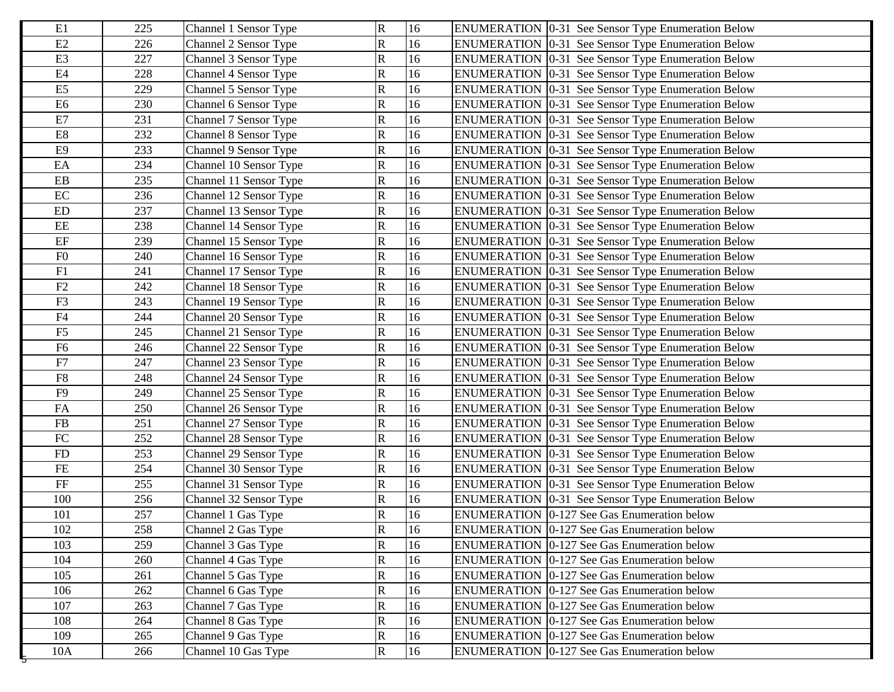| E2<br>$\mathbf R$<br>16<br>226<br>Channel 2 Sensor Type<br><b>ENUMERATION</b> [0-31 See Sensor Type Enumeration Below<br>E3<br>R<br>227<br>16<br>Channel 3 Sensor Type<br>ENUMERATION 0-31 See Sensor Type Enumeration Below<br>E4<br>R<br>16<br>228<br><b>ENUMERATION</b> 0-31 See Sensor Type Enumeration Below<br>Channel 4 Sensor Type<br>E <sub>5</sub><br>R<br>16<br>229<br><b>ENUMERATION</b> 0-31 See Sensor Type Enumeration Below<br>Channel 5 Sensor Type<br>E <sub>6</sub><br>R<br>16<br>230<br>Channel 6 Sensor Type<br><b>ENUMERATION</b> [0-31 See Sensor Type Enumeration Below<br>$\rm E7$<br>R<br>16<br>231<br>Channel 7 Sensor Type<br><b>ENUMERATION</b> 0-31 See Sensor Type Enumeration Below<br>$\mathop{\hbox{\rm E}} 8$<br>232<br>R<br>16<br><b>ENUMERATION</b> 0-31 See Sensor Type Enumeration Below<br>Channel 8 Sensor Type<br>E <sub>9</sub><br>233<br>R<br>16<br>Channel 9 Sensor Type<br><b>ENUMERATION</b> 0-31 See Sensor Type Enumeration Below<br>$\mathop{\text{EA}}$<br>R<br>16<br>234<br>Channel 10 Sensor Type<br>ENUMERATION 0-31 See Sensor Type Enumeration Below<br>R<br>16<br>$\mathbf{E}\mathbf{B}$<br>235<br>Channel 11 Sensor Type<br><b>ENUMERATION</b> 0-31 See Sensor Type Enumeration Below<br>$\rm EC$<br>R<br>16<br>236<br>Channel 12 Sensor Type<br>ENUMERATION   0-31 See Sensor Type Enumeration Below<br>R<br>16<br>$\mathop{\rm ED}\nolimits$<br>237<br>Channel 13 Sensor Type<br><b>ENUMERATION</b> 0-31 See Sensor Type Enumeration Below<br>EE<br>R<br>16<br>238<br>Channel 14 Sensor Type<br>ENUMERATION   0-31 See Sensor Type Enumeration Below<br>$\rm EF$<br>R<br>16<br>239<br>Channel 15 Sensor Type<br>ENUMERATION 0-31 See Sensor Type Enumeration Below<br>${\rm F0}$<br>$\overline{\mathsf{R}}$<br>16<br>240<br>Channel 16 Sensor Type<br>ENUMERATION 0-31 See Sensor Type Enumeration Below<br>F1<br>16<br>R<br>241<br>Channel 17 Sensor Type<br>ENUMERATION 0-31 See Sensor Type Enumeration Below<br>F2<br>R<br>16<br>242<br>Channel 18 Sensor Type<br><b>ENUMERATION</b> 0-31 See Sensor Type Enumeration Below<br>F3<br>$\mathbf R$<br>16<br>243<br>Channel 19 Sensor Type<br>ENUMERATION 0-31 See Sensor Type Enumeration Below<br>${\rm F4}$<br>R<br>244<br>16<br>ENUMERATION 0-31 See Sensor Type Enumeration Below<br>Channel 20 Sensor Type<br>${\rm F}5$<br>16<br>245<br>$\mathbf R$<br><b>ENUMERATION</b> 0-31 See Sensor Type Enumeration Below<br>Channel 21 Sensor Type<br>F <sub>6</sub><br>R<br>16<br>246<br>Channel 22 Sensor Type<br><b>ENUMERATION</b> 0-31 See Sensor Type Enumeration Below<br>${\rm F}7$<br>R<br>16<br>247<br>Channel 23 Sensor Type<br><b>ENUMERATION</b> 0-31 See Sensor Type Enumeration Below<br>${\rm F}8$<br>R<br>248<br>16<br>ENUMERATION 0-31 See Sensor Type Enumeration Below<br>Channel 24 Sensor Type<br>F <sub>9</sub><br>16<br>$\mathbf R$<br>249<br><b>ENUMERATION</b> 0-31 See Sensor Type Enumeration Below<br>Channel 25 Sensor Type<br>FA<br>16<br>$\mathbf R$<br>250<br>Channel 26 Sensor Type<br>ENUMERATION 0-31 See Sensor Type Enumeration Below<br>$\mathbf R$<br>FB<br>16<br>251<br>Channel 27 Sensor Type<br><b>ENUMERATION</b> 0-31 See Sensor Type Enumeration Below<br>${\rm FC}$<br>R<br>16<br>252<br>ENUMERATION 0-31 See Sensor Type Enumeration Below<br>Channel 28 Sensor Type<br>$\mathbf R$<br>16<br>253<br><b>FD</b><br>Channel 29 Sensor Type<br><b>ENUMERATION</b> 0-31 See Sensor Type Enumeration Below<br>16<br>FE<br>254<br>R<br>Channel 30 Sensor Type<br><b>ENUMERATION</b> [0-31 See Sensor Type Enumeration Below<br>$\rm FF$<br>R<br>16<br>255<br>Channel 31 Sensor Type<br><b>ENUMERATION</b> 0-31 See Sensor Type Enumeration Below<br>16<br>100<br>R<br>256<br>Channel 32 Sensor Type<br><b>ENUMERATION</b> 0-31 See Sensor Type Enumeration Below<br>257<br>$\mathbf R$<br>16<br>101<br>ENUMERATION   0-127 See Gas Enumeration below<br>Channel 1 Gas Type<br>16<br>$\mathbf R$<br>102<br>258<br>Channel 2 Gas Type<br>ENUMERATION 0-127 See Gas Enumeration below<br>$\overline{\mathsf{R}}$<br>103<br>16<br>259<br>Channel 3 Gas Type<br><b>ENUMERATION 0-127 See Gas Enumeration below</b><br>R<br>104<br>260<br>Channel 4 Gas Type<br>16<br><b>ENUMERATION</b> 0-127 See Gas Enumeration below<br>R<br>16<br>105<br>261<br>Channel 5 Gas Type<br><b>ENUMERATION</b> 0-127 See Gas Enumeration below<br>R<br>16<br>106<br>262<br><b>ENUMERATION</b> 0-127 See Gas Enumeration below<br>Channel 6 Gas Type<br>R<br>107<br>263<br>Channel 7 Gas Type<br>16<br><b>ENUMERATION 0-127 See Gas Enumeration below</b> | E1  | 225 | Channel 1 Sensor Type | $\mathbf R$ | 16 | <b>ENUMERATION</b> 0-31 See Sensor Type Enumeration Below |
|----------------------------------------------------------------------------------------------------------------------------------------------------------------------------------------------------------------------------------------------------------------------------------------------------------------------------------------------------------------------------------------------------------------------------------------------------------------------------------------------------------------------------------------------------------------------------------------------------------------------------------------------------------------------------------------------------------------------------------------------------------------------------------------------------------------------------------------------------------------------------------------------------------------------------------------------------------------------------------------------------------------------------------------------------------------------------------------------------------------------------------------------------------------------------------------------------------------------------------------------------------------------------------------------------------------------------------------------------------------------------------------------------------------------------------------------------------------------------------------------------------------------------------------------------------------------------------------------------------------------------------------------------------------------------------------------------------------------------------------------------------------------------------------------------------------------------------------------------------------------------------------------------------------------------------------------------------------------------------------------------------------------------------------------------------------------------------------------------------------------------------------------------------------------------------------------------------------------------------------------------------------------------------------------------------------------------------------------------------------------------------------------------------------------------------------------------------------------------------------------------------------------------------------------------------------------------------------------------------------------------------------------------------------------------------------------------------------------------------------------------------------------------------------------------------------------------------------------------------------------------------------------------------------------------------------------------------------------------------------------------------------------------------------------------------------------------------------------------------------------------------------------------------------------------------------------------------------------------------------------------------------------------------------------------------------------------------------------------------------------------------------------------------------------------------------------------------------------------------------------------------------------------------------------------------------------------------------------------------------------------------------------------------------------------------------------------------------------------------------------------------------------------------------------------------------------------------------------------------------------------------------------------------------------------------------------------------------------------------------------------------------------------------------------------------------------------------------------------------------------------------------------------------------------------------------------------------------------------------------------------------------------------------------------------------------------------------------------------------------------------------------------------------------------------------------------------------------------------------------------------------------------------------------------------------------------------------------|-----|-----|-----------------------|-------------|----|-----------------------------------------------------------|
|                                                                                                                                                                                                                                                                                                                                                                                                                                                                                                                                                                                                                                                                                                                                                                                                                                                                                                                                                                                                                                                                                                                                                                                                                                                                                                                                                                                                                                                                                                                                                                                                                                                                                                                                                                                                                                                                                                                                                                                                                                                                                                                                                                                                                                                                                                                                                                                                                                                                                                                                                                                                                                                                                                                                                                                                                                                                                                                                                                                                                                                                                                                                                                                                                                                                                                                                                                                                                                                                                                                                                                                                                                                                                                                                                                                                                                                                                                                                                                                                                                                                                                                                                                                                                                                                                                                                                                                                                                                                                                                                                                                        |     |     |                       |             |    |                                                           |
|                                                                                                                                                                                                                                                                                                                                                                                                                                                                                                                                                                                                                                                                                                                                                                                                                                                                                                                                                                                                                                                                                                                                                                                                                                                                                                                                                                                                                                                                                                                                                                                                                                                                                                                                                                                                                                                                                                                                                                                                                                                                                                                                                                                                                                                                                                                                                                                                                                                                                                                                                                                                                                                                                                                                                                                                                                                                                                                                                                                                                                                                                                                                                                                                                                                                                                                                                                                                                                                                                                                                                                                                                                                                                                                                                                                                                                                                                                                                                                                                                                                                                                                                                                                                                                                                                                                                                                                                                                                                                                                                                                                        |     |     |                       |             |    |                                                           |
|                                                                                                                                                                                                                                                                                                                                                                                                                                                                                                                                                                                                                                                                                                                                                                                                                                                                                                                                                                                                                                                                                                                                                                                                                                                                                                                                                                                                                                                                                                                                                                                                                                                                                                                                                                                                                                                                                                                                                                                                                                                                                                                                                                                                                                                                                                                                                                                                                                                                                                                                                                                                                                                                                                                                                                                                                                                                                                                                                                                                                                                                                                                                                                                                                                                                                                                                                                                                                                                                                                                                                                                                                                                                                                                                                                                                                                                                                                                                                                                                                                                                                                                                                                                                                                                                                                                                                                                                                                                                                                                                                                                        |     |     |                       |             |    |                                                           |
|                                                                                                                                                                                                                                                                                                                                                                                                                                                                                                                                                                                                                                                                                                                                                                                                                                                                                                                                                                                                                                                                                                                                                                                                                                                                                                                                                                                                                                                                                                                                                                                                                                                                                                                                                                                                                                                                                                                                                                                                                                                                                                                                                                                                                                                                                                                                                                                                                                                                                                                                                                                                                                                                                                                                                                                                                                                                                                                                                                                                                                                                                                                                                                                                                                                                                                                                                                                                                                                                                                                                                                                                                                                                                                                                                                                                                                                                                                                                                                                                                                                                                                                                                                                                                                                                                                                                                                                                                                                                                                                                                                                        |     |     |                       |             |    |                                                           |
|                                                                                                                                                                                                                                                                                                                                                                                                                                                                                                                                                                                                                                                                                                                                                                                                                                                                                                                                                                                                                                                                                                                                                                                                                                                                                                                                                                                                                                                                                                                                                                                                                                                                                                                                                                                                                                                                                                                                                                                                                                                                                                                                                                                                                                                                                                                                                                                                                                                                                                                                                                                                                                                                                                                                                                                                                                                                                                                                                                                                                                                                                                                                                                                                                                                                                                                                                                                                                                                                                                                                                                                                                                                                                                                                                                                                                                                                                                                                                                                                                                                                                                                                                                                                                                                                                                                                                                                                                                                                                                                                                                                        |     |     |                       |             |    |                                                           |
|                                                                                                                                                                                                                                                                                                                                                                                                                                                                                                                                                                                                                                                                                                                                                                                                                                                                                                                                                                                                                                                                                                                                                                                                                                                                                                                                                                                                                                                                                                                                                                                                                                                                                                                                                                                                                                                                                                                                                                                                                                                                                                                                                                                                                                                                                                                                                                                                                                                                                                                                                                                                                                                                                                                                                                                                                                                                                                                                                                                                                                                                                                                                                                                                                                                                                                                                                                                                                                                                                                                                                                                                                                                                                                                                                                                                                                                                                                                                                                                                                                                                                                                                                                                                                                                                                                                                                                                                                                                                                                                                                                                        |     |     |                       |             |    |                                                           |
|                                                                                                                                                                                                                                                                                                                                                                                                                                                                                                                                                                                                                                                                                                                                                                                                                                                                                                                                                                                                                                                                                                                                                                                                                                                                                                                                                                                                                                                                                                                                                                                                                                                                                                                                                                                                                                                                                                                                                                                                                                                                                                                                                                                                                                                                                                                                                                                                                                                                                                                                                                                                                                                                                                                                                                                                                                                                                                                                                                                                                                                                                                                                                                                                                                                                                                                                                                                                                                                                                                                                                                                                                                                                                                                                                                                                                                                                                                                                                                                                                                                                                                                                                                                                                                                                                                                                                                                                                                                                                                                                                                                        |     |     |                       |             |    |                                                           |
|                                                                                                                                                                                                                                                                                                                                                                                                                                                                                                                                                                                                                                                                                                                                                                                                                                                                                                                                                                                                                                                                                                                                                                                                                                                                                                                                                                                                                                                                                                                                                                                                                                                                                                                                                                                                                                                                                                                                                                                                                                                                                                                                                                                                                                                                                                                                                                                                                                                                                                                                                                                                                                                                                                                                                                                                                                                                                                                                                                                                                                                                                                                                                                                                                                                                                                                                                                                                                                                                                                                                                                                                                                                                                                                                                                                                                                                                                                                                                                                                                                                                                                                                                                                                                                                                                                                                                                                                                                                                                                                                                                                        |     |     |                       |             |    |                                                           |
|                                                                                                                                                                                                                                                                                                                                                                                                                                                                                                                                                                                                                                                                                                                                                                                                                                                                                                                                                                                                                                                                                                                                                                                                                                                                                                                                                                                                                                                                                                                                                                                                                                                                                                                                                                                                                                                                                                                                                                                                                                                                                                                                                                                                                                                                                                                                                                                                                                                                                                                                                                                                                                                                                                                                                                                                                                                                                                                                                                                                                                                                                                                                                                                                                                                                                                                                                                                                                                                                                                                                                                                                                                                                                                                                                                                                                                                                                                                                                                                                                                                                                                                                                                                                                                                                                                                                                                                                                                                                                                                                                                                        |     |     |                       |             |    |                                                           |
|                                                                                                                                                                                                                                                                                                                                                                                                                                                                                                                                                                                                                                                                                                                                                                                                                                                                                                                                                                                                                                                                                                                                                                                                                                                                                                                                                                                                                                                                                                                                                                                                                                                                                                                                                                                                                                                                                                                                                                                                                                                                                                                                                                                                                                                                                                                                                                                                                                                                                                                                                                                                                                                                                                                                                                                                                                                                                                                                                                                                                                                                                                                                                                                                                                                                                                                                                                                                                                                                                                                                                                                                                                                                                                                                                                                                                                                                                                                                                                                                                                                                                                                                                                                                                                                                                                                                                                                                                                                                                                                                                                                        |     |     |                       |             |    |                                                           |
|                                                                                                                                                                                                                                                                                                                                                                                                                                                                                                                                                                                                                                                                                                                                                                                                                                                                                                                                                                                                                                                                                                                                                                                                                                                                                                                                                                                                                                                                                                                                                                                                                                                                                                                                                                                                                                                                                                                                                                                                                                                                                                                                                                                                                                                                                                                                                                                                                                                                                                                                                                                                                                                                                                                                                                                                                                                                                                                                                                                                                                                                                                                                                                                                                                                                                                                                                                                                                                                                                                                                                                                                                                                                                                                                                                                                                                                                                                                                                                                                                                                                                                                                                                                                                                                                                                                                                                                                                                                                                                                                                                                        |     |     |                       |             |    |                                                           |
|                                                                                                                                                                                                                                                                                                                                                                                                                                                                                                                                                                                                                                                                                                                                                                                                                                                                                                                                                                                                                                                                                                                                                                                                                                                                                                                                                                                                                                                                                                                                                                                                                                                                                                                                                                                                                                                                                                                                                                                                                                                                                                                                                                                                                                                                                                                                                                                                                                                                                                                                                                                                                                                                                                                                                                                                                                                                                                                                                                                                                                                                                                                                                                                                                                                                                                                                                                                                                                                                                                                                                                                                                                                                                                                                                                                                                                                                                                                                                                                                                                                                                                                                                                                                                                                                                                                                                                                                                                                                                                                                                                                        |     |     |                       |             |    |                                                           |
|                                                                                                                                                                                                                                                                                                                                                                                                                                                                                                                                                                                                                                                                                                                                                                                                                                                                                                                                                                                                                                                                                                                                                                                                                                                                                                                                                                                                                                                                                                                                                                                                                                                                                                                                                                                                                                                                                                                                                                                                                                                                                                                                                                                                                                                                                                                                                                                                                                                                                                                                                                                                                                                                                                                                                                                                                                                                                                                                                                                                                                                                                                                                                                                                                                                                                                                                                                                                                                                                                                                                                                                                                                                                                                                                                                                                                                                                                                                                                                                                                                                                                                                                                                                                                                                                                                                                                                                                                                                                                                                                                                                        |     |     |                       |             |    |                                                           |
|                                                                                                                                                                                                                                                                                                                                                                                                                                                                                                                                                                                                                                                                                                                                                                                                                                                                                                                                                                                                                                                                                                                                                                                                                                                                                                                                                                                                                                                                                                                                                                                                                                                                                                                                                                                                                                                                                                                                                                                                                                                                                                                                                                                                                                                                                                                                                                                                                                                                                                                                                                                                                                                                                                                                                                                                                                                                                                                                                                                                                                                                                                                                                                                                                                                                                                                                                                                                                                                                                                                                                                                                                                                                                                                                                                                                                                                                                                                                                                                                                                                                                                                                                                                                                                                                                                                                                                                                                                                                                                                                                                                        |     |     |                       |             |    |                                                           |
|                                                                                                                                                                                                                                                                                                                                                                                                                                                                                                                                                                                                                                                                                                                                                                                                                                                                                                                                                                                                                                                                                                                                                                                                                                                                                                                                                                                                                                                                                                                                                                                                                                                                                                                                                                                                                                                                                                                                                                                                                                                                                                                                                                                                                                                                                                                                                                                                                                                                                                                                                                                                                                                                                                                                                                                                                                                                                                                                                                                                                                                                                                                                                                                                                                                                                                                                                                                                                                                                                                                                                                                                                                                                                                                                                                                                                                                                                                                                                                                                                                                                                                                                                                                                                                                                                                                                                                                                                                                                                                                                                                                        |     |     |                       |             |    |                                                           |
|                                                                                                                                                                                                                                                                                                                                                                                                                                                                                                                                                                                                                                                                                                                                                                                                                                                                                                                                                                                                                                                                                                                                                                                                                                                                                                                                                                                                                                                                                                                                                                                                                                                                                                                                                                                                                                                                                                                                                                                                                                                                                                                                                                                                                                                                                                                                                                                                                                                                                                                                                                                                                                                                                                                                                                                                                                                                                                                                                                                                                                                                                                                                                                                                                                                                                                                                                                                                                                                                                                                                                                                                                                                                                                                                                                                                                                                                                                                                                                                                                                                                                                                                                                                                                                                                                                                                                                                                                                                                                                                                                                                        |     |     |                       |             |    |                                                           |
|                                                                                                                                                                                                                                                                                                                                                                                                                                                                                                                                                                                                                                                                                                                                                                                                                                                                                                                                                                                                                                                                                                                                                                                                                                                                                                                                                                                                                                                                                                                                                                                                                                                                                                                                                                                                                                                                                                                                                                                                                                                                                                                                                                                                                                                                                                                                                                                                                                                                                                                                                                                                                                                                                                                                                                                                                                                                                                                                                                                                                                                                                                                                                                                                                                                                                                                                                                                                                                                                                                                                                                                                                                                                                                                                                                                                                                                                                                                                                                                                                                                                                                                                                                                                                                                                                                                                                                                                                                                                                                                                                                                        |     |     |                       |             |    |                                                           |
|                                                                                                                                                                                                                                                                                                                                                                                                                                                                                                                                                                                                                                                                                                                                                                                                                                                                                                                                                                                                                                                                                                                                                                                                                                                                                                                                                                                                                                                                                                                                                                                                                                                                                                                                                                                                                                                                                                                                                                                                                                                                                                                                                                                                                                                                                                                                                                                                                                                                                                                                                                                                                                                                                                                                                                                                                                                                                                                                                                                                                                                                                                                                                                                                                                                                                                                                                                                                                                                                                                                                                                                                                                                                                                                                                                                                                                                                                                                                                                                                                                                                                                                                                                                                                                                                                                                                                                                                                                                                                                                                                                                        |     |     |                       |             |    |                                                           |
|                                                                                                                                                                                                                                                                                                                                                                                                                                                                                                                                                                                                                                                                                                                                                                                                                                                                                                                                                                                                                                                                                                                                                                                                                                                                                                                                                                                                                                                                                                                                                                                                                                                                                                                                                                                                                                                                                                                                                                                                                                                                                                                                                                                                                                                                                                                                                                                                                                                                                                                                                                                                                                                                                                                                                                                                                                                                                                                                                                                                                                                                                                                                                                                                                                                                                                                                                                                                                                                                                                                                                                                                                                                                                                                                                                                                                                                                                                                                                                                                                                                                                                                                                                                                                                                                                                                                                                                                                                                                                                                                                                                        |     |     |                       |             |    |                                                           |
|                                                                                                                                                                                                                                                                                                                                                                                                                                                                                                                                                                                                                                                                                                                                                                                                                                                                                                                                                                                                                                                                                                                                                                                                                                                                                                                                                                                                                                                                                                                                                                                                                                                                                                                                                                                                                                                                                                                                                                                                                                                                                                                                                                                                                                                                                                                                                                                                                                                                                                                                                                                                                                                                                                                                                                                                                                                                                                                                                                                                                                                                                                                                                                                                                                                                                                                                                                                                                                                                                                                                                                                                                                                                                                                                                                                                                                                                                                                                                                                                                                                                                                                                                                                                                                                                                                                                                                                                                                                                                                                                                                                        |     |     |                       |             |    |                                                           |
|                                                                                                                                                                                                                                                                                                                                                                                                                                                                                                                                                                                                                                                                                                                                                                                                                                                                                                                                                                                                                                                                                                                                                                                                                                                                                                                                                                                                                                                                                                                                                                                                                                                                                                                                                                                                                                                                                                                                                                                                                                                                                                                                                                                                                                                                                                                                                                                                                                                                                                                                                                                                                                                                                                                                                                                                                                                                                                                                                                                                                                                                                                                                                                                                                                                                                                                                                                                                                                                                                                                                                                                                                                                                                                                                                                                                                                                                                                                                                                                                                                                                                                                                                                                                                                                                                                                                                                                                                                                                                                                                                                                        |     |     |                       |             |    |                                                           |
|                                                                                                                                                                                                                                                                                                                                                                                                                                                                                                                                                                                                                                                                                                                                                                                                                                                                                                                                                                                                                                                                                                                                                                                                                                                                                                                                                                                                                                                                                                                                                                                                                                                                                                                                                                                                                                                                                                                                                                                                                                                                                                                                                                                                                                                                                                                                                                                                                                                                                                                                                                                                                                                                                                                                                                                                                                                                                                                                                                                                                                                                                                                                                                                                                                                                                                                                                                                                                                                                                                                                                                                                                                                                                                                                                                                                                                                                                                                                                                                                                                                                                                                                                                                                                                                                                                                                                                                                                                                                                                                                                                                        |     |     |                       |             |    |                                                           |
|                                                                                                                                                                                                                                                                                                                                                                                                                                                                                                                                                                                                                                                                                                                                                                                                                                                                                                                                                                                                                                                                                                                                                                                                                                                                                                                                                                                                                                                                                                                                                                                                                                                                                                                                                                                                                                                                                                                                                                                                                                                                                                                                                                                                                                                                                                                                                                                                                                                                                                                                                                                                                                                                                                                                                                                                                                                                                                                                                                                                                                                                                                                                                                                                                                                                                                                                                                                                                                                                                                                                                                                                                                                                                                                                                                                                                                                                                                                                                                                                                                                                                                                                                                                                                                                                                                                                                                                                                                                                                                                                                                                        |     |     |                       |             |    |                                                           |
|                                                                                                                                                                                                                                                                                                                                                                                                                                                                                                                                                                                                                                                                                                                                                                                                                                                                                                                                                                                                                                                                                                                                                                                                                                                                                                                                                                                                                                                                                                                                                                                                                                                                                                                                                                                                                                                                                                                                                                                                                                                                                                                                                                                                                                                                                                                                                                                                                                                                                                                                                                                                                                                                                                                                                                                                                                                                                                                                                                                                                                                                                                                                                                                                                                                                                                                                                                                                                                                                                                                                                                                                                                                                                                                                                                                                                                                                                                                                                                                                                                                                                                                                                                                                                                                                                                                                                                                                                                                                                                                                                                                        |     |     |                       |             |    |                                                           |
|                                                                                                                                                                                                                                                                                                                                                                                                                                                                                                                                                                                                                                                                                                                                                                                                                                                                                                                                                                                                                                                                                                                                                                                                                                                                                                                                                                                                                                                                                                                                                                                                                                                                                                                                                                                                                                                                                                                                                                                                                                                                                                                                                                                                                                                                                                                                                                                                                                                                                                                                                                                                                                                                                                                                                                                                                                                                                                                                                                                                                                                                                                                                                                                                                                                                                                                                                                                                                                                                                                                                                                                                                                                                                                                                                                                                                                                                                                                                                                                                                                                                                                                                                                                                                                                                                                                                                                                                                                                                                                                                                                                        |     |     |                       |             |    |                                                           |
|                                                                                                                                                                                                                                                                                                                                                                                                                                                                                                                                                                                                                                                                                                                                                                                                                                                                                                                                                                                                                                                                                                                                                                                                                                                                                                                                                                                                                                                                                                                                                                                                                                                                                                                                                                                                                                                                                                                                                                                                                                                                                                                                                                                                                                                                                                                                                                                                                                                                                                                                                                                                                                                                                                                                                                                                                                                                                                                                                                                                                                                                                                                                                                                                                                                                                                                                                                                                                                                                                                                                                                                                                                                                                                                                                                                                                                                                                                                                                                                                                                                                                                                                                                                                                                                                                                                                                                                                                                                                                                                                                                                        |     |     |                       |             |    |                                                           |
|                                                                                                                                                                                                                                                                                                                                                                                                                                                                                                                                                                                                                                                                                                                                                                                                                                                                                                                                                                                                                                                                                                                                                                                                                                                                                                                                                                                                                                                                                                                                                                                                                                                                                                                                                                                                                                                                                                                                                                                                                                                                                                                                                                                                                                                                                                                                                                                                                                                                                                                                                                                                                                                                                                                                                                                                                                                                                                                                                                                                                                                                                                                                                                                                                                                                                                                                                                                                                                                                                                                                                                                                                                                                                                                                                                                                                                                                                                                                                                                                                                                                                                                                                                                                                                                                                                                                                                                                                                                                                                                                                                                        |     |     |                       |             |    |                                                           |
|                                                                                                                                                                                                                                                                                                                                                                                                                                                                                                                                                                                                                                                                                                                                                                                                                                                                                                                                                                                                                                                                                                                                                                                                                                                                                                                                                                                                                                                                                                                                                                                                                                                                                                                                                                                                                                                                                                                                                                                                                                                                                                                                                                                                                                                                                                                                                                                                                                                                                                                                                                                                                                                                                                                                                                                                                                                                                                                                                                                                                                                                                                                                                                                                                                                                                                                                                                                                                                                                                                                                                                                                                                                                                                                                                                                                                                                                                                                                                                                                                                                                                                                                                                                                                                                                                                                                                                                                                                                                                                                                                                                        |     |     |                       |             |    |                                                           |
|                                                                                                                                                                                                                                                                                                                                                                                                                                                                                                                                                                                                                                                                                                                                                                                                                                                                                                                                                                                                                                                                                                                                                                                                                                                                                                                                                                                                                                                                                                                                                                                                                                                                                                                                                                                                                                                                                                                                                                                                                                                                                                                                                                                                                                                                                                                                                                                                                                                                                                                                                                                                                                                                                                                                                                                                                                                                                                                                                                                                                                                                                                                                                                                                                                                                                                                                                                                                                                                                                                                                                                                                                                                                                                                                                                                                                                                                                                                                                                                                                                                                                                                                                                                                                                                                                                                                                                                                                                                                                                                                                                                        |     |     |                       |             |    |                                                           |
|                                                                                                                                                                                                                                                                                                                                                                                                                                                                                                                                                                                                                                                                                                                                                                                                                                                                                                                                                                                                                                                                                                                                                                                                                                                                                                                                                                                                                                                                                                                                                                                                                                                                                                                                                                                                                                                                                                                                                                                                                                                                                                                                                                                                                                                                                                                                                                                                                                                                                                                                                                                                                                                                                                                                                                                                                                                                                                                                                                                                                                                                                                                                                                                                                                                                                                                                                                                                                                                                                                                                                                                                                                                                                                                                                                                                                                                                                                                                                                                                                                                                                                                                                                                                                                                                                                                                                                                                                                                                                                                                                                                        |     |     |                       |             |    |                                                           |
|                                                                                                                                                                                                                                                                                                                                                                                                                                                                                                                                                                                                                                                                                                                                                                                                                                                                                                                                                                                                                                                                                                                                                                                                                                                                                                                                                                                                                                                                                                                                                                                                                                                                                                                                                                                                                                                                                                                                                                                                                                                                                                                                                                                                                                                                                                                                                                                                                                                                                                                                                                                                                                                                                                                                                                                                                                                                                                                                                                                                                                                                                                                                                                                                                                                                                                                                                                                                                                                                                                                                                                                                                                                                                                                                                                                                                                                                                                                                                                                                                                                                                                                                                                                                                                                                                                                                                                                                                                                                                                                                                                                        |     |     |                       |             |    |                                                           |
|                                                                                                                                                                                                                                                                                                                                                                                                                                                                                                                                                                                                                                                                                                                                                                                                                                                                                                                                                                                                                                                                                                                                                                                                                                                                                                                                                                                                                                                                                                                                                                                                                                                                                                                                                                                                                                                                                                                                                                                                                                                                                                                                                                                                                                                                                                                                                                                                                                                                                                                                                                                                                                                                                                                                                                                                                                                                                                                                                                                                                                                                                                                                                                                                                                                                                                                                                                                                                                                                                                                                                                                                                                                                                                                                                                                                                                                                                                                                                                                                                                                                                                                                                                                                                                                                                                                                                                                                                                                                                                                                                                                        |     |     |                       |             |    |                                                           |
|                                                                                                                                                                                                                                                                                                                                                                                                                                                                                                                                                                                                                                                                                                                                                                                                                                                                                                                                                                                                                                                                                                                                                                                                                                                                                                                                                                                                                                                                                                                                                                                                                                                                                                                                                                                                                                                                                                                                                                                                                                                                                                                                                                                                                                                                                                                                                                                                                                                                                                                                                                                                                                                                                                                                                                                                                                                                                                                                                                                                                                                                                                                                                                                                                                                                                                                                                                                                                                                                                                                                                                                                                                                                                                                                                                                                                                                                                                                                                                                                                                                                                                                                                                                                                                                                                                                                                                                                                                                                                                                                                                                        |     |     |                       |             |    |                                                           |
|                                                                                                                                                                                                                                                                                                                                                                                                                                                                                                                                                                                                                                                                                                                                                                                                                                                                                                                                                                                                                                                                                                                                                                                                                                                                                                                                                                                                                                                                                                                                                                                                                                                                                                                                                                                                                                                                                                                                                                                                                                                                                                                                                                                                                                                                                                                                                                                                                                                                                                                                                                                                                                                                                                                                                                                                                                                                                                                                                                                                                                                                                                                                                                                                                                                                                                                                                                                                                                                                                                                                                                                                                                                                                                                                                                                                                                                                                                                                                                                                                                                                                                                                                                                                                                                                                                                                                                                                                                                                                                                                                                                        |     |     |                       |             |    |                                                           |
|                                                                                                                                                                                                                                                                                                                                                                                                                                                                                                                                                                                                                                                                                                                                                                                                                                                                                                                                                                                                                                                                                                                                                                                                                                                                                                                                                                                                                                                                                                                                                                                                                                                                                                                                                                                                                                                                                                                                                                                                                                                                                                                                                                                                                                                                                                                                                                                                                                                                                                                                                                                                                                                                                                                                                                                                                                                                                                                                                                                                                                                                                                                                                                                                                                                                                                                                                                                                                                                                                                                                                                                                                                                                                                                                                                                                                                                                                                                                                                                                                                                                                                                                                                                                                                                                                                                                                                                                                                                                                                                                                                                        |     |     |                       |             |    |                                                           |
|                                                                                                                                                                                                                                                                                                                                                                                                                                                                                                                                                                                                                                                                                                                                                                                                                                                                                                                                                                                                                                                                                                                                                                                                                                                                                                                                                                                                                                                                                                                                                                                                                                                                                                                                                                                                                                                                                                                                                                                                                                                                                                                                                                                                                                                                                                                                                                                                                                                                                                                                                                                                                                                                                                                                                                                                                                                                                                                                                                                                                                                                                                                                                                                                                                                                                                                                                                                                                                                                                                                                                                                                                                                                                                                                                                                                                                                                                                                                                                                                                                                                                                                                                                                                                                                                                                                                                                                                                                                                                                                                                                                        |     |     |                       |             |    |                                                           |
|                                                                                                                                                                                                                                                                                                                                                                                                                                                                                                                                                                                                                                                                                                                                                                                                                                                                                                                                                                                                                                                                                                                                                                                                                                                                                                                                                                                                                                                                                                                                                                                                                                                                                                                                                                                                                                                                                                                                                                                                                                                                                                                                                                                                                                                                                                                                                                                                                                                                                                                                                                                                                                                                                                                                                                                                                                                                                                                                                                                                                                                                                                                                                                                                                                                                                                                                                                                                                                                                                                                                                                                                                                                                                                                                                                                                                                                                                                                                                                                                                                                                                                                                                                                                                                                                                                                                                                                                                                                                                                                                                                                        |     |     |                       |             |    |                                                           |
|                                                                                                                                                                                                                                                                                                                                                                                                                                                                                                                                                                                                                                                                                                                                                                                                                                                                                                                                                                                                                                                                                                                                                                                                                                                                                                                                                                                                                                                                                                                                                                                                                                                                                                                                                                                                                                                                                                                                                                                                                                                                                                                                                                                                                                                                                                                                                                                                                                                                                                                                                                                                                                                                                                                                                                                                                                                                                                                                                                                                                                                                                                                                                                                                                                                                                                                                                                                                                                                                                                                                                                                                                                                                                                                                                                                                                                                                                                                                                                                                                                                                                                                                                                                                                                                                                                                                                                                                                                                                                                                                                                                        |     |     |                       |             |    |                                                           |
|                                                                                                                                                                                                                                                                                                                                                                                                                                                                                                                                                                                                                                                                                                                                                                                                                                                                                                                                                                                                                                                                                                                                                                                                                                                                                                                                                                                                                                                                                                                                                                                                                                                                                                                                                                                                                                                                                                                                                                                                                                                                                                                                                                                                                                                                                                                                                                                                                                                                                                                                                                                                                                                                                                                                                                                                                                                                                                                                                                                                                                                                                                                                                                                                                                                                                                                                                                                                                                                                                                                                                                                                                                                                                                                                                                                                                                                                                                                                                                                                                                                                                                                                                                                                                                                                                                                                                                                                                                                                                                                                                                                        | 108 | 264 | Channel 8 Gas Type    | R           | 16 | <b>ENUMERATION 0-127 See Gas Enumeration below</b>        |
| R<br>109<br>Channel 9 Gas Type<br>16<br><b>ENUMERATION</b> 0-127 See Gas Enumeration below<br>265                                                                                                                                                                                                                                                                                                                                                                                                                                                                                                                                                                                                                                                                                                                                                                                                                                                                                                                                                                                                                                                                                                                                                                                                                                                                                                                                                                                                                                                                                                                                                                                                                                                                                                                                                                                                                                                                                                                                                                                                                                                                                                                                                                                                                                                                                                                                                                                                                                                                                                                                                                                                                                                                                                                                                                                                                                                                                                                                                                                                                                                                                                                                                                                                                                                                                                                                                                                                                                                                                                                                                                                                                                                                                                                                                                                                                                                                                                                                                                                                                                                                                                                                                                                                                                                                                                                                                                                                                                                                                      |     |     |                       |             |    |                                                           |
| R<br>16<br>10A<br>Channel 10 Gas Type<br>ENUMERATION 0-127 See Gas Enumeration below<br>266                                                                                                                                                                                                                                                                                                                                                                                                                                                                                                                                                                                                                                                                                                                                                                                                                                                                                                                                                                                                                                                                                                                                                                                                                                                                                                                                                                                                                                                                                                                                                                                                                                                                                                                                                                                                                                                                                                                                                                                                                                                                                                                                                                                                                                                                                                                                                                                                                                                                                                                                                                                                                                                                                                                                                                                                                                                                                                                                                                                                                                                                                                                                                                                                                                                                                                                                                                                                                                                                                                                                                                                                                                                                                                                                                                                                                                                                                                                                                                                                                                                                                                                                                                                                                                                                                                                                                                                                                                                                                            |     |     |                       |             |    |                                                           |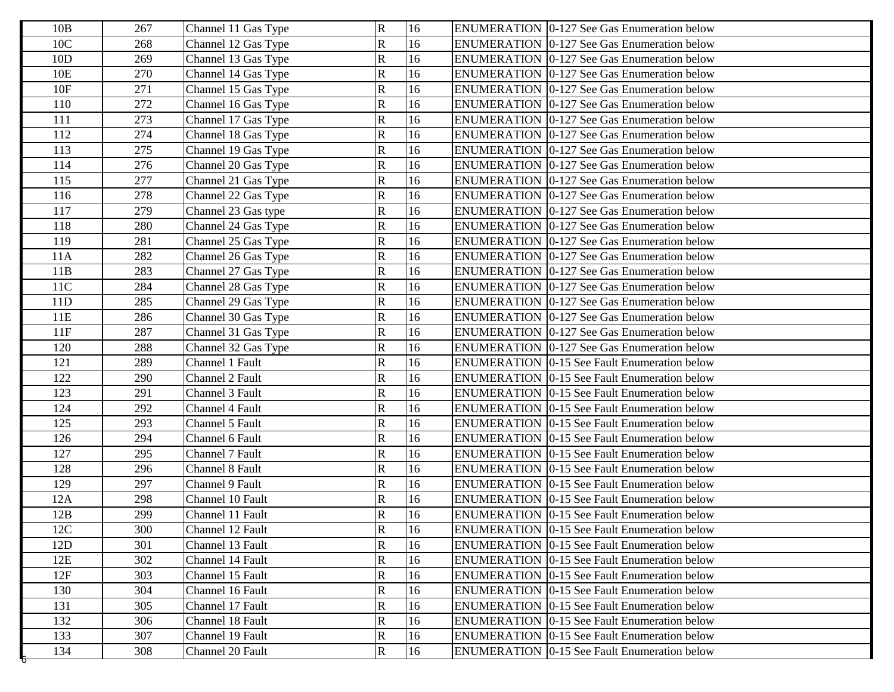| $\mathbf R$<br>16<br>10C<br>268<br><b>ENUMERATION</b> 0-127 See Gas Enumeration below<br>Channel 12 Gas Type<br>${\bf R}$<br>10D<br>16<br>269<br>Channel 13 Gas Type<br><b>ENUMERATION</b> 0-127 See Gas Enumeration below<br>$\overline{\mathsf{R}}$<br>16<br>10E<br>270<br><b>ENUMERATION 0-127 See Gas Enumeration below</b><br>Channel 14 Gas Type<br>10F<br>${\bf R}$<br>16<br>271<br><b>ENUMERATION</b> 0-127 See Gas Enumeration below<br>Channel 15 Gas Type<br>$\overline{\text{R}}$<br>16<br>110<br>272<br>Channel 16 Gas Type<br><b>ENUMERATION 0-127 See Gas Enumeration below</b><br>$\mathsf{R}% _{T}$<br>16<br>111<br>273<br>ENUMERATION 0-127 See Gas Enumeration below<br>Channel 17 Gas Type | 10B | 267 | Channel 11 Gas Type | $\mathbf R$ | 16 | <b>ENUMERATION</b> 0-127 See Gas Enumeration below |
|----------------------------------------------------------------------------------------------------------------------------------------------------------------------------------------------------------------------------------------------------------------------------------------------------------------------------------------------------------------------------------------------------------------------------------------------------------------------------------------------------------------------------------------------------------------------------------------------------------------------------------------------------------------------------------------------------------------|-----|-----|---------------------|-------------|----|----------------------------------------------------|
|                                                                                                                                                                                                                                                                                                                                                                                                                                                                                                                                                                                                                                                                                                                |     |     |                     |             |    |                                                    |
|                                                                                                                                                                                                                                                                                                                                                                                                                                                                                                                                                                                                                                                                                                                |     |     |                     |             |    |                                                    |
|                                                                                                                                                                                                                                                                                                                                                                                                                                                                                                                                                                                                                                                                                                                |     |     |                     |             |    |                                                    |
|                                                                                                                                                                                                                                                                                                                                                                                                                                                                                                                                                                                                                                                                                                                |     |     |                     |             |    |                                                    |
|                                                                                                                                                                                                                                                                                                                                                                                                                                                                                                                                                                                                                                                                                                                |     |     |                     |             |    |                                                    |
|                                                                                                                                                                                                                                                                                                                                                                                                                                                                                                                                                                                                                                                                                                                |     |     |                     |             |    |                                                    |
| $\overline{\mathsf{R}}$<br>16<br>274<br>112<br><b>ENUMERATION</b> 0-127 See Gas Enumeration below<br>Channel 18 Gas Type                                                                                                                                                                                                                                                                                                                                                                                                                                                                                                                                                                                       |     |     |                     |             |    |                                                    |
| ${\bf R}$<br>16<br>113<br>275<br><b>ENUMERATION</b> 0-127 See Gas Enumeration below<br>Channel 19 Gas Type                                                                                                                                                                                                                                                                                                                                                                                                                                                                                                                                                                                                     |     |     |                     |             |    |                                                    |
| $\mathbf R$<br>114<br>16<br>276<br>Channel 20 Gas Type<br><b>ENUMERATION</b> 0-127 See Gas Enumeration below                                                                                                                                                                                                                                                                                                                                                                                                                                                                                                                                                                                                   |     |     |                     |             |    |                                                    |
| $\mathsf{R}% _{T}$<br>115<br>277<br>16<br>Channel 21 Gas Type<br><b>ENUMERATION</b> 0-127 See Gas Enumeration below                                                                                                                                                                                                                                                                                                                                                                                                                                                                                                                                                                                            |     |     |                     |             |    |                                                    |
| $\mathbf R$<br>16<br>116<br>278<br><b>ENUMERATION</b> 0-127 See Gas Enumeration below<br>Channel 22 Gas Type                                                                                                                                                                                                                                                                                                                                                                                                                                                                                                                                                                                                   |     |     |                     |             |    |                                                    |
| $\overline{\mathsf{R}}$<br>16<br>117<br>279<br><b>ENUMERATION</b> 0-127 See Gas Enumeration below<br>Channel 23 Gas type                                                                                                                                                                                                                                                                                                                                                                                                                                                                                                                                                                                       |     |     |                     |             |    |                                                    |
| $\mathbf R$<br>118<br>16<br>280<br>Channel 24 Gas Type<br><b>ENUMERATION</b> 0-127 See Gas Enumeration below                                                                                                                                                                                                                                                                                                                                                                                                                                                                                                                                                                                                   |     |     |                     |             |    |                                                    |
| $\mathsf{R}$<br>119<br>16<br>281<br>Channel 25 Gas Type<br><b>ENUMERATION</b> 0-127 See Gas Enumeration below                                                                                                                                                                                                                                                                                                                                                                                                                                                                                                                                                                                                  |     |     |                     |             |    |                                                    |
| 282<br>$\mathbf R$<br>16<br>11A<br><b>ENUMERATION</b> 0-127 See Gas Enumeration below<br>Channel 26 Gas Type                                                                                                                                                                                                                                                                                                                                                                                                                                                                                                                                                                                                   |     |     |                     |             |    |                                                    |
| $\mathbf R$<br>16<br>283<br>11B<br><b>ENUMERATION</b> 0-127 See Gas Enumeration below<br>Channel 27 Gas Type                                                                                                                                                                                                                                                                                                                                                                                                                                                                                                                                                                                                   |     |     |                     |             |    |                                                    |
| $\overline{\mathsf{R}}$<br>11C<br>16<br>284<br><b>ENUMERATION</b> 0-127 See Gas Enumeration below<br>Channel 28 Gas Type                                                                                                                                                                                                                                                                                                                                                                                                                                                                                                                                                                                       |     |     |                     |             |    |                                                    |
| $\mathbf R$<br>11D<br>16<br>285<br>Channel 29 Gas Type<br><b>ENUMERATION</b> 0-127 See Gas Enumeration below                                                                                                                                                                                                                                                                                                                                                                                                                                                                                                                                                                                                   |     |     |                     |             |    |                                                    |
| $\overline{\mathsf{R}}$<br>16<br>11E<br>286<br>Channel 30 Gas Type<br><b>ENUMERATION</b> 0-127 See Gas Enumeration below                                                                                                                                                                                                                                                                                                                                                                                                                                                                                                                                                                                       |     |     |                     |             |    |                                                    |
| $\mathbf R$<br>16<br>11F<br>ENUMERATION 0-127 See Gas Enumeration below<br>287<br>Channel 31 Gas Type                                                                                                                                                                                                                                                                                                                                                                                                                                                                                                                                                                                                          |     |     |                     |             |    |                                                    |
| $\overline{\mathsf{R}}$<br>16<br>120<br>288<br><b>ENUMERATION</b> 0-127 See Gas Enumeration below<br>Channel 32 Gas Type                                                                                                                                                                                                                                                                                                                                                                                                                                                                                                                                                                                       |     |     |                     |             |    |                                                    |
| $\overline{\mathsf{R}}$<br>121<br>16<br>289<br>Channel 1 Fault<br><b>ENUMERATION</b> 0-15 See Fault Enumeration below                                                                                                                                                                                                                                                                                                                                                                                                                                                                                                                                                                                          |     |     |                     |             |    |                                                    |
| R<br>122<br>Channel 2 Fault<br>16<br><b>ENUMERATION</b> 0-15 See Fault Enumeration below<br>290                                                                                                                                                                                                                                                                                                                                                                                                                                                                                                                                                                                                                |     |     |                     |             |    |                                                    |
| $\mathbf R$<br>16<br>123<br>291<br>Channel 3 Fault<br><b>ENUMERATION 0-15 See Fault Enumeration below</b>                                                                                                                                                                                                                                                                                                                                                                                                                                                                                                                                                                                                      |     |     |                     |             |    |                                                    |
| 124<br>$\mathbf R$<br>16<br>ENUMERATION 0-15 See Fault Enumeration below<br>292<br>Channel 4 Fault                                                                                                                                                                                                                                                                                                                                                                                                                                                                                                                                                                                                             |     |     |                     |             |    |                                                    |
| $\overline{\mathsf{R}}$<br>125<br>16<br>293<br>Channel 5 Fault<br><b>ENUMERATION</b> 0-15 See Fault Enumeration below                                                                                                                                                                                                                                                                                                                                                                                                                                                                                                                                                                                          |     |     |                     |             |    |                                                    |
| $\mathbf R$<br>126<br>Channel 6 Fault<br>16<br><b>ENUMERATION</b> 0-15 See Fault Enumeration below<br>294                                                                                                                                                                                                                                                                                                                                                                                                                                                                                                                                                                                                      |     |     |                     |             |    |                                                    |
| $\mathbf R$<br>16<br>127<br>295<br><b>ENUMERATION</b> 0-15 See Fault Enumeration below<br>Channel 7 Fault                                                                                                                                                                                                                                                                                                                                                                                                                                                                                                                                                                                                      |     |     |                     |             |    |                                                    |
| ${\bf R}$<br>128<br>16<br>296<br>Channel 8 Fault<br><b>ENUMERATION</b> 0-15 See Fault Enumeration below                                                                                                                                                                                                                                                                                                                                                                                                                                                                                                                                                                                                        |     |     |                     |             |    |                                                    |
| $\mathbf R$<br>16<br>129<br>297<br>Channel 9 Fault<br><b>ENUMERATION</b> 0-15 See Fault Enumeration below                                                                                                                                                                                                                                                                                                                                                                                                                                                                                                                                                                                                      |     |     |                     |             |    |                                                    |
| ${\bf R}$<br>16<br>12A<br>298<br>Channel 10 Fault<br><b>ENUMERATION</b> 0-15 See Fault Enumeration below                                                                                                                                                                                                                                                                                                                                                                                                                                                                                                                                                                                                       |     |     |                     |             |    |                                                    |
| $\mathbf R$<br>16<br>12B<br>299<br><b>ENUMERATION</b> 0-15 See Fault Enumeration below<br>Channel 11 Fault                                                                                                                                                                                                                                                                                                                                                                                                                                                                                                                                                                                                     |     |     |                     |             |    |                                                    |
| 16<br>Channel 12 Fault<br>$\overline{R}$<br><b>ENUMERATION</b> 0-15 See Fault Enumeration below<br>12C<br>300                                                                                                                                                                                                                                                                                                                                                                                                                                                                                                                                                                                                  |     |     |                     |             |    |                                                    |
| $\mathbf R$<br>16<br>12D<br>301<br>Channel 13 Fault<br><b>ENUMERATION 0-15 See Fault Enumeration below</b>                                                                                                                                                                                                                                                                                                                                                                                                                                                                                                                                                                                                     |     |     |                     |             |    |                                                    |
| R<br>12E<br>302<br>16<br>Channel 14 Fault<br><b>ENUMERATION 0-15 See Fault Enumeration below</b>                                                                                                                                                                                                                                                                                                                                                                                                                                                                                                                                                                                                               |     |     |                     |             |    |                                                    |
| $\mathbf R$<br>16<br>12F<br>303<br><b>ENUMERATION 0-15 See Fault Enumeration below</b><br>Channel 15 Fault                                                                                                                                                                                                                                                                                                                                                                                                                                                                                                                                                                                                     |     |     |                     |             |    |                                                    |
| R<br>130<br>304<br>Channel 16 Fault<br>16<br><b>ENUMERATION</b> 0-15 See Fault Enumeration below                                                                                                                                                                                                                                                                                                                                                                                                                                                                                                                                                                                                               |     |     |                     |             |    |                                                    |
| $\mathbf R$<br>131<br>Channel 17 Fault<br>305<br>16<br><b>ENUMERATION 0-15 See Fault Enumeration below</b>                                                                                                                                                                                                                                                                                                                                                                                                                                                                                                                                                                                                     |     |     |                     |             |    |                                                    |
| R<br>132<br>306<br>Channel 18 Fault<br>16<br><b>ENUMERATION 0-15 See Fault Enumeration below</b>                                                                                                                                                                                                                                                                                                                                                                                                                                                                                                                                                                                                               |     |     |                     |             |    |                                                    |
| $\mathbf R$<br>133<br>Channel 19 Fault<br>16<br><b>ENUMERATION 0-15 See Fault Enumeration below</b><br>307                                                                                                                                                                                                                                                                                                                                                                                                                                                                                                                                                                                                     |     |     |                     |             |    |                                                    |
| 134<br>R<br>308<br>Channel 20 Fault<br>16<br><b>ENUMERATION 0-15 See Fault Enumeration below</b>                                                                                                                                                                                                                                                                                                                                                                                                                                                                                                                                                                                                               |     |     |                     |             |    |                                                    |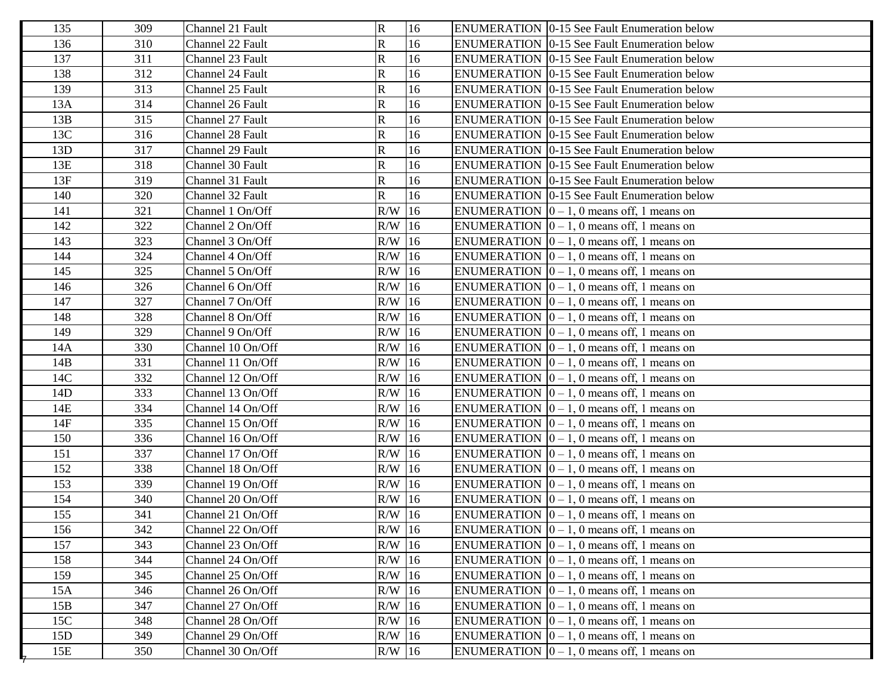| 135 | 309 | Channel 21 Fault  | $\mathbf R$        | 16 | <b>ENUMERATION</b> 0-15 See Fault Enumeration below      |
|-----|-----|-------------------|--------------------|----|----------------------------------------------------------|
| 136 | 310 | Channel 22 Fault  | $\mathbf R$        | 16 | <b>ENUMERATION 0-15 See Fault Enumeration below</b>      |
| 137 | 311 | Channel 23 Fault  | $\mathbf R$        | 16 | ENUMERATION   0-15 See Fault Enumeration below           |
| 138 | 312 | Channel 24 Fault  | $\mathbf R$        | 16 | <b>ENUMERATION 0-15 See Fault Enumeration below</b>      |
| 139 | 313 | Channel 25 Fault  | $\mathbf R$        | 16 | ENUMERATION 0-15 See Fault Enumeration below             |
| 13A | 314 | Channel 26 Fault  | $\mathbf R$        | 16 | <b>ENUMERATION</b> 0-15 See Fault Enumeration below      |
| 13B | 315 | Channel 27 Fault  | $\mathsf{R}% _{T}$ | 16 | ENUMERATION   0-15 See Fault Enumeration below           |
| 13C | 316 | Channel 28 Fault  | $\mathbf R$        | 16 | <b>ENUMERATION 0-15 See Fault Enumeration below</b>      |
| 13D | 317 | Channel 29 Fault  | ${\bf R}$          | 16 | <b>ENUMERATION 0-15 See Fault Enumeration below</b>      |
| 13E | 318 | Channel 30 Fault  | $\mathbf R$        | 16 | <b>ENUMERATION</b> 0-15 See Fault Enumeration below      |
| 13F | 319 | Channel 31 Fault  | $\mathbf R$        | 16 | ENUMERATION   0-15 See Fault Enumeration below           |
| 140 | 320 | Channel 32 Fault  | $\mathbf R$        | 16 | <b>ENUMERATION 0-15 See Fault Enumeration below</b>      |
| 141 | 321 | Channel 1 On/Off  | $R/W$ 16           |    | ENUMERATION $[0 - 1, 0$ means off, 1 means on            |
| 142 | 322 | Channel 2 On/Off  | $R/W$ 16           |    | ENUMERATION $[0 - 1, 0$ means off, 1 means on            |
| 143 | 323 | Channel 3 On/Off  | $R/W$ 16           |    | ENUMERATION $[0 - 1, 0$ means off, 1 means on            |
| 144 | 324 | Channel 4 On/Off  | $R/W$ 16           |    | ENUMERATION $[0 - 1, 0$ means off, 1 means on            |
| 145 | 325 | Channel 5 On/Off  | $R/W$ 16           |    | ENUMERATION $[0 - 1, 0$ means off, 1 means on            |
| 146 | 326 | Channel 6 On/Off  | $R/W$ 16           |    | ENUMERATION $[0 - 1, 0$ means off, 1 means on            |
| 147 | 327 | Channel 7 On/Off  | $R/W$ 16           |    | ENUMERATION $[0 - 1, 0$ means off, 1 means on            |
| 148 | 328 | Channel 8 On/Off  | $R/W$ 16           |    | ENUMERATION $\vert 0 - 1, 0 \vert$ means off, 1 means on |
| 149 | 329 | Channel 9 On/Off  | $R/W$ 16           |    | ENUMERATION $[0 - 1, 0$ means off, 1 means on            |
| 14A | 330 | Channel 10 On/Off | $R/W$ 16           |    | ENUMERATION $[0 - 1, 0$ means off, 1 means on            |
| 14B | 331 | Channel 11 On/Off | $R/W$ 16           |    | ENUMERATION $[0 - 1, 0$ means off, 1 means on            |
| 14C | 332 | Channel 12 On/Off | $R/W$ 16           |    | ENUMERATION $[0 - 1, 0$ means off, 1 means on            |
| 14D | 333 | Channel 13 On/Off | $R/W$ 16           |    | ENUMERATION $ 0 - 1$ , 0 means off, 1 means on           |
| 14E | 334 | Channel 14 On/Off | $R/W$ 16           |    | ENUMERATION $[0 - 1, 0$ means off, 1 means on            |
| 14F | 335 | Channel 15 On/Off | $R/W$ 16           |    | ENUMERATION $[0 - 1, 0$ means off, 1 means on            |
| 150 | 336 | Channel 16 On/Off | $R/W$ 16           |    | ENUMERATION $[0 - 1, 0$ means off, 1 means on            |
| 151 | 337 | Channel 17 On/Off | $R/W$ 16           |    | ENUMERATION $[0 - 1, 0$ means off, 1 means on            |
| 152 | 338 | Channel 18 On/Off | $R/W$ 16           |    | ENUMERATION $[0 - 1, 0$ means off, 1 means on            |
| 153 | 339 | Channel 19 On/Off | $R/W$ 16           |    | ENUMERATION $\vert 0 - 1, 0 \vert$ means off, 1 means on |
| 154 | 340 | Channel 20 On/Off | $R/W$ 16           |    | ENUMERATION $[0 - 1, 0$ means off, 1 means on            |
| 155 | 341 | Channel 21 On/Off | $R/W$ 16           |    | ENUMERATION $\vert 0-1, 0 \vert$ means off, 1 means on   |
| 156 | 342 | Channel 22 On/Off | $R/W$ 16           |    | ENUMERATION $\boxed{0} - 1$ , 0 means off, 1 means on    |
| 157 | 343 | Channel 23 On/Off | $R/W$ 16           |    | ENUMERATION $[0 - 1, 0$ means off, 1 means on            |
| 158 | 344 | Channel 24 On/Off | $R/W$ 16           |    | ENUMERATION $[0 - 1, 0$ means off, 1 means on            |
| 159 | 345 | Channel 25 On/Off | $R/W$ 16           |    | ENUMERATION $\vert 0-1, 0 \vert$ means off, 1 means on   |
| 15A | 346 | Channel 26 On/Off | $R/W$ 16           |    | ENUMERATION $\vert 0 - 1$ , 0 means off, 1 means on      |
| 15B | 347 | Channel 27 On/Off | $R/W$ 16           |    | ENUMERATION $\vert 0 - 1, 0 \vert$ means off, 1 means on |
| 15C | 348 | Channel 28 On/Off | $R/W$ 16           |    | ENUMERATION $[0 - 1, 0$ means off, 1 means on            |
| 15D | 349 | Channel 29 On/Off | $R/W$ 16           |    | ENUMERATION $[0 - 1, 0$ means off, 1 means on            |
| 15E | 350 | Channel 30 On/Off | $R/W$ 16           |    | ENUMERATION $\vert 0 - 1$ , 0 means off, 1 means on      |
|     |     |                   |                    |    |                                                          |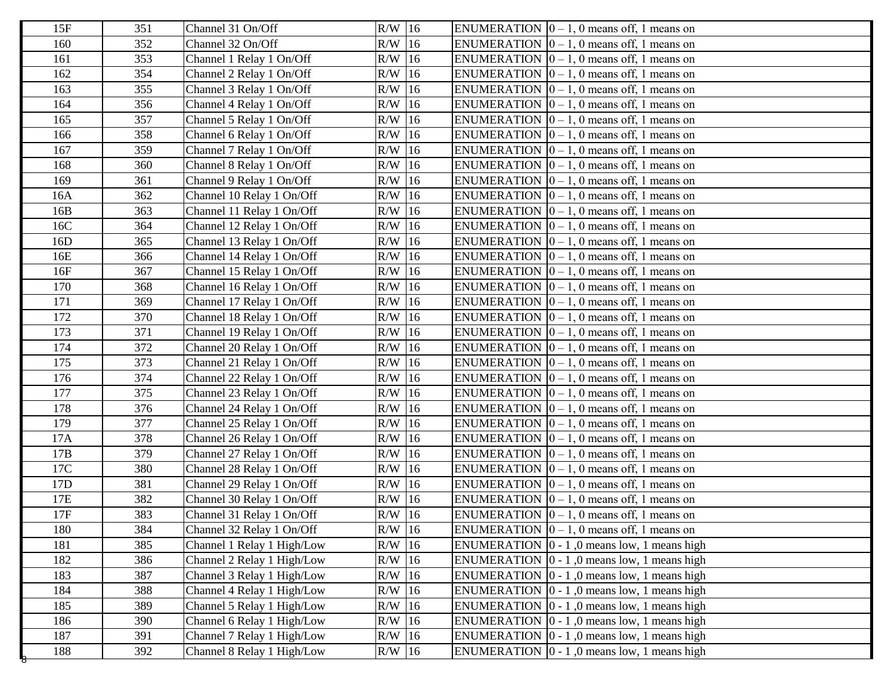| 15F | 351 | Channel 31 On/Off          | $R/W$ 16 | ENUMERATION $\vert 0-1, 0 \rangle$ means off, 1 means on    |
|-----|-----|----------------------------|----------|-------------------------------------------------------------|
| 160 | 352 | Channel 32 On/Off          | $R/W$ 16 | ENUMERATION $\vert 0 - 1, 0 \rangle$ means off, 1 means on  |
| 161 | 353 | Channel 1 Relay 1 On/Off   | $R/W$ 16 | ENUMERATION $\vert 0-1, 0 \vert$ means off, 1 means on      |
| 162 | 354 | Channel 2 Relay 1 On/Off   | R/W 16   | ENUMERATION $[0 - 1, 0$ means off, 1 means on               |
| 163 | 355 | Channel 3 Relay 1 On/Off   | $R/W$ 16 | ENUMERATION $[0 - 1, 0$ means off, 1 means on               |
| 164 | 356 | Channel 4 Relay 1 On/Off   | $R/W$ 16 | ENUMERATION $[0 - 1, 0$ means off, 1 means on               |
| 165 | 357 | Channel 5 Relay 1 On/Off   | R/W 16   | ENUMERATION $[0 - 1, 0$ means off, 1 means on               |
| 166 | 358 | Channel 6 Relay 1 On/Off   | $R/W$ 16 | ENUMERATION $[0 - 1, 0$ means off, 1 means on               |
| 167 | 359 | Channel 7 Relay 1 On/Off   | $R/W$ 16 | ENUMERATION $[0 - 1, 0$ means off, 1 means on               |
| 168 | 360 | Channel 8 Relay 1 On/Off   | $R/W$ 16 | ENUMERATION $[0 - 1, 0$ means off, 1 means on               |
| 169 | 361 | Channel 9 Relay 1 On/Off   | $R/W$ 16 | ENUMERATION $\vert 0-1, 0 \vert$ means off, 1 means on      |
| 16A | 362 | Channel 10 Relay 1 On/Off  | R/W 16   | ENUMERATION $\vert 0 - 1, 0 \rangle$ means off, 1 means on  |
| 16B | 363 | Channel 11 Relay 1 On/Off  | $R/W$ 16 | ENUMERATION $[0 - 1, 0$ means off, 1 means on               |
| 16C | 364 | Channel 12 Relay 1 On/Off  | $R/W$ 16 | ENUMERATION $[0 - 1, 0$ means off, 1 means on               |
| 16D | 365 | Channel 13 Relay 1 On/Off  | $R/W$ 16 | ENUMERATION $[0 - 1, 0$ means off, 1 means on               |
| 16E | 366 | Channel 14 Relay 1 On/Off  | $R/W$ 16 | ENUMERATION $[0 - 1, 0$ means off, 1 means on               |
| 16F | 367 | Channel 15 Relay 1 On/Off  | $R/W$ 16 | ENUMERATION $[0 - 1, 0$ means off, 1 means on               |
| 170 | 368 | Channel 16 Relay 1 On/Off  | $R/W$ 16 | ENUMERATION $[0 - 1, 0$ means off, 1 means on               |
| 171 | 369 | Channel 17 Relay 1 On/Off  | $R/W$ 16 | ENUMERATION $[0 - 1, 0$ means off, 1 means on               |
| 172 | 370 | Channel 18 Relay 1 On/Off  | $R/W$ 16 | ENUMERATION $\vert 0-1, 0 \vert$ means off, 1 means on      |
| 173 | 371 | Channel 19 Relay 1 On/Off  | $R/W$ 16 | ENUMERATION $[0 - 1, 0$ means off, 1 means on               |
| 174 | 372 | Channel 20 Relay 1 On/Off  | $R/W$ 16 | ENUMERATION $[0 - 1, 0$ means off, 1 means on               |
| 175 | 373 | Channel 21 Relay 1 On/Off  | $R/W$ 16 | ENUMERATION $[0 - 1, 0$ means off, 1 means on               |
| 176 | 374 | Channel 22 Relay 1 On/Off  | R/W 16   | ENUMERATION $\vert 0-1, 0 \vert$ means off, 1 means on      |
| 177 | 375 | Channel 23 Relay 1 On/Off  | $R/W$ 16 | ENUMERATION $[0 - 1, 0$ means off, 1 means on               |
| 178 | 376 | Channel 24 Relay 1 On/Off  | $R/W$ 16 | ENUMERATION $[0 - 1, 0$ means off, 1 means on               |
| 179 | 377 | Channel 25 Relay 1 On/Off  | $R/W$ 16 | ENUMERATION $[0 - 1, 0$ means off, 1 means on               |
| 17A | 378 | Channel 26 Relay 1 On/Off  | R/W 16   | ENUMERATION $[0 - 1, 0$ means off, 1 means on               |
| 17B | 379 | Channel 27 Relay 1 On/Off  | $R/W$ 16 | ENUMERATION $[0 - 1, 0$ means off, 1 means on               |
| 17C | 380 | Channel 28 Relay 1 On/Off  | $R/W$ 16 | ENUMERATION $[0 - 1, 0$ means off, 1 means on               |
| 17D | 381 | Channel 29 Relay 1 On/Off  | $R/W$ 16 | ENUMERATION $[0 - 1, 0$ means off, 1 means on               |
| 17E | 382 | Channel 30 Relay 1 On/Off  | $R/W$ 16 | ENUMERATION $[0 - 1, 0$ means off, 1 means on               |
| 17F | 383 | Channel 31 Relay 1 On/Off  | $R/W$ 16 | ENUMERATION $\vert 0 - 1, 0 \rangle$ means off, 1 means on  |
| 180 | 384 | Channel 32 Relay 1 On/Off  | $R/W$ 16 | ENUMERATION $\vert 0-1, 0 \rangle$ means off, 1 means on    |
| 181 | 385 | Channel 1 Relay 1 High/Low | $R/W$ 16 | ENUMERATION $\vert 0 - 1 \vert$ , 0 means low, 1 means high |
| 182 | 386 | Channel 2 Relay 1 High/Low | $R/W$ 16 | ENUMERATION $\vert 0 - 1 \vert$ , 0 means low, 1 means high |
| 183 | 387 | Channel 3 Relay 1 High/Low | $R/W$ 16 | ENUMERATION $\vert 0 - 1 \vert$ , 0 means low, 1 means high |
| 184 | 388 | Channel 4 Relay 1 High/Low | $R/W$ 16 | ENUMERATION $\vert 0 - 1 \vert$ , 0 means low, 1 means high |
| 185 | 389 | Channel 5 Relay 1 High/Low | $R/W$ 16 | ENUMERATION $\vert 0 - 1 \vert$ , 0 means low, 1 means high |
| 186 | 390 | Channel 6 Relay 1 High/Low | R/W 16   | ENUMERATION $\vert 0 - 1 \vert$ , 0 means low, 1 means high |
| 187 | 391 | Channel 7 Relay 1 High/Low | $R/W$ 16 | ENUMERATION $\vert 0 - 1 \vert$ , 0 means low, 1 means high |
| 188 | 392 | Channel 8 Relay 1 High/Low | $R/W$ 16 | ENUMERATION $\vert 0 - 1 \vert$ , 0 means low, 1 means high |
|     |     |                            |          |                                                             |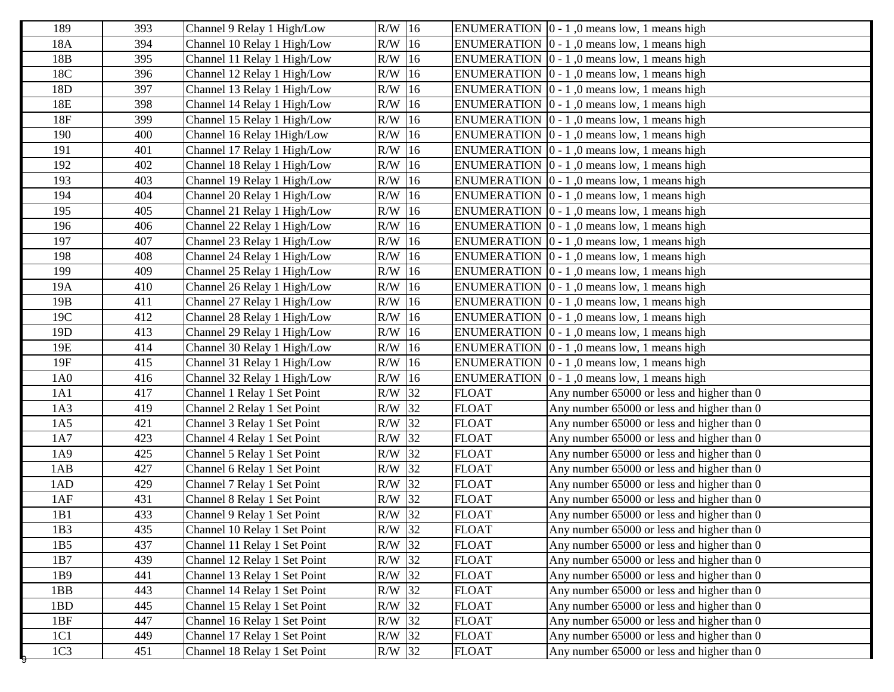| 189             | 393 | Channel 9 Relay 1 High/Low   | $R/W$ 16 |              | ENUMERATION $ 0 - 1 $ , 0 means low, 1 means high           |
|-----------------|-----|------------------------------|----------|--------------|-------------------------------------------------------------|
| 18A             | 394 | Channel 10 Relay 1 High/Low  | $R/W$ 16 |              | ENUMERATION $\vert 0 - 1 \vert$ , 0 means low, 1 means high |
| 18B             | 395 | Channel 11 Relay 1 High/Low  | $R/W$ 16 |              | ENUMERATION $[0 - 1, 0$ means low, 1 means high             |
| 18C             | 396 | Channel 12 Relay 1 High/Low  | $R/W$ 16 |              | ENUMERATION $[0 - 1, 0$ means low, 1 means high             |
| 18D             | 397 | Channel 13 Relay 1 High/Low  | $R/W$ 16 |              | ENUMERATION $ 0 - 1 $ , 0 means low, 1 means high           |
| 18E             | 398 | Channel 14 Relay 1 High/Low  | R/W 16   |              | ENUMERATION $ 0 - 1 $ , 0 means low, 1 means high           |
| 18F             | 399 | Channel 15 Relay 1 High/Low  | $R/W$ 16 |              | ENUMERATION $[0 - 1, 0$ means low, 1 means high             |
| 190             | 400 | Channel 16 Relay 1 High/Low  | $R/W$ 16 |              | ENUMERATION $[0 - 1, 0$ means low, 1 means high             |
| 191             | 401 | Channel 17 Relay 1 High/Low  | $R/W$ 16 |              | ENUMERATION $[0 - 1, 0$ means low, 1 means high             |
| 192             | 402 | Channel 18 Relay 1 High/Low  | $R/W$ 16 |              | ENUMERATION $[0 - 1, 0$ means low, 1 means high             |
| 193             | 403 | Channel 19 Relay 1 High/Low  | $R/W$ 16 |              | ENUMERATION $ 0 - 1 $ , 0 means low, 1 means high           |
| 194             | 404 | Channel 20 Relay 1 High/Low  | $R/W$ 16 |              | ENUMERATION $[0 - 1, 0$ means low, 1 means high             |
| 195             | 405 | Channel 21 Relay 1 High/Low  | $R/W$ 16 |              | ENUMERATION $ 0 - 1 $ , 0 means low, 1 means high           |
| 196             | 406 | Channel 22 Relay 1 High/Low  | $R/W$ 16 |              | ENUMERATION $[0 - 1, 0$ means low, 1 means high             |
| 197             | 407 | Channel 23 Relay 1 High/Low  | $R/W$ 16 |              | ENUMERATION $ 0 - 1 $ , 0 means low, 1 means high           |
| 198             | 408 | Channel 24 Relay 1 High/Low  | $R/W$ 16 |              | ENUMERATION $ 0 - 1 $ , 0 means low, 1 means high           |
| 199             | 409 | Channel 25 Relay 1 High/Low  | $R/W$ 16 |              | ENUMERATION $[0 - 1, 0$ means low, 1 means high             |
| 19A             | 410 | Channel 26 Relay 1 High/Low  | $R/W$ 16 |              | ENUMERATION $[0 - 1, 0$ means low, 1 means high             |
| 19B             | 411 | Channel 27 Relay 1 High/Low  | $R/W$ 16 |              | ENUMERATION $[0 - 1, 0$ means low, 1 means high             |
| 19C             | 412 | Channel 28 Relay 1 High/Low  | $R/W$ 16 |              | ENUMERATION $[0 - 1, 0$ means low, 1 means high             |
| 19D             | 413 | Channel 29 Relay 1 High/Low  | $R/W$ 16 |              | ENUMERATION $[0 - 1, 0$ means low, 1 means high             |
| 19E             | 414 | Channel 30 Relay 1 High/Low  | $R/W$ 16 |              | ENUMERATION $\vert 0 - 1 \vert$ , 0 means low, 1 means high |
| 19F             | 415 | Channel 31 Relay 1 High/Low  | $R/W$ 16 |              | ENUMERATION $[0 - 1, 0$ means low, 1 means high             |
| 1A0             | 416 | Channel 32 Relay 1 High/Low  | $R/W$ 16 |              | ENUMERATION $[0 - 1, 0$ means low, 1 means high             |
| 1A1             | 417 | Channel 1 Relay 1 Set Point  | $R/W$ 32 | <b>FLOAT</b> | Any number 65000 or less and higher than 0                  |
| 1A3             | 419 | Channel 2 Relay 1 Set Point  | $R/W$ 32 | <b>FLOAT</b> | Any number 65000 or less and higher than 0                  |
| 1A5             | 421 | Channel 3 Relay 1 Set Point  | $R/W$ 32 | <b>FLOAT</b> | Any number 65000 or less and higher than 0                  |
| 1A7             | 423 | Channel 4 Relay 1 Set Point  | $R/W$ 32 | <b>FLOAT</b> | Any number 65000 or less and higher than 0                  |
| 1A9             | 425 | Channel 5 Relay 1 Set Point  | R/W 32   | <b>FLOAT</b> | Any number 65000 or less and higher than 0                  |
| 1AB             | 427 | Channel 6 Relay 1 Set Point  | $R/W$ 32 | <b>FLOAT</b> | Any number 65000 or less and higher than 0                  |
| 1AD             | 429 | Channel 7 Relay 1 Set Point  | $R/W$ 32 | <b>FLOAT</b> | Any number 65000 or less and higher than 0                  |
| 1AF             | 431 | Channel 8 Relay 1 Set Point  | $R/W$ 32 | <b>FLOAT</b> | Any number 65000 or less and higher than 0                  |
| 1B1             | 433 | Channel 9 Relay 1 Set Point  | $R/W$ 32 | <b>FLOAT</b> | Any number 65000 or less and higher than 0                  |
| 1B3             | 435 | Channel 10 Relay 1 Set Point | R/W 32   | <b>FLOAT</b> | Any number 65000 or less and higher than 0                  |
| 1B5             | 437 | Channel 11 Relay 1 Set Point | $R/W$ 32 | <b>FLOAT</b> | Any number 65000 or less and higher than 0                  |
| 1B7             | 439 | Channel 12 Relay 1 Set Point | $R/W$ 32 | <b>FLOAT</b> | Any number 65000 or less and higher than 0                  |
| 1B9             | 441 | Channel 13 Relay 1 Set Point | $R/W$ 32 | <b>FLOAT</b> | Any number 65000 or less and higher than 0                  |
| 1BB             | 443 | Channel 14 Relay 1 Set Point | $R/W$ 32 | <b>FLOAT</b> | Any number 65000 or less and higher than 0                  |
| 1BD             | 445 | Channel 15 Relay 1 Set Point | $R/W$ 32 | <b>FLOAT</b> | Any number 65000 or less and higher than 0                  |
| 1BF             | 447 | Channel 16 Relay 1 Set Point | $R/W$ 32 | <b>FLOAT</b> | Any number 65000 or less and higher than 0                  |
| 1C1             | 449 | Channel 17 Relay 1 Set Point | $R/W$ 32 | <b>FLOAT</b> | Any number 65000 or less and higher than 0                  |
| 1C <sub>3</sub> | 451 | Channel 18 Relay 1 Set Point | R/W 32   | <b>FLOAT</b> | Any number 65000 or less and higher than 0                  |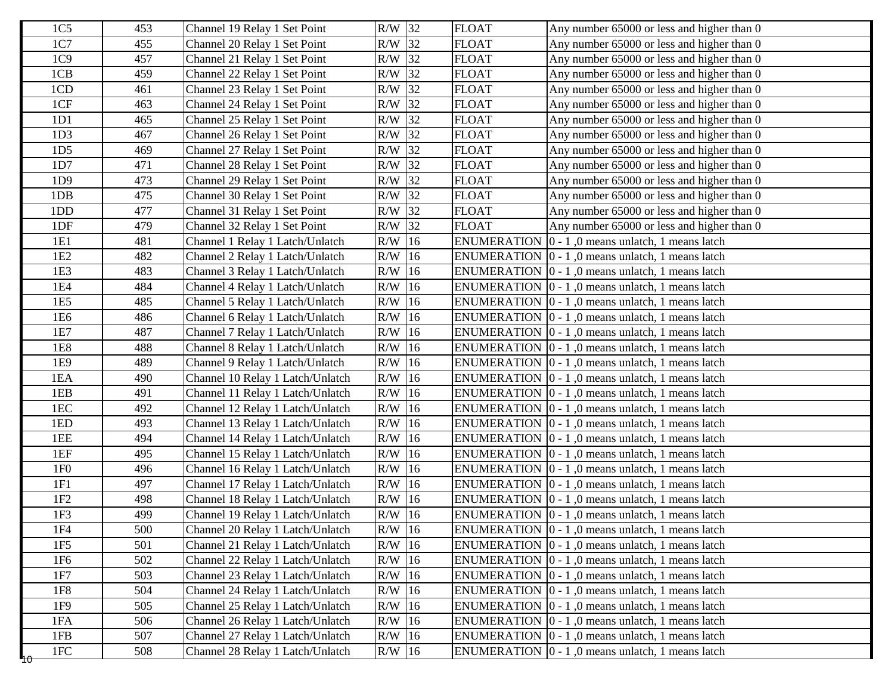| 1C <sub>5</sub>   | 453 | Channel 19 Relay 1 Set Point     | R/W 32   | <b>FLOAT</b> | Any number 65000 or less and higher than 0                       |
|-------------------|-----|----------------------------------|----------|--------------|------------------------------------------------------------------|
| 1C7               | 455 | Channel 20 Relay 1 Set Point     | R/W 32   | <b>FLOAT</b> | Any number 65000 or less and higher than 0                       |
| 1C9               | 457 | Channel 21 Relay 1 Set Point     | R/W 32   | <b>FLOAT</b> | Any number 65000 or less and higher than 0                       |
| 1CB               | 459 | Channel 22 Relay 1 Set Point     | R/W 32   | <b>FLOAT</b> | Any number 65000 or less and higher than 0                       |
| 1CD               | 461 | Channel 23 Relay 1 Set Point     | R/W 32   | <b>FLOAT</b> | Any number 65000 or less and higher than 0                       |
| 1CF               | 463 | Channel 24 Relay 1 Set Point     | $R/W$ 32 | <b>FLOAT</b> | Any number 65000 or less and higher than 0                       |
| 1D1               | 465 | Channel 25 Relay 1 Set Point     | R/W 32   | <b>FLOAT</b> | Any number 65000 or less and higher than 0                       |
| 1D <sub>3</sub>   | 467 | Channel 26 Relay 1 Set Point     | $R/W$ 32 | <b>FLOAT</b> | Any number 65000 or less and higher than 0                       |
| 1D5               | 469 | Channel 27 Relay 1 Set Point     | R/W 32   | <b>FLOAT</b> | Any number 65000 or less and higher than 0                       |
| 1D7               | 471 | Channel 28 Relay 1 Set Point     | $R/W$ 32 | <b>FLOAT</b> | Any number 65000 or less and higher than 0                       |
| 1D9               | 473 | Channel 29 Relay 1 Set Point     | R/W 32   | <b>FLOAT</b> | Any number 65000 or less and higher than 0                       |
| 1DB               | 475 | Channel 30 Relay 1 Set Point     | R/W 32   | <b>FLOAT</b> | Any number 65000 or less and higher than 0                       |
| 1 <sub>D</sub> D  | 477 | Channel 31 Relay 1 Set Point     | R/W 32   | <b>FLOAT</b> | Any number 65000 or less and higher than 0                       |
| 1DF               | 479 | Channel 32 Relay 1 Set Point     | R/W 32   | <b>FLOAT</b> | Any number 65000 or less and higher than 0                       |
| 1E1               | 481 | Channel 1 Relay 1 Latch/Unlatch  | $R/W$ 16 |              | ENUMERATION $\vert 0 - 1 \vert$ , 0 means unlatch, 1 means latch |
| 1E <sub>2</sub>   | 482 | Channel 2 Relay 1 Latch/Unlatch  | $R/W$ 16 |              | ENUMERATION $\vert 0 - 1 \vert$ , 0 means unlatch, 1 means latch |
| 1E3               | 483 | Channel 3 Relay 1 Latch/Unlatch  | $R/W$ 16 |              | ENUMERATION 0 - 1,0 means unlatch, 1 means latch                 |
| 1E4               | 484 | Channel 4 Relay 1 Latch/Unlatch  | $R/W$ 16 |              | ENUMERATION 0 - 1,0 means unlatch, 1 means latch                 |
| 1E5               | 485 | Channel 5 Relay 1 Latch/Unlatch  | $R/W$ 16 |              | ENUMERATION $\vert 0 - 1 \vert$ , 0 means unlatch, 1 means latch |
| 1E <sub>6</sub>   | 486 | Channel 6 Relay 1 Latch/Unlatch  | $R/W$ 16 |              | ENUMERATION $[0 - 1, 0$ means unlatch, 1 means latch             |
| 1E7               | 487 | Channel 7 Relay 1 Latch/Unlatch  | $R/W$ 16 |              | ENUMERATION $[0 - 1, 0$ means unlatch, 1 means latch             |
| 1E8               | 488 | Channel 8 Relay 1 Latch/Unlatch  | $R/W$ 16 |              | ENUMERATION 0 - 1,0 means unlatch, 1 means latch                 |
| 1E9               | 489 | Channel 9 Relay 1 Latch/Unlatch  | $R/W$ 16 |              | ENUMERATION $[0 - 1, 0$ means unlatch, 1 means latch             |
| 1EA               | 490 | Channel 10 Relay 1 Latch/Unlatch | $R/W$ 16 |              | ENUMERATION $\vert 0 - 1 \vert$ , 0 means unlatch, 1 means latch |
| 1EB               | 491 | Channel 11 Relay 1 Latch/Unlatch | $R/W$ 16 |              | ENUMERATION $[0 - 1, 0$ means unlatch, 1 means latch             |
| 1EC               | 492 | Channel 12 Relay 1 Latch/Unlatch | $R/W$ 16 |              | ENUMERATION 0 - 1,0 means unlatch, 1 means latch                 |
| 1ED               | 493 | Channel 13 Relay 1 Latch/Unlatch | $R/W$ 16 |              | ENUMERATION $[0 - 1, 0$ means unlatch, 1 means latch             |
| 1EE               | 494 | Channel 14 Relay 1 Latch/Unlatch | $R/W$ 16 |              | ENUMERATION $\vert 0 - 1 \vert$ , 0 means unlatch, 1 means latch |
| 1EF               | 495 | Channel 15 Relay 1 Latch/Unlatch | $R/W$ 16 |              | ENUMERATION 0 - 1,0 means unlatch, 1 means latch                 |
| 1F <sub>0</sub>   | 496 | Channel 16 Relay 1 Latch/Unlatch | $R/W$ 16 |              | ENUMERATION   0 - 1,0 means unlatch, 1 means latch               |
| 1F1               | 497 | Channel 17 Relay 1 Latch/Unlatch | $R/W$ 16 |              | ENUMERATION 0 - 1,0 means unlatch, 1 means latch                 |
| 1F2               | 498 | Channel 18 Relay 1 Latch/Unlatch | $R/W$ 16 |              | ENUMERATION $[0 - 1, 0$ means unlatch, 1 means latch             |
| 1F <sub>3</sub>   | 499 | Channel 19 Relay 1 Latch/Unlatch | $R/W$ 16 |              | ENUMERATION   0 - 1,0 means unlatch, 1 means latch               |
| 1F4               | 500 | Channel 20 Relay 1 Latch/Unlatch | $R/W$ 16 |              | ENUMERATION $\vert 0 - 1 \vert$ , 0 means unlatch, 1 means latch |
| 1F5               | 501 | Channel 21 Relay 1 Latch/Unlatch | $R/W$ 16 |              | ENUMERATION 0 - 1,0 means unlatch, 1 means latch                 |
| 1F6               | 502 | Channel 22 Relay 1 Latch/Unlatch | $R/W$ 16 |              | ENUMERATION $[0 - 1, 0$ means unlatch, 1 means latch             |
| 1F7               | 503 | Channel 23 Relay 1 Latch/Unlatch | $R/W$ 16 |              | ENUMERATION $\vert 0 - 1 \vert$ , 0 means unlatch, 1 means latch |
| 1F8               | 504 | Channel 24 Relay 1 Latch/Unlatch | $R/W$ 16 |              | ENUMERATION   0 - 1,0 means unlatch, 1 means latch               |
| 1F9               | 505 | Channel 25 Relay 1 Latch/Unlatch | $R/W$ 16 |              | ENUMERATION $\vert 0 - 1 \vert$ , 0 means unlatch, 1 means latch |
| 1FA               | 506 | Channel 26 Relay 1 Latch/Unlatch | $R/W$ 16 |              | ENUMERATION $\vert 0 - 1 \vert$ , 0 means unlatch, 1 means latch |
| 1FB               | 507 | Channel 27 Relay 1 Latch/Unlatch | $R/W$ 16 |              | ENUMERATION $\vert 0 - 1 \vert$ , 0 means unlatch, 1 means latch |
| $1{\rm FC}$<br>40 | 508 | Channel 28 Relay 1 Latch/Unlatch | $R/W$ 16 |              | ENUMERATION $\vert 0 - 1 \vert$ , 0 means unlatch, 1 means latch |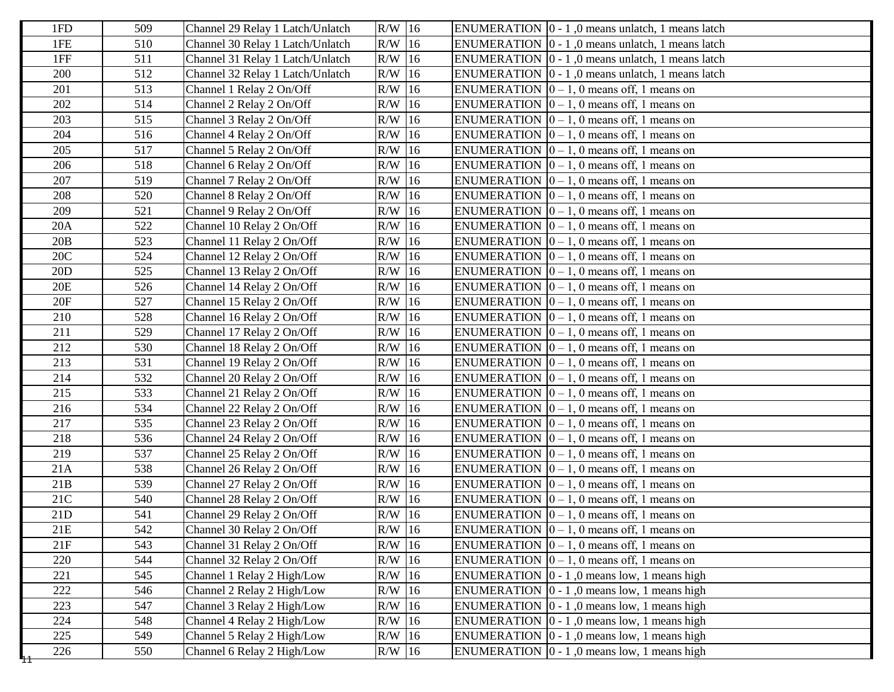| 1FD   | 509 | Channel 29 Relay 1 Latch/Unlatch | R/W 16   | ENUMERATION $\vert 0 - 1 \vert$ , 0 means unlatch, 1 means latch |
|-------|-----|----------------------------------|----------|------------------------------------------------------------------|
| 1FE   | 510 | Channel 30 Relay 1 Latch/Unlatch | $R/W$ 16 | ENUMERATION $ 0 - 1 $ , 0 means unlatch, 1 means latch           |
| 1FF   | 511 | Channel 31 Relay 1 Latch/Unlatch | R/W 16   | ENUMERATION $\vert 0 - 1 \vert$ , 0 means unlatch, 1 means latch |
| 200   | 512 | Channel 32 Relay 1 Latch/Unlatch | $R/W$ 16 | ENUMERATION   0 - 1,0 means unlatch, 1 means latch               |
| 201   | 513 | Channel 1 Relay 2 On/Off         | $R/W$ 16 | ENUMERATION $[0 - 1, 0$ means off, 1 means on                    |
| 202   | 514 | Channel 2 Relay 2 On/Off         | $R/W$ 16 | ENUMERATION $\vert 0-1, 0 \rangle$ means off, 1 means on         |
| 203   | 515 | Channel 3 Relay 2 On/Off         | R/W 16   | ENUMERATION $[0 - 1, 0$ means off, 1 means on                    |
| 204   | 516 | Channel 4 Relay 2 On/Off         | $R/W$ 16 | ENUMERATION $[0 - 1, 0$ means off, 1 means on                    |
| 205   | 517 | Channel 5 Relay 2 On/Off         | $R/W$ 16 | ENUMERATION $[0 - 1, 0$ means off, 1 means on                    |
| 206   | 518 | Channel 6 Relay 2 On/Off         | $R/W$ 16 | ENUMERATION $\vert 0 - 1, 0 \rangle$ means off, 1 means on       |
| 207   | 519 | Channel 7 Relay 2 On/Off         | R/W 16   | ENUMERATION $\vert 0-1, 0 \vert$ means off, 1 means on           |
| 208   | 520 | Channel 8 Relay 2 On/Off         | $R/W$ 16 | ENUMERATION $\vert 0 - 1, 0 \vert$ means off, 1 means on         |
| 209   | 521 | Channel 9 Relay 2 On/Off         | $R/W$ 16 | ENUMERATION $[0 - 1, 0$ means off, 1 means on                    |
| 20A   | 522 | Channel 10 Relay 2 On/Off        | $R/W$ 16 | ENUMERATION $[0 - 1, 0$ means off, 1 means on                    |
| 20B   | 523 | Channel 11 Relay 2 On/Off        | R/W 16   | ENUMERATION $[0 - 1, 0$ means off, 1 means on                    |
| 20C   | 524 | Channel 12 Relay 2 On/Off        | $R/W$ 16 | ENUMERATION $\vert 0 - 1, 0 \vert$ means off, 1 means on         |
| 20D   | 525 | Channel 13 Relay 2 On/Off        | $R/W$ 16 | ENUMERATION $[0 - 1, 0$ means off, 1 means on                    |
| 20E   | 526 | Channel 14 Relay 2 On/Off        | $R/W$ 16 | ENUMERATION $[0 - 1, 0$ means off, 1 means on                    |
| 20F   | 527 | Channel 15 Relay 2 On/Off        | $R/W$ 16 | ENUMERATION $\vert 0-1, 0 \vert$ means off, 1 means on           |
| 210   | 528 | Channel 16 Relay 2 On/Off        | $R/W$ 16 | ENUMERATION $\vert 0-1, 0 \vert$ means off, 1 means on           |
| 211   | 529 | Channel 17 Relay 2 On/Off        | $R/W$ 16 | ENUMERATION $[0 - 1, 0$ means off, 1 means on                    |
| 212   | 530 | Channel 18 Relay 2 On/Off        | $R/W$ 16 | ENUMERATION $[0 - 1, 0$ means off, 1 means on                    |
| 213   | 531 | Channel 19 Relay 2 On/Off        | R/W 16   | ENUMERATION $[0 - 1, 0$ means off, 1 means on                    |
| 214   | 532 | Channel 20 Relay 2 On/Off        | $R/W$ 16 | ENUMERATION $\vert 0 - 1, 0 \vert$ means off, 1 means on         |
| 215   | 533 | Channel 21 Relay 2 On/Off        | $R/W$ 16 | ENUMERATION $\vert 0 - 1, 0 \vert$ means off, 1 means on         |
| 216   | 534 | Channel 22 Relay 2 On/Off        | $R/W$ 16 | ENUMERATION $[0 - 1, 0$ means off, 1 means on                    |
| 217   | 535 | Channel 23 Relay 2 On/Off        | $R/W$ 16 | ENUMERATION $[0 - 1, 0$ means off, 1 means on                    |
| 218   | 536 | Channel 24 Relay 2 On/Off        | $R/W$ 16 | ENUMERATION $\vert 0-1, 0 \vert$ means off, 1 means on           |
| 219   | 537 | Channel 25 Relay 2 On/Off        | $R/W$ 16 | ENUMERATION $[0 - 1, 0$ means off, 1 means on                    |
| 21A   | 538 | Channel 26 Relay 2 On/Off        | $R/W$ 16 | ENUMERATION $[0 - 1, 0$ means off, 1 means on                    |
| 21B   | 539 | Channel 27 Relay 2 On/Off        | $R/W$ 16 | ENUMERATION $[0 - 1, 0$ means off, 1 means on                    |
| 21C   | 540 | Channel 28 Relay 2 On/Off        | $R/W$ 16 | ENUMERATION $[0 - 1, 0$ means off, 1 means on                    |
| 21D   | 541 | Channel 29 Relay 2 On/Off        | $R/W$ 16 | ENUMERATION $\vert 0-1, 0 \vert$ means off, 1 means on           |
| $21E$ | 542 | Channel 30 Relay 2 On/Off        | $R/W$ 16 | ENUMERATION $\vert 0-1, 0 \vert$ means off, 1 means on           |
| 21F   | 543 | Channel 31 Relay 2 On/Off        | $R/W$ 16 | ENUMERATION $\vert 0 - 1, 0 \vert$ means off, 1 means on         |
| 220   | 544 | Channel 32 Relay 2 On/Off        | R/W 16   | ENUMERATION $[0 - 1, 0$ means off, 1 means on                    |
| 221   | 545 | Channel 1 Relay 2 High/Low       | $R/W$ 16 | ENUMERATION $\vert 0 - 1 \vert$ , 0 means low, 1 means high      |
| 222   | 546 | Channel 2 Relay 2 High/Low       | $R/W$ 16 | ENUMERATION $\vert 0 - 1 \vert$ , 0 means low, 1 means high      |
| 223   | 547 | Channel 3 Relay 2 High/Low       | $R/W$ 16 | ENUMERATION $\vert 0 - 1 \vert$ , 0 means low, 1 means high      |
| 224   | 548 | Channel 4 Relay 2 High/Low       | $R/W$ 16 | ENUMERATION $\vert 0 - 1 \vert$ , 0 means low, 1 means high      |
| 225   | 549 | Channel 5 Relay 2 High/Low       | $R/W$ 16 | ENUMERATION $\vert 0 - 1 \vert$ , 0 means low, 1 means high      |
| 226   | 550 | Channel 6 Relay 2 High/Low       | $R/W$ 16 | ENUMERATION $\vert 0 - 1 \vert$ , 0 means low, 1 means high      |
|       |     |                                  |          |                                                                  |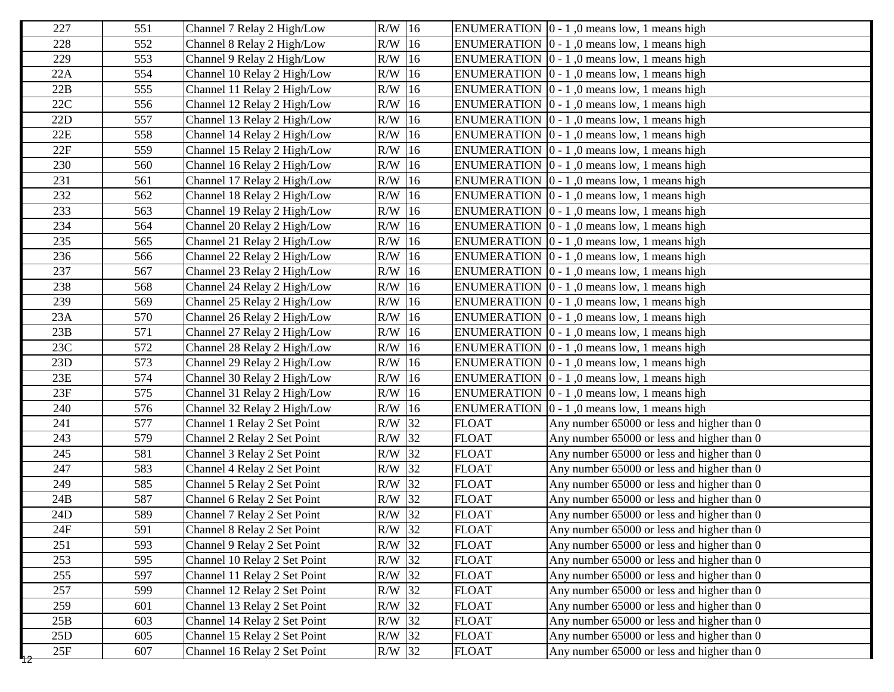| 227 | 551 | Channel 7 Relay 2 High/Low   | $R/W$ 16 |              | ENUMERATION $\vert 0 - 1 \vert$ , 0 means low, 1 means high |
|-----|-----|------------------------------|----------|--------------|-------------------------------------------------------------|
| 228 | 552 | Channel 8 Relay 2 High/Low   | $R/W$ 16 |              | ENUMERATION $\vert 0 - 1 \vert$ , 0 means low, 1 means high |
| 229 | 553 | Channel 9 Relay 2 High/Low   | $R/W$ 16 |              | ENUMERATION $[0 - 1, 0$ means low, 1 means high             |
| 22A | 554 | Channel 10 Relay 2 High/Low  | $R/W$ 16 |              | ENUMERATION $[0 - 1, 0$ means low, 1 means high             |
| 22B | 555 | Channel 11 Relay 2 High/Low  | $R/W$ 16 |              | ENUMERATION $[0 - 1, 0$ means low, 1 means high             |
| 22C | 556 | Channel 12 Relay 2 High/Low  | $R/W$ 16 |              | ENUMERATION $[0 - 1, 0$ means low, 1 means high             |
| 22D | 557 | Channel 13 Relay 2 High/Low  | $R/W$ 16 |              | ENUMERATION $[0 - 1, 0$ means low, 1 means high             |
| 22E | 558 | Channel 14 Relay 2 High/Low  | $R/W$ 16 |              | ENUMERATION $\vert 0 - 1 \vert$ , 0 means low, 1 means high |
| 22F | 559 | Channel 15 Relay 2 High/Low  | $R/W$ 16 |              | ENUMERATION $\vert 0 - 1 \vert$ , 0 means low, 1 means high |
| 230 | 560 | Channel 16 Relay 2 High/Low  | $R/W$ 16 |              | ENUMERATION $[0 - 1, 0$ means low, 1 means high             |
| 231 | 561 | Channel 17 Relay 2 High/Low  | $R/W$ 16 |              | ENUMERATION $[0 - 1, 0$ means low, 1 means high             |
| 232 | 562 | Channel 18 Relay 2 High/Low  | $R/W$ 16 |              | ENUMERATION $[0 - 1, 0$ means low, 1 means high             |
| 233 | 563 | Channel 19 Relay 2 High/Low  | $R/W$ 16 |              | ENUMERATION $\vert 0 - 1 \vert$ , 0 means low, 1 means high |
| 234 | 564 | Channel 20 Relay 2 High/Low  | $R/W$ 16 |              | ENUMERATION $\vert 0 - 1 \vert$ , 0 means low, 1 means high |
| 235 | 565 | Channel 21 Relay 2 High/Low  | $R/W$ 16 |              | ENUMERATION $\vert 0 - 1 \vert$ , 0 means low, 1 means high |
| 236 | 566 | Channel 22 Relay 2 High/Low  | $R/W$ 16 |              | ENUMERATION $\vert 0 - 1 \vert$ , 0 means low, 1 means high |
| 237 | 567 | Channel 23 Relay 2 High/Low  | $R/W$ 16 |              | ENUMERATION $[0 - 1, 0$ means low, 1 means high             |
| 238 | 568 | Channel 24 Relay 2 High/Low  | $R/W$ 16 |              | ENUMERATION $[0 - 1, 0$ means low, 1 means high             |
| 239 | 569 | Channel 25 Relay 2 High/Low  | $R/W$ 16 |              | ENUMERATION $[0 - 1, 0$ means low, 1 means high             |
| 23A | 570 | Channel 26 Relay 2 High/Low  | $R/W$ 16 |              | ENUMERATION $\vert 0 - 1 \vert$ , 0 means low, 1 means high |
| 23B | 571 | Channel 27 Relay 2 High/Low  | $R/W$ 16 |              | ENUMERATION $[0 - 1, 0$ means low, 1 means high             |
| 23C | 572 | Channel 28 Relay 2 High/Low  | $R/W$ 16 |              | ENUMERATION $\vert 0 - 1 \vert$ , 0 means low, 1 means high |
| 23D | 573 | Channel 29 Relay 2 High/Low  | $R/W$ 16 |              | ENUMERATION $[0 - 1, 0$ means low, 1 means high             |
| 23E | 574 | Channel 30 Relay 2 High/Low  | $R/W$ 16 |              | ENUMERATION $[0 - 1, 0$ means low, 1 means high             |
| 23F | 575 | Channel 31 Relay 2 High/Low  | $R/W$ 16 |              | ENUMERATION $[0 - 1, 0$ means low, 1 means high             |
| 240 | 576 | Channel 32 Relay 2 High/Low  | $R/W$ 16 |              | ENUMERATION $[0 - 1, 0$ means low, 1 means high             |
| 241 | 577 | Channel 1 Relay 2 Set Point  | $R/W$ 32 | <b>FLOAT</b> | Any number 65000 or less and higher than 0                  |
| 243 | 579 | Channel 2 Relay 2 Set Point  | R/W 32   | <b>FLOAT</b> | Any number 65000 or less and higher than 0                  |
| 245 | 581 | Channel 3 Relay 2 Set Point  | $R/W$ 32 | <b>FLOAT</b> | Any number 65000 or less and higher than 0                  |
| 247 | 583 | Channel 4 Relay 2 Set Point  | R/W 32   | <b>FLOAT</b> | Any number 65000 or less and higher than 0                  |
| 249 | 585 | Channel 5 Relay 2 Set Point  | $R/W$ 32 | <b>FLOAT</b> | Any number 65000 or less and higher than 0                  |
| 24B | 587 | Channel 6 Relay 2 Set Point  | R/W 32   | <b>FLOAT</b> | Any number 65000 or less and higher than 0                  |
| 24D | 589 | Channel 7 Relay 2 Set Point  | $R/W$ 32 | <b>FLOAT</b> | Any number 65000 or less and higher than 0                  |
| 24F | 591 | Channel 8 Relay 2 Set Point  | R/W 32   | <b>FLOAT</b> | Any number 65000 or less and higher than 0                  |
| 251 | 593 | Channel 9 Relay 2 Set Point  | $R/W$ 32 | <b>FLOAT</b> | Any number 65000 or less and higher than 0                  |
| 253 | 595 | Channel 10 Relay 2 Set Point | R/W 32   | <b>FLOAT</b> | Any number 65000 or less and higher than 0                  |
| 255 | 597 | Channel 11 Relay 2 Set Point | $R/W$ 32 | <b>FLOAT</b> | Any number 65000 or less and higher than 0                  |
| 257 | 599 | Channel 12 Relay 2 Set Point | $R/W$ 32 | <b>FLOAT</b> | Any number 65000 or less and higher than 0                  |
| 259 | 601 | Channel 13 Relay 2 Set Point | $R/W$ 32 | <b>FLOAT</b> | Any number 65000 or less and higher than 0                  |
| 25B | 603 | Channel 14 Relay 2 Set Point | R/W 32   | <b>FLOAT</b> | Any number 65000 or less and higher than 0                  |
| 25D | 605 | Channel 15 Relay 2 Set Point | $R/W$ 32 | <b>FLOAT</b> | Any number 65000 or less and higher than 0                  |
| 25F | 607 | Channel 16 Relay 2 Set Point | R/W 32   | <b>FLOAT</b> | Any number 65000 or less and higher than 0                  |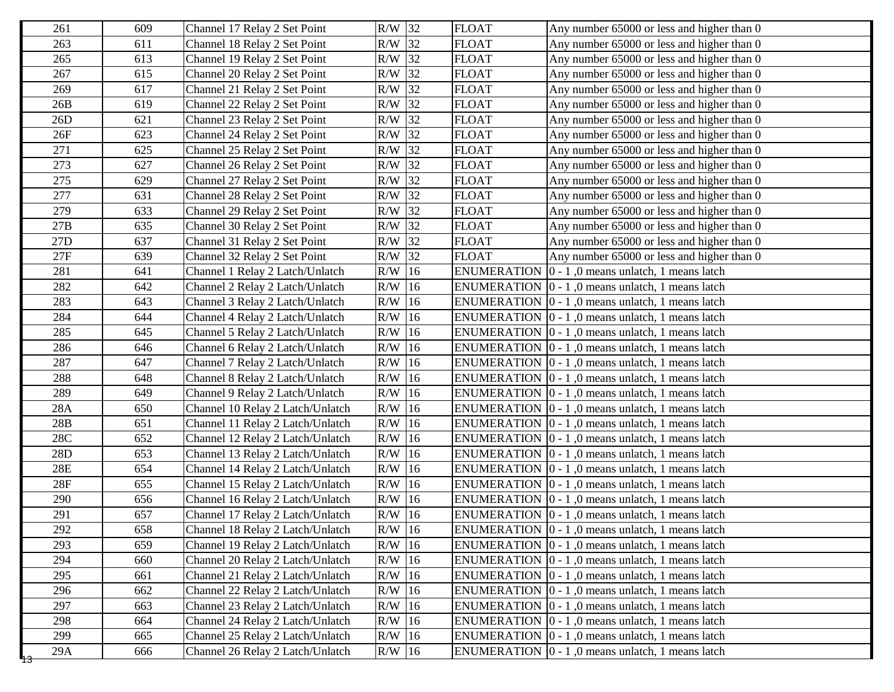| 261         | 609 | Channel 17 Relay 2 Set Point     | R/W 32   | <b>FLOAT</b> | Any number 65000 or less and higher than 0                       |
|-------------|-----|----------------------------------|----------|--------------|------------------------------------------------------------------|
| 263         | 611 | Channel 18 Relay 2 Set Point     | $R/W$ 32 | <b>FLOAT</b> | Any number 65000 or less and higher than 0                       |
| 265         | 613 | Channel 19 Relay 2 Set Point     | $R/W$ 32 | <b>FLOAT</b> | Any number 65000 or less and higher than 0                       |
| 267         | 615 | Channel 20 Relay 2 Set Point     | $R/W$ 32 | <b>FLOAT</b> | Any number 65000 or less and higher than 0                       |
| 269         | 617 | Channel 21 Relay 2 Set Point     | R/W 32   | <b>FLOAT</b> | Any number 65000 or less and higher than 0                       |
| 26B         | 619 | Channel 22 Relay 2 Set Point     | $R/W$ 32 | <b>FLOAT</b> | Any number 65000 or less and higher than 0                       |
| 26D         | 621 | Channel 23 Relay 2 Set Point     | R/W 32   | <b>FLOAT</b> | Any number 65000 or less and higher than 0                       |
| 26F         | 623 | Channel 24 Relay 2 Set Point     | $R/W$ 32 | <b>FLOAT</b> | Any number 65000 or less and higher than 0                       |
| 271         | 625 | Channel 25 Relay 2 Set Point     | R/W 32   | <b>FLOAT</b> | Any number 65000 or less and higher than 0                       |
| 273         | 627 | Channel 26 Relay 2 Set Point     | $R/W$ 32 | <b>FLOAT</b> | Any number 65000 or less and higher than 0                       |
| 275         | 629 | Channel 27 Relay 2 Set Point     | $R/W$ 32 | <b>FLOAT</b> | Any number 65000 or less and higher than 0                       |
| 277         | 631 | Channel 28 Relay 2 Set Point     | $R/W$ 32 | <b>FLOAT</b> | Any number 65000 or less and higher than 0                       |
| 279         | 633 | Channel 29 Relay 2 Set Point     | $R/W$ 32 | <b>FLOAT</b> | Any number 65000 or less and higher than 0                       |
| 27B         | 635 | Channel 30 Relay 2 Set Point     | $R/W$ 32 | <b>FLOAT</b> | Any number 65000 or less and higher than 0                       |
| 27D         | 637 | Channel 31 Relay 2 Set Point     | $R/W$ 32 | <b>FLOAT</b> | Any number 65000 or less and higher than 0                       |
| 27F         | 639 | Channel 32 Relay 2 Set Point     | $R/W$ 32 | <b>FLOAT</b> | Any number 65000 or less and higher than 0                       |
| 281         | 641 | Channel 1 Relay 2 Latch/Unlatch  | $R/W$ 16 |              | ENUMERATION $\vert 0 - 1 \vert$ , 0 means unlatch, 1 means latch |
| 282         | 642 | Channel 2 Relay 2 Latch/Unlatch  | $R/W$ 16 |              | ENUMERATION $[0 - 1, 0$ means unlatch, 1 means latch             |
| 283         | 643 | Channel 3 Relay 2 Latch/Unlatch  | $R/W$ 16 |              | ENUMERATION $[0 - 1, 0$ means unlatch, 1 means latch             |
| 284         | 644 | Channel 4 Relay 2 Latch/Unlatch  | $R/W$ 16 |              | ENUMERATION $\vert 0 - 1 \vert$ , 0 means unlatch, 1 means latch |
| 285         | 645 | Channel 5 Relay 2 Latch/Unlatch  | $R/W$ 16 |              | ENUMERATION $[0 - 1, 0$ means unlatch, 1 means latch             |
| 286         | 646 | Channel 6 Relay 2 Latch/Unlatch  | $R/W$ 16 |              | ENUMERATION $\vert 0 - 1 \vert$ , 0 means unlatch, 1 means latch |
| 287         | 647 | Channel 7 Relay 2 Latch/Unlatch  | $R/W$ 16 |              | ENUMERATION $[0 - 1, 0$ means unlatch, 1 means latch             |
| 288         | 648 | Channel 8 Relay 2 Latch/Unlatch  | $R/W$ 16 |              | ENUMERATION $\vert 0 - 1 \vert$ , 0 means unlatch, 1 means latch |
| 289         | 649 | Channel 9 Relay 2 Latch/Unlatch  | $R/W$ 16 |              | ENUMERATION 0 - 1,0 means unlatch, 1 means latch                 |
| 28A         | 650 | Channel 10 Relay 2 Latch/Unlatch | $R/W$ 16 |              | ENUMERATION $[0 - 1, 0$ means unlatch, 1 means latch             |
| 28B         | 651 | Channel 11 Relay 2 Latch/Unlatch | $R/W$ 16 |              | ENUMERATION $[0 - 1, 0$ means unlatch, 1 means latch             |
| 28C         | 652 | Channel 12 Relay 2 Latch/Unlatch | $R/W$ 16 |              | ENUMERATION $[0 - 1, 0$ means unlatch, 1 means latch             |
| 28D         | 653 | Channel 13 Relay 2 Latch/Unlatch | $R/W$ 16 |              | ENUMERATION $[0 - 1, 0$ means unlatch, 1 means latch             |
| 28E         | 654 | Channel 14 Relay 2 Latch/Unlatch | $R/W$ 16 |              | ENUMERATION $[0 - 1, 0$ means unlatch, 1 means latch             |
| 28F         | 655 | Channel 15 Relay 2 Latch/Unlatch | $R/W$ 16 |              | ENUMERATION $\vert 0 - 1 \vert$ , 0 means unlatch, 1 means latch |
| 290         | 656 | Channel 16 Relay 2 Latch/Unlatch | $R/W$ 16 |              | ENUMERATION $[0 - 1, 0$ means unlatch, 1 means latch             |
| 291         | 657 | Channel 17 Relay 2 Latch/Unlatch | R/W 16   |              | ENUMERATION   0 - 1,0 means unlatch, 1 means latch               |
| 292         | 658 | Channel 18 Relay 2 Latch/Unlatch | $R/W$ 16 |              | ENUMERATION $\vert 0 - 1 \vert$ , 0 means unlatch, 1 means latch |
| 293         | 659 | Channel 19 Relay 2 Latch/Unlatch | $R/W$ 16 |              | ENUMERATION $[0 - 1, 0$ means unlatch, 1 means latch             |
| 294         | 660 | Channel 20 Relay 2 Latch/Unlatch | $R/W$ 16 |              | ENUMERATION $\vert 0 - 1 \vert$ , 0 means unlatch, 1 means latch |
| 295         | 661 | Channel 21 Relay 2 Latch/Unlatch | $R/W$ 16 |              | ENUMERATION $\vert 0 - 1 \vert$ , 0 means unlatch, 1 means latch |
| 296         | 662 | Channel 22 Relay 2 Latch/Unlatch | $R/W$ 16 |              | ENUMERATION $\vert 0 - 1 \vert$ , 0 means unlatch, 1 means latch |
| 297         | 663 | Channel 23 Relay 2 Latch/Unlatch | $R/W$ 16 |              | ENUMERATION $\vert 0 - 1 \vert$ , 0 means unlatch, 1 means latch |
| 298         | 664 | Channel 24 Relay 2 Latch/Unlatch | $R/W$ 16 |              | ENUMERATION $[0 - 1, 0$ means unlatch, 1 means latch             |
| 299         | 665 | Channel 25 Relay 2 Latch/Unlatch | $R/W$ 16 |              | ENUMERATION $\vert 0 - 1 \vert$ , 0 means unlatch, 1 means latch |
| 29A<br>ᡃᡰᡃᡠ | 666 | Channel 26 Relay 2 Latch/Unlatch | $R/W$ 16 |              | ENUMERATION $\vert 0 - 1 \vert$ , 0 means unlatch, 1 means latch |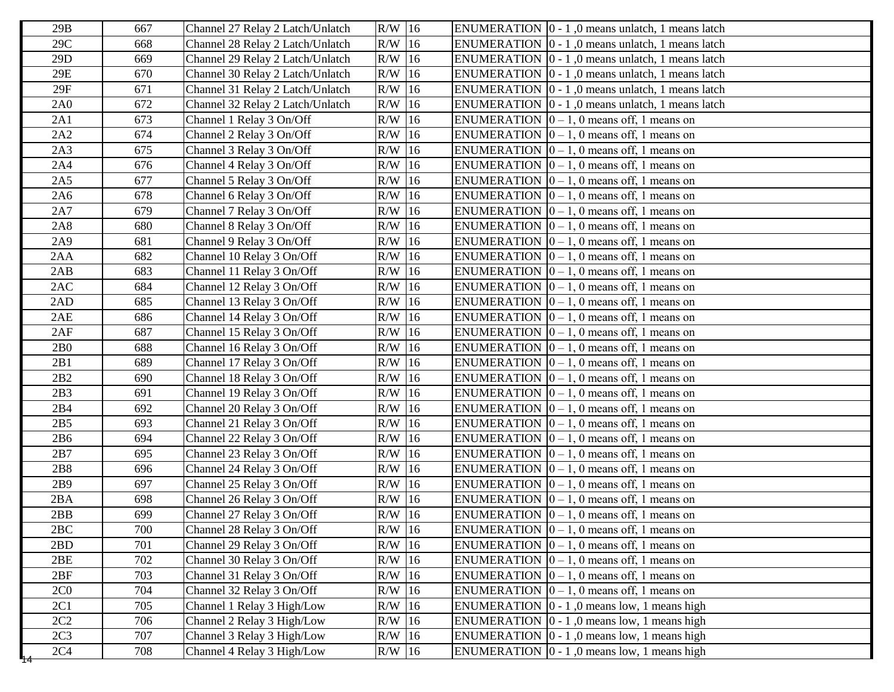| 29B             | 667 | Channel 27 Relay 2 Latch/Unlatch | $R/W$ 16 | ENUMERATION $\vert 0 - 1 \vert$ , 0 means unlatch, 1 means latch |
|-----------------|-----|----------------------------------|----------|------------------------------------------------------------------|
| 29C             | 668 | Channel 28 Relay 2 Latch/Unlatch | $R/W$ 16 | ENUMERATION $\vert 0 - 1 \vert$ , 0 means unlatch, 1 means latch |
| 29D             | 669 | Channel 29 Relay 2 Latch/Unlatch | R/W 16   | ENUMERATION $\vert 0 - 1 \vert$ , 0 means unlatch, 1 means latch |
| 29E             | 670 | Channel 30 Relay 2 Latch/Unlatch | $R/W$ 16 | ENUMERATION $\vert 0 - 1 \vert$ , 0 means unlatch, 1 means latch |
| $29F$           | 671 | Channel 31 Relay 2 Latch/Unlatch | $R/W$ 16 | ENUMERATION $\vert 0 - 1 \vert$ , 0 means unlatch, 1 means latch |
| 2A0             | 672 | Channel 32 Relay 2 Latch/Unlatch | $R/W$ 16 | ENUMERATION $\vert 0 - 1 \vert$ , 0 means unlatch, 1 means latch |
| 2A1             | 673 | Channel 1 Relay 3 On/Off         | $R/W$ 16 | ENUMERATION $[0 - 1, 0$ means off, 1 means on                    |
| 2A2             | 674 | Channel 2 Relay 3 On/Off         | $R/W$ 16 | ENUMERATION $\vert 0 - 1$ , 0 means off, 1 means on              |
| 2A3             | 675 | Channel 3 Relay 3 On/Off         | $R/W$ 16 | ENUMERATION $[0 - 1, 0$ means off, 1 means on                    |
| 2A4             | 676 | Channel 4 Relay 3 On/Off         | $R/W$ 16 | ENUMERATION $\vert 0 - 1, 0 \rangle$ means off, 1 means on       |
| 2A5             | 677 | Channel 5 Relay 3 On/Off         | $R/W$ 16 | ENUMERATION $\vert 0-1, 0 \vert$ means off, 1 means on           |
| 2A6             | 678 | Channel 6 Relay 3 On/Off         | $R/W$ 16 | ENUMERATION $\vert 0-1, 0 \vert$ means off, 1 means on           |
| 2A7             | 679 | Channel 7 Relay 3 On/Off         | $R/W$ 16 | ENUMERATION $\vert 0-1, 0 \rangle$ means off, 1 means on         |
| 2A8             | 680 | Channel 8 Relay 3 On/Off         | $R/W$ 16 | ENUMERATION $[0 - 1, 0$ means off, 1 means on                    |
| 2A9             | 681 | Channel 9 Relay 3 On/Off         | $R/W$ 16 | ENUMERATION $[0 - 1, 0$ means off, 1 means on                    |
| 2AA             | 682 | Channel 10 Relay 3 On/Off        | $R/W$ 16 | ENUMERATION $\vert 0-1, 0 \vert$ means off, 1 means on           |
| 2AB             | 683 | Channel 11 Relay 3 On/Off        | $R/W$ 16 | ENUMERATION $[0 - 1, 0$ means off, 1 means on                    |
| 2AC             | 684 | Channel 12 Relay 3 On/Off        | $R/W$ 16 | ENUMERATION $\vert 0 - 1, 0 \vert$ means off, 1 means on         |
| 2AD             | 685 | Channel 13 Relay 3 On/Off        | $R/W$ 16 | ENUMERATION $\vert 0-1, 0 \vert$ means off, 1 means on           |
| 2AE             | 686 | Channel 14 Relay 3 On/Off        | $R/W$ 16 | ENUMERATION $\vert 0 - 1, 0 \rangle$ means off, 1 means on       |
| 2AF             | 687 | Channel 15 Relay 3 On/Off        | $R/W$ 16 | ENUMERATION $[0 - 1, 0$ means off, 1 means on                    |
| 2B0             | 688 | Channel 16 Relay 3 On/Off        | $R/W$ 16 | ENUMERATION $[0 - 1, 0$ means off, 1 means on                    |
| 2B1             | 689 | Channel 17 Relay 3 On/Off        | $R/W$ 16 | ENUMERATION $[0 - 1, 0$ means off, 1 means on                    |
| 2B2             | 690 | Channel 18 Relay 3 On/Off        | $R/W$ 16 | ENUMERATION $\vert 0-1, 0 \vert$ means off, 1 means on           |
| 2B3             | 691 | Channel 19 Relay 3 On/Off        | $R/W$ 16 | ENUMERATION $ 0 - 1$ , 0 means off, 1 means on                   |
| 2B4             | 692 | Channel 20 Relay 3 On/Off        | $R/W$ 16 | ENUMERATION $[0 - 1, 0$ means off, 1 means on                    |
| 2B5             | 693 | Channel 21 Relay 3 On/Off        | $R/W$ 16 | ENUMERATION $[0 - 1, 0$ means off, 1 means on                    |
| 2B6             | 694 | Channel 22 Relay 3 On/Off        | $R/W$ 16 | ENUMERATION $\vert 0-1, 0 \vert$ means off, 1 means on           |
| 2B7             | 695 | Channel 23 Relay 3 On/Off        | $R/W$ 16 | ENUMERATION $[0 - 1, 0$ means off, 1 means on                    |
| 2B8             | 696 | Channel 24 Relay 3 On/Off        | $R/W$ 16 | ENUMERATION $[0 - 1, 0$ means off, 1 means on                    |
| 2B9             | 697 | Channel 25 Relay 3 On/Off        | $R/W$ 16 | ENUMERATION $[0 - 1, 0$ means off, 1 means on                    |
| 2BA             | 698 | Channel 26 Relay 3 On/Off        | $R/W$ 16 | ENUMERATION $\vert 0 - 1$ , 0 means off, 1 means on              |
| 2BB             | 699 | Channel 27 Relay 3 On/Off        | $R/W$ 16 | ENUMERATION $\vert 0-1, 0 \vert$ means off, 1 means on           |
| 2BC             | 700 | Channel 28 Relay 3 On/Off        | $R/W$ 16 | ENUMERATION $\boxed{0} - 1$ , 0 means off, 1 means on            |
| 2BD             | 701 | Channel 29 Relay 3 On/Off        | $R/W$ 16 | ENUMERATION $[0 - 1, 0$ means off, 1 means on                    |
| 2BE             | 702 | Channel 30 Relay 3 On/Off        | $R/W$ 16 | ENUMERATION $\vert 0-1, 0 \vert$ means off, 1 means on           |
| 2BF             | 703 | Channel 31 Relay 3 On/Off        | $R/W$ 16 | ENUMERATION $\vert 0-1, 0 \vert$ means off, 1 means on           |
| 2C <sub>0</sub> | 704 | Channel 32 Relay 3 On/Off        | $R/W$ 16 | ENUMERATION $\vert 0-1, 0 \vert$ means off, 1 means on           |
| 2C1             | 705 | Channel 1 Relay 3 High/Low       | $R/W$ 16 | ENUMERATION $\vert 0 - 1 \vert$ , 0 means low, 1 means high      |
| 2C2             | 706 | Channel 2 Relay 3 High/Low       | $R/W$ 16 | ENUMERATION $\vert 0 - 1 \vert$ , 0 means low, 1 means high      |
| 2C <sub>3</sub> | 707 | Channel 3 Relay 3 High/Low       | $R/W$ 16 | ENUMERATION $\vert 0 - 1 \vert$ , 0 means low, 1 means high      |
| 2C <sub>4</sub> | 708 | Channel 4 Relay 3 High/Low       | $R/W$ 16 | ENUMERATION $\vert 0 - 1 \vert$ , 0 means low, 1 means high      |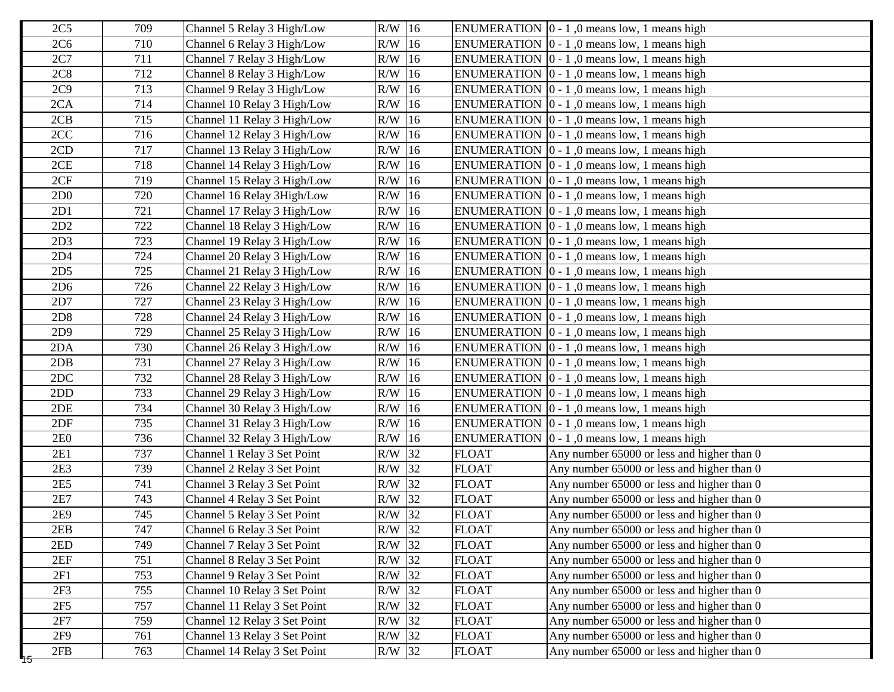| 2C <sub>5</sub> | 709 | Channel 5 Relay 3 High/Low   | $R/W$ 16 |              | ENUMERATION $\vert 0 - 1 \vert$ , 0 means low, 1 means high |
|-----------------|-----|------------------------------|----------|--------------|-------------------------------------------------------------|
| 2C <sub>6</sub> | 710 | Channel 6 Relay 3 High/Low   | $R/W$ 16 |              | ENUMERATION $\vert 0 - 1 \vert$ , 0 means low, 1 means high |
| 2C7             | 711 | Channel 7 Relay 3 High/Low   | $R/W$ 16 |              | ENUMERATION $[0 - 1, 0$ means low, 1 means high             |
| 2C8             | 712 | Channel 8 Relay 3 High/Low   | $R/W$ 16 |              | ENUMERATION $[0 - 1, 0$ means low, 1 means high             |
| 2C9             | 713 | Channel 9 Relay 3 High/Low   | $R/W$ 16 |              | ENUMERATION $[0 - 1, 0$ means low, 1 means high             |
| 2CA             | 714 | Channel 10 Relay 3 High/Low  | $R/W$ 16 |              | ENUMERATION $[0 - 1, 0$ means low, 1 means high             |
| 2CB             | 715 | Channel 11 Relay 3 High/Low  | $R/W$ 16 |              | ENUMERATION $[0 - 1, 0$ means low, 1 means high             |
| 2CC             | 716 | Channel 12 Relay 3 High/Low  | $R/W$ 16 |              | ENUMERATION $\vert 0 - 1 \vert$ , 0 means low, 1 means high |
| 2CD             | 717 | Channel 13 Relay 3 High/Low  | $R/W$ 16 |              | ENUMERATION $\vert 0 - 1 \vert$ , 0 means low, 1 means high |
| 2CE             | 718 | Channel 14 Relay 3 High/Low  | $R/W$ 16 |              | ENUMERATION $[0 - 1, 0$ means low, 1 means high             |
| 2CF             | 719 | Channel 15 Relay 3 High/Low  | $R/W$ 16 |              | ENUMERATION $[0 - 1, 0$ means low, 1 means high             |
| 2D <sub>0</sub> | 720 | Channel 16 Relay 3High/Low   | $R/W$ 16 |              | ENUMERATION $[0 - 1, 0$ means low, 1 means high             |
| 2D1             | 721 | Channel 17 Relay 3 High/Low  | $R/W$ 16 |              | ENUMERATION $ 0 - 1 $ , 0 means low, 1 means high           |
| 2D2             | 722 | Channel 18 Relay 3 High/Low  | $R/W$ 16 |              | ENUMERATION $\vert 0 - 1 \vert$ , 0 means low, 1 means high |
| 2D <sub>3</sub> | 723 | Channel 19 Relay 3 High/Low  | $R/W$ 16 |              | ENUMERATION $ 0 - 1 $ , 0 means low, 1 means high           |
| 2D4             | 724 | Channel 20 Relay 3 High/Low  | $R/W$ 16 |              | ENUMERATION $\vert 0 - 1 \vert$ , 0 means low, 1 means high |
| 2D <sub>5</sub> | 725 | Channel 21 Relay 3 High/Low  | $R/W$ 16 |              | ENUMERATION $[0 - 1, 0$ means low, 1 means high             |
| 2D6             | 726 | Channel 22 Relay 3 High/Low  | $R/W$ 16 |              | ENUMERATION $[0 - 1, 0$ means low, 1 means high             |
| 2D7             | 727 | Channel 23 Relay 3 High/Low  | $R/W$ 16 |              | ENUMERATION $[0 - 1, 0$ means low, 1 means high             |
| 2D8             | 728 | Channel 24 Relay 3 High/Low  | $R/W$ 16 |              | ENUMERATION $\vert 0 - 1 \vert$ , 0 means low, 1 means high |
| 2D9             | 729 | Channel 25 Relay 3 High/Low  | $R/W$ 16 |              | ENUMERATION $[0 - 1, 0$ means low, 1 means high             |
| 2DA             | 730 | Channel 26 Relay 3 High/Low  | $R/W$ 16 |              | ENUMERATION $\vert 0 - 1 \vert$ , 0 means low, 1 means high |
| 2DB             | 731 | Channel 27 Relay 3 High/Low  | $R/W$ 16 |              | ENUMERATION $[0 - 1, 0$ means low, 1 means high             |
| 2DC             | 732 | Channel 28 Relay 3 High/Low  | $R/W$ 16 |              | ENUMERATION $[0 - 1, 0$ means low, 1 means high             |
| 2DD             | 733 | Channel 29 Relay 3 High/Low  | $R/W$ 16 |              | ENUMERATION $[0 - 1, 0$ means low, 1 means high             |
| 2DE             | 734 | Channel 30 Relay 3 High/Low  | $R/W$ 16 |              | ENUMERATION $[0 - 1, 0$ means low, 1 means high             |
| 2DF             | 735 | Channel 31 Relay 3 High/Low  | $R/W$ 16 |              | ENUMERATION $[0 - 1, 0$ means low, 1 means high             |
| 2E0             | 736 | Channel 32 Relay 3 High/Low  | $R/W$ 16 |              | ENUMERATION $\vert 0 - 1 \vert$ , 0 means low, 1 means high |
| 2E1             | 737 | Channel 1 Relay 3 Set Point  | $R/W$ 32 | <b>FLOAT</b> | Any number 65000 or less and higher than 0                  |
| 2E3             | 739 | Channel 2 Relay 3 Set Point  | R/W 32   | <b>FLOAT</b> | Any number 65000 or less and higher than 0                  |
| 2E5             | 741 | Channel 3 Relay 3 Set Point  | $R/W$ 32 | <b>FLOAT</b> | Any number 65000 or less and higher than 0                  |
| 2E7             | 743 | Channel 4 Relay 3 Set Point  | $R/W$ 32 | <b>FLOAT</b> | Any number 65000 or less and higher than 0                  |
| 2E9             | 745 | Channel 5 Relay 3 Set Point  | $R/W$ 32 | <b>FLOAT</b> | Any number 65000 or less and higher than 0                  |
| 2EB             | 747 | Channel 6 Relay 3 Set Point  | R/W 32   | <b>FLOAT</b> | Any number 65000 or less and higher than 0                  |
| 2ED             | 749 | Channel 7 Relay 3 Set Point  | $R/W$ 32 | <b>FLOAT</b> | Any number 65000 or less and higher than 0                  |
| 2EF             | 751 | Channel 8 Relay 3 Set Point  | R/W 32   | <b>FLOAT</b> | Any number 65000 or less and higher than 0                  |
| 2F1             | 753 | Channel 9 Relay 3 Set Point  | $R/W$ 32 | <b>FLOAT</b> | Any number 65000 or less and higher than 0                  |
| 2F <sub>3</sub> | 755 | Channel 10 Relay 3 Set Point | $R/W$ 32 | <b>FLOAT</b> | Any number 65000 or less and higher than 0                  |
| 2F5             | 757 | Channel 11 Relay 3 Set Point | $R/W$ 32 | <b>FLOAT</b> | Any number 65000 or less and higher than 0                  |
| 2F7             | 759 | Channel 12 Relay 3 Set Point | R/W 32   | <b>FLOAT</b> | Any number 65000 or less and higher than 0                  |
| 2F9             | 761 | Channel 13 Relay 3 Set Point | $R/W$ 32 | <b>FLOAT</b> | Any number 65000 or less and higher than 0                  |
| 2FB<br>᠇ᠣ       | 763 | Channel 14 Relay 3 Set Point | R/W 32   | <b>FLOAT</b> | Any number 65000 or less and higher than 0                  |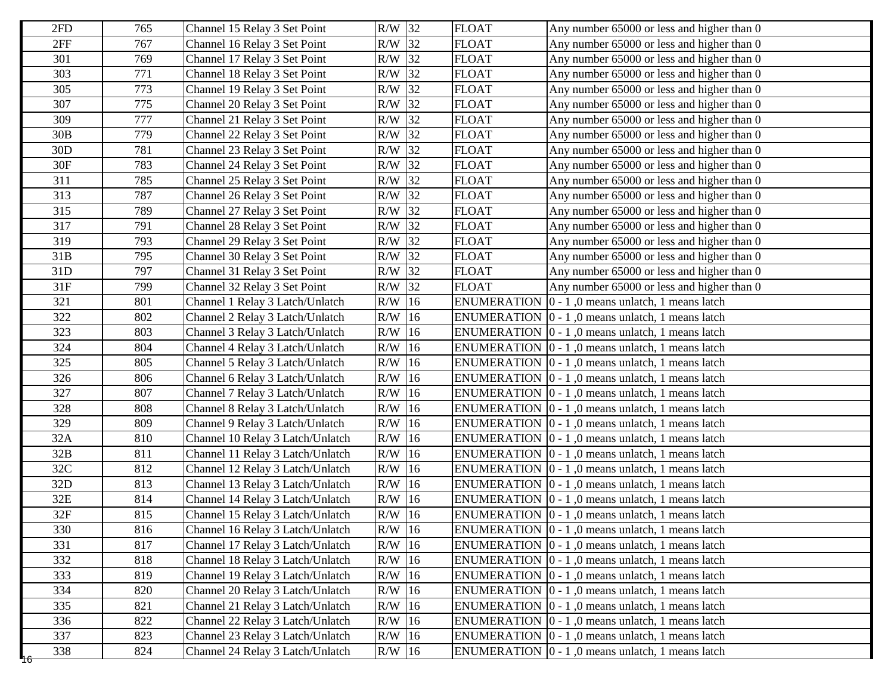| 2FD      | 765 | Channel 15 Relay 3 Set Point     | R/W 32   | <b>FLOAT</b> | Any number 65000 or less and higher than 0                       |
|----------|-----|----------------------------------|----------|--------------|------------------------------------------------------------------|
| 2FF      | 767 | Channel 16 Relay 3 Set Point     | $R/W$ 32 | <b>FLOAT</b> | Any number 65000 or less and higher than 0                       |
| 301      | 769 | Channel 17 Relay 3 Set Point     | $R/W$ 32 | <b>FLOAT</b> | Any number 65000 or less and higher than 0                       |
| 303      | 771 | Channel 18 Relay 3 Set Point     | $R/W$ 32 | <b>FLOAT</b> | Any number 65000 or less and higher than 0                       |
| 305      | 773 | Channel 19 Relay 3 Set Point     | R/W 32   | <b>FLOAT</b> | Any number 65000 or less and higher than 0                       |
| 307      | 775 | Channel 20 Relay 3 Set Point     | $R/W$ 32 | <b>FLOAT</b> | Any number 65000 or less and higher than 0                       |
| 309      | 777 | Channel 21 Relay 3 Set Point     | R/W 32   | <b>FLOAT</b> | Any number 65000 or less and higher than 0                       |
| 30B      | 779 | Channel 22 Relay 3 Set Point     | $R/W$ 32 | <b>FLOAT</b> | Any number 65000 or less and higher than 0                       |
| 30D      | 781 | Channel 23 Relay 3 Set Point     | R/W 32   | <b>FLOAT</b> | Any number 65000 or less and higher than 0                       |
| 30F      | 783 | Channel 24 Relay 3 Set Point     | $R/W$ 32 | <b>FLOAT</b> | Any number 65000 or less and higher than 0                       |
| 311      | 785 | Channel 25 Relay 3 Set Point     | R/W 32   | <b>FLOAT</b> | Any number 65000 or less and higher than 0                       |
| 313      | 787 | Channel 26 Relay 3 Set Point     | $R/W$ 32 | <b>FLOAT</b> | Any number 65000 or less and higher than 0                       |
| 315      | 789 | Channel 27 Relay 3 Set Point     | R/W 32   | <b>FLOAT</b> | Any number 65000 or less and higher than 0                       |
| 317      | 791 | Channel 28 Relay 3 Set Point     | $R/W$ 32 | <b>FLOAT</b> | Any number 65000 or less and higher than 0                       |
| 319      | 793 | Channel 29 Relay 3 Set Point     | R/W 32   | <b>FLOAT</b> | Any number 65000 or less and higher than 0                       |
| 31B      | 795 | Channel 30 Relay 3 Set Point     | $R/W$ 32 | <b>FLOAT</b> | Any number 65000 or less and higher than 0                       |
| 31D      | 797 | Channel 31 Relay 3 Set Point     | $R/W$ 32 | <b>FLOAT</b> | Any number 65000 or less and higher than 0                       |
| 31F      | 799 | Channel 32 Relay 3 Set Point     | $R/W$ 32 | <b>FLOAT</b> | Any number 65000 or less and higher than 0                       |
| 321      | 801 | Channel 1 Relay 3 Latch/Unlatch  | $R/W$ 16 |              | ENUMERATION $\vert 0 - 1 \vert$ , 0 means unlatch, 1 means latch |
| 322      | 802 | Channel 2 Relay 3 Latch/Unlatch  | $R/W$ 16 |              | ENUMERATION $[0 - 1, 0$ means unlatch, 1 means latch             |
| 323      | 803 | Channel 3 Relay 3 Latch/Unlatch  | $R/W$ 16 |              | ENUMERATION $\vert 0 - 1 \vert$ , 0 means unlatch, 1 means latch |
| 324      | 804 | Channel 4 Relay 3 Latch/Unlatch  | $R/W$ 16 |              | ENUMERATION $[0 - 1, 0$ means unlatch, 1 means latch             |
| 325      | 805 | Channel 5 Relay 3 Latch/Unlatch  | $R/W$ 16 |              | ENUMERATION $[0 - 1, 0$ means unlatch, 1 means latch             |
| 326      | 806 | Channel 6 Relay 3 Latch/Unlatch  | $R/W$ 16 |              | ENUMERATION $\vert 0 - 1 \vert$ , 0 means unlatch, 1 means latch |
| 327      | 807 | Channel 7 Relay 3 Latch/Unlatch  | $R/W$ 16 |              | ENUMERATION $[0 - 1, 0$ means unlatch, 1 means latch             |
| 328      | 808 | Channel 8 Relay 3 Latch/Unlatch  | $R/W$ 16 |              | ENUMERATION $[0 - 1, 0$ means unlatch, 1 means latch             |
| 329      | 809 | Channel 9 Relay 3 Latch/Unlatch  | $R/W$ 16 |              | ENUMERATION $[0 - 1, 0$ means unlatch, 1 means latch             |
| 32A      | 810 | Channel 10 Relay 3 Latch/Unlatch | $R/W$ 16 |              | ENUMERATION $\vert 0 - 1 \vert$ , 0 means unlatch, 1 means latch |
| 32B      | 811 | Channel 11 Relay 3 Latch/Unlatch | R/W 16   |              | ENUMERATION 0 - 1,0 means unlatch, 1 means latch                 |
| 32C      | 812 | Channel 12 Relay 3 Latch/Unlatch | $R/W$ 16 |              | ENUMERATION $\vert 0 - 1 \vert$ , 0 means unlatch, 1 means latch |
| 32D      | 813 | Channel 13 Relay 3 Latch/Unlatch | $R/W$ 16 |              | ENUMERATION $[0 - 1, 0$ means unlatch, 1 means latch             |
| 32E      | 814 | Channel 14 Relay 3 Latch/Unlatch | $R/W$ 16 |              | ENUMERATION $[0 - 1, 0$ means unlatch, 1 means latch             |
| 32F      | 815 | Channel 15 Relay 3 Latch/Unlatch | $R/W$ 16 |              | ENUMERATION   0 - 1,0 means unlatch, 1 means latch               |
| 330      | 816 | Channel 16 Relay 3 Latch/Unlatch | $R/W$ 16 |              | ENUMERATION $\boxed{0 - 1, 0}$ means unlatch, 1 means latch      |
| 331      | 817 | Channel 17 Relay 3 Latch/Unlatch | $R/W$ 16 |              | ENUMERATION $\vert 0 - 1 \vert$ , 0 means unlatch, 1 means latch |
| 332      | 818 | Channel 18 Relay 3 Latch/Unlatch | $R/W$ 16 |              | ENUMERATION $[0 - 1, 0$ means unlatch, 1 means latch             |
| 333      | 819 | Channel 19 Relay 3 Latch/Unlatch | $R/W$ 16 |              | ENUMERATION $\vert 0 - 1 \vert$ , 0 means unlatch, 1 means latch |
| 334      | 820 | Channel 20 Relay 3 Latch/Unlatch | $R/W$ 16 |              | ENUMERATION $\vert 0 - 1 \vert$ , 0 means unlatch, 1 means latch |
| 335      | 821 | Channel 21 Relay 3 Latch/Unlatch | $R/W$ 16 |              | ENUMERATION $\vert 0 - 1 \vert$ , 0 means unlatch, 1 means latch |
| 336      | 822 | Channel 22 Relay 3 Latch/Unlatch | $R/W$ 16 |              | ENUMERATION $\vert 0 - 1 \vert$ , 0 means unlatch, 1 means latch |
| 337      | 823 | Channel 23 Relay 3 Latch/Unlatch | $R/W$ 16 |              | ENUMERATION $\vert 0 - 1 \vert$ , 0 means unlatch, 1 means latch |
| 338<br>ᡩ | 824 | Channel 24 Relay 3 Latch/Unlatch | $R/W$ 16 |              | ENUMERATION $\vert 0 - 1 \vert$ , 0 means unlatch, 1 means latch |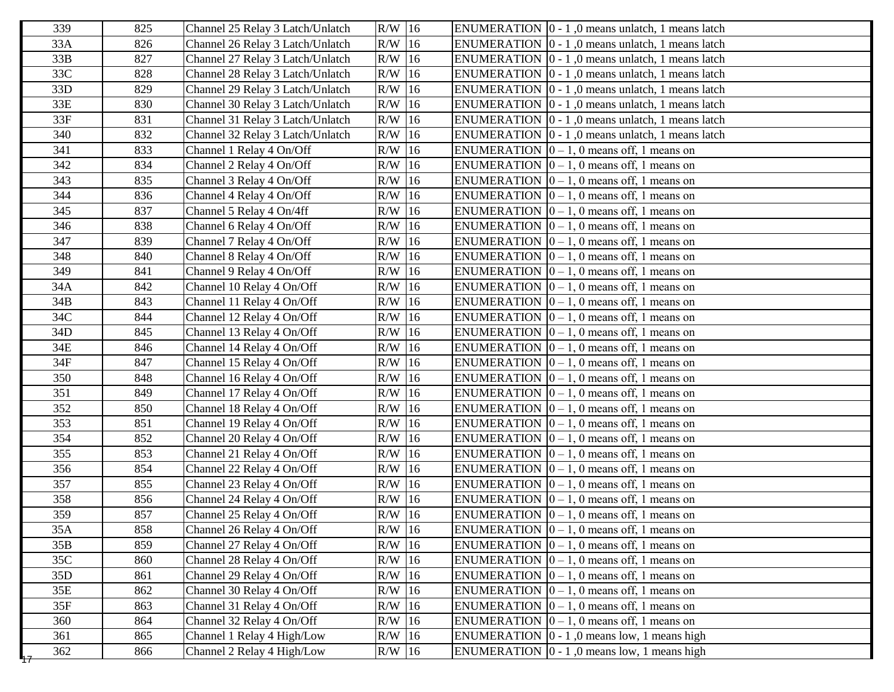| 339 | 825 | Channel 25 Relay 3 Latch/Unlatch | $R/W$ 16 | ENUMERATION 0 - 1,0 means unlatch, 1 means latch                 |
|-----|-----|----------------------------------|----------|------------------------------------------------------------------|
| 33A | 826 | Channel 26 Relay 3 Latch/Unlatch | $R/W$ 16 | ENUMERATION $\vert 0 - 1 \vert$ , 0 means unlatch, 1 means latch |
| 33B | 827 | Channel 27 Relay 3 Latch/Unlatch | $R/W$ 16 | ENUMERATION $\vert 0 - 1 \vert$ , 0 means unlatch, 1 means latch |
| 33C | 828 | Channel 28 Relay 3 Latch/Unlatch | $R/W$ 16 | ENUMERATION $\vert 0 - 1 \vert$ , 0 means unlatch, 1 means latch |
| 33D | 829 | Channel 29 Relay 3 Latch/Unlatch | $R/W$ 16 | ENUMERATION $\vert 0 - 1 \vert$ , 0 means unlatch, 1 means latch |
| 33E | 830 | Channel 30 Relay 3 Latch/Unlatch | $R/W$ 16 | ENUMERATION $\vert 0 - 1 \vert$ , 0 means unlatch, 1 means latch |
| 33F | 831 | Channel 31 Relay 3 Latch/Unlatch | $R/W$ 16 | ENUMERATION $\vert 0 - 1 \vert$ , 0 means unlatch, 1 means latch |
| 340 | 832 | Channel 32 Relay 3 Latch/Unlatch | R/W 16   | ENUMERATION $\vert 0 - 1 \vert$ , 0 means unlatch, 1 means latch |
| 341 | 833 | Channel 1 Relay 4 On/Off         | $R/W$ 16 | ENUMERATION $ 0 - 1$ , 0 means off, 1 means on                   |
| 342 | 834 | Channel 2 Relay 4 On/Off         | $R/W$ 16 | ENUMERATION $[0 - 1, 0$ means off, 1 means on                    |
| 343 | 835 | Channel 3 Relay 4 On/Off         | $R/W$ 16 | ENUMERATION $ 0 - 1$ , 0 means off, 1 means on                   |
| 344 | 836 | Channel 4 Relay 4 On/Off         | $R/W$ 16 | ENUMERATION $\vert 0-1, 0 \vert$ means off, 1 means on           |
| 345 | 837 | Channel 5 Relay 4 On/4ff         | $R/W$ 16 | ENUMERATION $[0 - 1, 0$ means off, 1 means on                    |
| 346 | 838 | Channel 6 Relay 4 On/Off         | $R/W$ 16 | ENUMERATION $[0 - 1, 0$ means off, 1 means on                    |
| 347 | 839 | Channel 7 Relay 4 On/Off         | $R/W$ 16 | ENUMERATION $ 0 - 1$ , 0 means off, 1 means on                   |
| 348 | 840 | Channel 8 Relay 4 On/Off         | $R/W$ 16 | ENUMERATION $\vert 0-1, 0 \vert$ means off, 1 means on           |
| 349 | 841 | Channel 9 Relay 4 On/Off         | $R/W$ 16 | ENUMERATION $[0 - 1, 0$ means off, 1 means on                    |
| 34A | 842 | Channel 10 Relay 4 On/Off        | $R/W$ 16 | ENUMERATION $\vert 0 - 1, 0 \vert$ means off, 1 means on         |
| 34B | 843 | Channel 11 Relay 4 On/Off        | $R/W$ 16 | ENUMERATION $\vert 0-1, 0 \vert$ means off, 1 means on           |
| 34C | 844 | Channel 12 Relay 4 On/Off        | $R/W$ 16 | ENUMERATION $\vert 0-1, 0 \rangle$ means off, 1 means on         |
| 34D | 845 | Channel 13 Relay 4 On/Off        | $R/W$ 16 | ENUMERATION $ 0 - 1$ , 0 means off, 1 means on                   |
| 34E | 846 | Channel 14 Relay 4 On/Off        | $R/W$ 16 | ENUMERATION $\vert 0 - 1, 0 \vert$ means off, 1 means on         |
| 34F | 847 | Channel 15 Relay 4 On/Off        | $R/W$ 16 | ENUMERATION $[0 - 1, 0$ means off, 1 means on                    |
| 350 | 848 | Channel 16 Relay 4 On/Off        | $R/W$ 16 | ENUMERATION $\vert 0-1, 0 \vert$ means off, 1 means on           |
| 351 | 849 | Channel 17 Relay 4 On/Off        | $R/W$ 16 | ENUMERATION $\vert 0-1, 0 \rangle$ means off, 1 means on         |
| 352 | 850 | Channel 18 Relay 4 On/Off        | $R/W$ 16 | ENUMERATION $[0 - 1, 0$ means off, 1 means on                    |
| 353 | 851 | Channel 19 Relay 4 On/Off        | $R/W$ 16 | ENUMERATION $[0 - 1, 0$ means off, 1 means on                    |
| 354 | 852 | Channel 20 Relay 4 On/Off        | $R/W$ 16 | ENUMERATION $\vert 0-1, 0 \vert$ means off, 1 means on           |
| 355 | 853 | Channel 21 Relay 4 On/Off        | $R/W$ 16 | ENUMERATION $[0 - 1, 0$ means off, 1 means on                    |
| 356 | 854 | Channel 22 Relay 4 On/Off        | $R/W$ 16 | ENUMERATION $[0 - 1, 0$ means off, 1 means on                    |
| 357 | 855 | Channel 23 Relay 4 On/Off        | $R/W$ 16 | ENUMERATION $[0 - 1, 0$ means off, 1 means on                    |
| 358 | 856 | Channel 24 Relay 4 On/Off        | R/W 16   | ENUMERATION $ 0 - 1$ , 0 means off, 1 means on                   |
| 359 | 857 | Channel 25 Relay 4 On/Off        | $R/W$ 16 | ENUMERATION $ 0 - 1$ , 0 means off, 1 means on                   |
| 35A | 858 | Channel 26 Relay 4 On/Off        | $R/W$ 16 | ENUMERATION $[0 - 1, 0$ means off, 1 means on                    |
| 35B | 859 | Channel 27 Relay 4 On/Off        | $R/W$ 16 | ENUMERATION $[0 - 1, 0$ means off, 1 means on                    |
| 35C | 860 | Channel 28 Relay 4 On/Off        | $R/W$ 16 | ENUMERATION $[0 - 1, 0$ means off, 1 means on                    |
| 35D | 861 | Channel 29 Relay 4 On/Off        | $R/W$ 16 | ENUMERATION $[0 - 1, 0$ means off, 1 means on                    |
| 35E | 862 | Channel 30 Relay 4 On/Off        | $R/W$ 16 | ENUMERATION $[0 - 1, 0$ means off, 1 means on                    |
| 35F | 863 | Channel 31 Relay 4 On/Off        | $R/W$ 16 | ENUMERATION $[0 - 1, 0$ means off, 1 means on                    |
| 360 | 864 | Channel 32 Relay 4 On/Off        | $R/W$ 16 | ENUMERATION $\vert 0-1, 0 \vert$ means off, 1 means on           |
| 361 | 865 | Channel 1 Relay 4 High/Low       | $R/W$ 16 | ENUMERATION $\vert 0 - 1 \vert$ , 0 means low, 1 means high      |
| 362 | 866 | Channel 2 Relay 4 High/Low       | $R/W$ 16 | ENUMERATION $\vert 0 - 1 \vert$ , 0 means low, 1 means high      |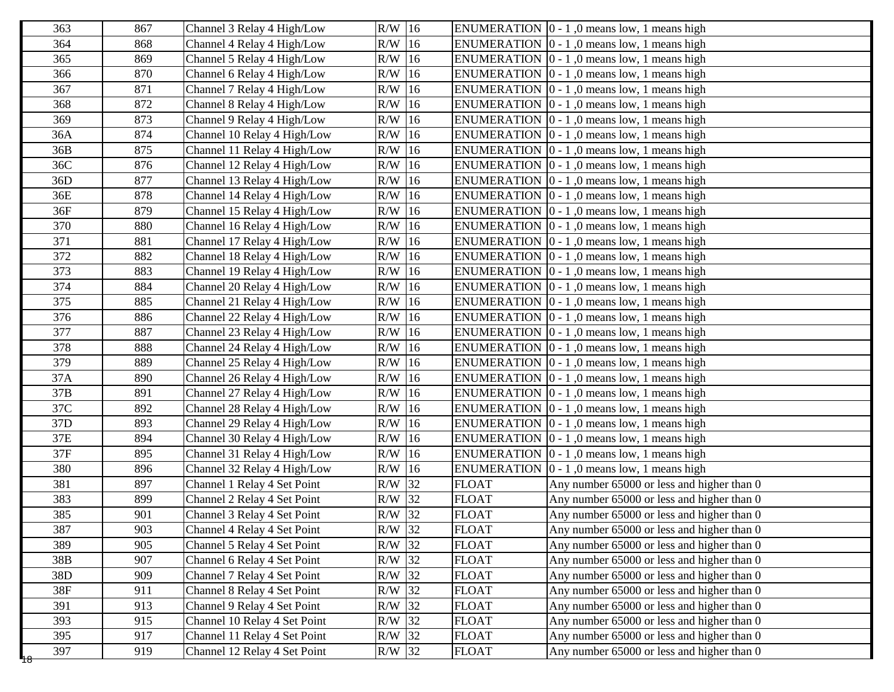| 363                  | 867 | Channel 3 Relay 4 High/Low   | $R/W$ 16 |              | ENUMERATION $\vert 0 - 1 \vert$ , 0 means low, 1 means high |
|----------------------|-----|------------------------------|----------|--------------|-------------------------------------------------------------|
| 364                  | 868 | Channel 4 Relay 4 High/Low   | $R/W$ 16 |              | ENUMERATION $\vert 0 - 1 \vert$ , 0 means low, 1 means high |
| 365                  | 869 | Channel 5 Relay 4 High/Low   | $R/W$ 16 |              | ENUMERATION $[0 - 1, 0$ means low, 1 means high             |
| 366                  | 870 | Channel 6 Relay 4 High/Low   | $R/W$ 16 |              | ENUMERATION $[0 - 1, 0$ means low, 1 means high             |
| 367                  | 871 | Channel 7 Relay 4 High/Low   | $R/W$ 16 |              | ENUMERATION $[0 - 1, 0$ means low, 1 means high             |
| 368                  | 872 | Channel 8 Relay 4 High/Low   | $R/W$ 16 |              | ENUMERATION $[0 - 1, 0$ means low, 1 means high             |
| 369                  | 873 | Channel 9 Relay 4 High/Low   | $R/W$ 16 |              | ENUMERATION $[0 - 1, 0$ means low, 1 means high             |
| 36A                  | 874 | Channel 10 Relay 4 High/Low  | $R/W$ 16 |              | ENUMERATION $\vert 0 - 1 \vert$ , 0 means low, 1 means high |
| 36B                  | 875 | Channel 11 Relay 4 High/Low  | $R/W$ 16 |              | ENUMERATION $\vert 0 - 1 \vert$ , 0 means low, 1 means high |
| 36C                  | 876 | Channel 12 Relay 4 High/Low  | $R/W$ 16 |              | ENUMERATION $[0 - 1, 0$ means low, 1 means high             |
| 36D                  | 877 | Channel 13 Relay 4 High/Low  | $R/W$ 16 |              | ENUMERATION $[0 - 1, 0$ means low, 1 means high             |
| 36E                  | 878 | Channel 14 Relay 4 High/Low  | $R/W$ 16 |              | ENUMERATION $[0 - 1, 0$ means low, 1 means high             |
| 36F                  | 879 | Channel 15 Relay 4 High/Low  | $R/W$ 16 |              | ENUMERATION $\vert 0 - 1 \vert$ , 0 means low, 1 means high |
| 370                  | 880 | Channel 16 Relay 4 High/Low  | $R/W$ 16 |              | ENUMERATION $\vert 0 - 1 \vert$ , 0 means low, 1 means high |
| 371                  | 881 | Channel 17 Relay 4 High/Low  | $R/W$ 16 |              | ENUMERATION $\vert 0 - 1 \vert$ , 0 means low, 1 means high |
| 372                  | 882 | Channel 18 Relay 4 High/Low  | $R/W$ 16 |              | ENUMERATION $ 0 - 1 $ , 0 means low, 1 means high           |
| 373                  | 883 | Channel 19 Relay 4 High/Low  | $R/W$ 16 |              | ENUMERATION $[0 - 1, 0$ means low, 1 means high             |
| 374                  | 884 | Channel 20 Relay 4 High/Low  | $R/W$ 16 |              | ENUMERATION $[0 - 1, 0$ means low, 1 means high             |
| 375                  | 885 | Channel 21 Relay 4 High/Low  | $R/W$ 16 |              | ENUMERATION $[0 - 1, 0$ means low, 1 means high             |
| 376                  | 886 | Channel 22 Relay 4 High/Low  | $R/W$ 16 |              | ENUMERATION $\vert 0 - 1 \vert$ , 0 means low, 1 means high |
| 377                  | 887 | Channel 23 Relay 4 High/Low  | $R/W$ 16 |              | ENUMERATION $[0 - 1, 0$ means low, 1 means high             |
| 378                  | 888 | Channel 24 Relay 4 High/Low  | $R/W$ 16 |              | ENUMERATION $\vert 0 - 1 \vert$ , 0 means low, 1 means high |
| 379                  | 889 | Channel 25 Relay 4 High/Low  | $R/W$ 16 |              | ENUMERATION $[0 - 1, 0$ means low, 1 means high             |
| 37A                  | 890 | Channel 26 Relay 4 High/Low  | $R/W$ 16 |              | ENUMERATION $[0 - 1, 0$ means low, 1 means high             |
| 37B                  | 891 | Channel 27 Relay 4 High/Low  | $R/W$ 16 |              | ENUMERATION $[0 - 1, 0$ means low, 1 means high             |
| 37C                  | 892 | Channel 28 Relay 4 High/Low  | $R/W$ 16 |              | ENUMERATION $[0 - 1, 0$ means low, 1 means high             |
| 37 <sub>D</sub>      | 893 | Channel 29 Relay 4 High/Low  | $R/W$ 16 |              | ENUMERATION $[0 - 1, 0$ means low, 1 means high             |
| 37E                  | 894 | Channel 30 Relay 4 High/Low  | $R/W$ 16 |              | ENUMERATION $\vert 0 - 1 \vert$ , 0 means low, 1 means high |
| 37F                  | 895 | Channel 31 Relay 4 High/Low  | $R/W$ 16 |              | ENUMERATION $[0 - 1, 0$ means low, 1 means high             |
| 380                  | 896 | Channel 32 Relay 4 High/Low  | $R/W$ 16 |              | ENUMERATION $[0 - 1, 0$ means low, 1 means high             |
| 381                  | 897 | Channel 1 Relay 4 Set Point  | $R/W$ 32 | <b>FLOAT</b> | Any number 65000 or less and higher than 0                  |
| 383                  | 899 | Channel 2 Relay 4 Set Point  | R/W 32   | <b>FLOAT</b> | Any number 65000 or less and higher than 0                  |
| 385                  | 901 | Channel 3 Relay 4 Set Point  | $R/W$ 32 | <b>FLOAT</b> | Any number 65000 or less and higher than 0                  |
| 387                  | 903 | Channel 4 Relay 4 Set Point  | R/W 32   | <b>FLOAT</b> | Any number 65000 or less and higher than 0                  |
| 389                  | 905 | Channel 5 Relay 4 Set Point  | $R/W$ 32 | <b>FLOAT</b> | Any number 65000 or less and higher than 0                  |
| 38B                  | 907 | Channel 6 Relay 4 Set Point  | R/W 32   | <b>FLOAT</b> | Any number 65000 or less and higher than 0                  |
| 38D                  | 909 | Channel 7 Relay 4 Set Point  | $R/W$ 32 | <b>FLOAT</b> | Any number 65000 or less and higher than 0                  |
| 38F                  | 911 | Channel 8 Relay 4 Set Point  | R/W 32   | <b>FLOAT</b> | Any number 65000 or less and higher than 0                  |
| 391                  | 913 | Channel 9 Relay 4 Set Point  | $R/W$ 32 | <b>FLOAT</b> | Any number 65000 or less and higher than 0                  |
| 393                  | 915 | Channel 10 Relay 4 Set Point | R/W 32   | <b>FLOAT</b> | Any number 65000 or less and higher than 0                  |
| 395                  | 917 | Channel 11 Relay 4 Set Point | $R/W$ 32 | <b>FLOAT</b> | Any number 65000 or less and higher than 0                  |
| 397<br><del>48</del> | 919 | Channel 12 Relay 4 Set Point | R/W 32   | <b>FLOAT</b> | Any number 65000 or less and higher than 0                  |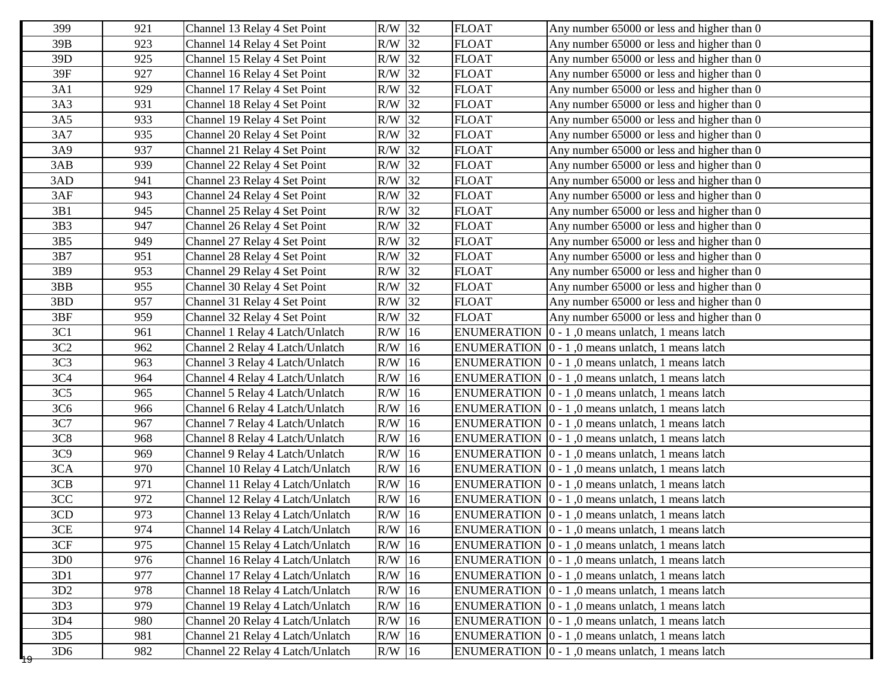| 399             | 921 | Channel 13 Relay 4 Set Point     | R/W 32   | <b>FLOAT</b> | Any number 65000 or less and higher than 0                       |
|-----------------|-----|----------------------------------|----------|--------------|------------------------------------------------------------------|
| 39B             | 923 | Channel 14 Relay 4 Set Point     | $R/W$ 32 | <b>FLOAT</b> | Any number 65000 or less and higher than 0                       |
| 39D             | 925 | Channel 15 Relay 4 Set Point     | $R/W$ 32 | <b>FLOAT</b> | Any number 65000 or less and higher than 0                       |
| 39F             | 927 | Channel 16 Relay 4 Set Point     | $R/W$ 32 | <b>FLOAT</b> | Any number 65000 or less and higher than 0                       |
| 3A1             | 929 | Channel 17 Relay 4 Set Point     | R/W 32   | <b>FLOAT</b> | Any number 65000 or less and higher than 0                       |
| 3A3             | 931 | Channel 18 Relay 4 Set Point     | $R/W$ 32 | <b>FLOAT</b> | Any number 65000 or less and higher than 0                       |
| 3A5             | 933 | Channel 19 Relay 4 Set Point     | R/W 32   | <b>FLOAT</b> | Any number 65000 or less and higher than 0                       |
| 3A7             | 935 | Channel 20 Relay 4 Set Point     | $R/W$ 32 | <b>FLOAT</b> | Any number 65000 or less and higher than 0                       |
| 3A9             | 937 | Channel 21 Relay 4 Set Point     | R/W 32   | <b>FLOAT</b> | Any number 65000 or less and higher than 0                       |
| 3AB             | 939 | Channel 22 Relay 4 Set Point     | $R/W$ 32 | <b>FLOAT</b> | Any number 65000 or less and higher than 0                       |
| 3AD             | 941 | Channel 23 Relay 4 Set Point     | R/W 32   | <b>FLOAT</b> | Any number 65000 or less and higher than 0                       |
| 3AF             | 943 | Channel 24 Relay 4 Set Point     | $R/W$ 32 | <b>FLOAT</b> | Any number 65000 or less and higher than 0                       |
| 3B1             | 945 | Channel 25 Relay 4 Set Point     | R/W 32   | <b>FLOAT</b> | Any number 65000 or less and higher than 0                       |
| 3B3             | 947 | Channel 26 Relay 4 Set Point     | $R/W$ 32 | <b>FLOAT</b> | Any number 65000 or less and higher than 0                       |
| 3B5             | 949 | Channel 27 Relay 4 Set Point     | R/W 32   | <b>FLOAT</b> | Any number 65000 or less and higher than 0                       |
| 3B7             | 951 | Channel 28 Relay 4 Set Point     | $R/W$ 32 | <b>FLOAT</b> | Any number 65000 or less and higher than 0                       |
| 3B9             | 953 | Channel 29 Relay 4 Set Point     | $R/W$ 32 | <b>FLOAT</b> | Any number 65000 or less and higher than 0                       |
| 3BB             | 955 | Channel 30 Relay 4 Set Point     | R/W 32   | <b>FLOAT</b> | Any number 65000 or less and higher than 0                       |
| 3BD             | 957 | Channel 31 Relay 4 Set Point     | $R/W$ 32 | <b>FLOAT</b> | Any number 65000 or less and higher than 0                       |
| 3BF             | 959 | Channel 32 Relay 4 Set Point     | $R/W$ 32 | <b>FLOAT</b> | Any number 65000 or less and higher than 0                       |
| 3C1             | 961 | Channel 1 Relay 4 Latch/Unlatch  | $R/W$ 16 |              | ENUMERATION $\vert 0 - 1 \vert$ , 0 means unlatch, 1 means latch |
| 3C2             | 962 | Channel 2 Relay 4 Latch/Unlatch  | $R/W$ 16 |              | ENUMERATION $\vert 0 - 1 \vert$ , 0 means unlatch, 1 means latch |
| 3C <sub>3</sub> | 963 | Channel 3 Relay 4 Latch/Unlatch  | $R/W$ 16 |              | ENUMERATION $[0 - 1, 0$ means unlatch, 1 means latch             |
| 3C4             | 964 | Channel 4 Relay 4 Latch/Unlatch  | $R/W$ 16 |              | ENUMERATION $\vert 0 - 1 \vert$ , 0 means unlatch, 1 means latch |
| 3C <sub>5</sub> | 965 | Channel 5 Relay 4 Latch/Unlatch  | $R/W$ 16 |              | ENUMERATION $[0 - 1, 0$ means unlatch, 1 means latch             |
| 3C <sub>6</sub> | 966 | Channel 6 Relay 4 Latch/Unlatch  | $R/W$ 16 |              | ENUMERATION $[0 - 1, 0$ means unlatch, 1 means latch             |
| 3C7             | 967 | Channel 7 Relay 4 Latch/Unlatch  | $R/W$ 16 |              | ENUMERATION $[0 - 1, 0$ means unlatch, 1 means latch             |
| 3C8             | 968 | Channel 8 Relay 4 Latch/Unlatch  | $R/W$ 16 |              | ENUMERATION $\vert 0 - 1 \vert$ , 0 means unlatch, 1 means latch |
| 3C9             | 969 | Channel 9 Relay 4 Latch/Unlatch  | R/W 16   |              | ENUMERATION 0 - 1,0 means unlatch, 1 means latch                 |
| 3CA             | 970 | Channel 10 Relay 4 Latch/Unlatch | $R/W$ 16 |              | ENUMERATION $\vert 0 - 1 \vert$ , 0 means unlatch, 1 means latch |
| 3CB             | 971 | Channel 11 Relay 4 Latch/Unlatch | $R/W$ 16 |              | ENUMERATION $[0 - 1, 0$ means unlatch, 1 means latch             |
| 3CC             | 972 | Channel 12 Relay 4 Latch/Unlatch | $R/W$ 16 |              | ENUMERATION $[0 - 1, 0$ means unlatch, 1 means latch             |
| 3CD             | 973 | Channel 13 Relay 4 Latch/Unlatch | $R/W$ 16 |              | ENUMERATION   0 - 1,0 means unlatch, 1 means latch               |
| 3CE             | 974 | Channel 14 Relay 4 Latch/Unlatch | $R/W$ 16 |              | ENUMERATION $\boxed{0 - 1, 0}$ means unlatch, 1 means latch      |
| 3CF             | 975 | Channel 15 Relay 4 Latch/Unlatch | $R/W$ 16 |              | ENUMERATION $\vert 0 - 1 \vert$ , 0 means unlatch, 1 means latch |
| 3D <sub>0</sub> | 976 | Channel 16 Relay 4 Latch/Unlatch | $R/W$ 16 |              | ENUMERATION $[0 - 1, 0$ means unlatch, 1 means latch             |
| 3D1             | 977 | Channel 17 Relay 4 Latch/Unlatch | $R/W$ 16 |              | ENUMERATION $\vert 0 - 1 \vert$ , 0 means unlatch, 1 means latch |
| 3D2             | 978 | Channel 18 Relay 4 Latch/Unlatch | $R/W$ 16 |              | ENUMERATION $\vert 0 - 1 \vert$ , 0 means unlatch, 1 means latch |
| 3D3             | 979 | Channel 19 Relay 4 Latch/Unlatch | $R/W$ 16 |              | ENUMERATION $\vert 0 - 1 \vert$ , 0 means unlatch, 1 means latch |
| 3D4             | 980 | Channel 20 Relay 4 Latch/Unlatch | $R/W$ 16 |              | ENUMERATION $\vert 0 - 1 \vert$ , 0 means unlatch, 1 means latch |
| 3D5             | 981 | Channel 21 Relay 4 Latch/Unlatch | $R/W$ 16 |              | ENUMERATION $\vert 0 - 1 \vert$ , 0 means unlatch, 1 means latch |
| 3D <sub>6</sub> | 982 | Channel 22 Relay 4 Latch/Unlatch | $R/W$ 16 |              | ENUMERATION $\vert 0 - 1 \vert$ , 0 means unlatch, 1 means latch |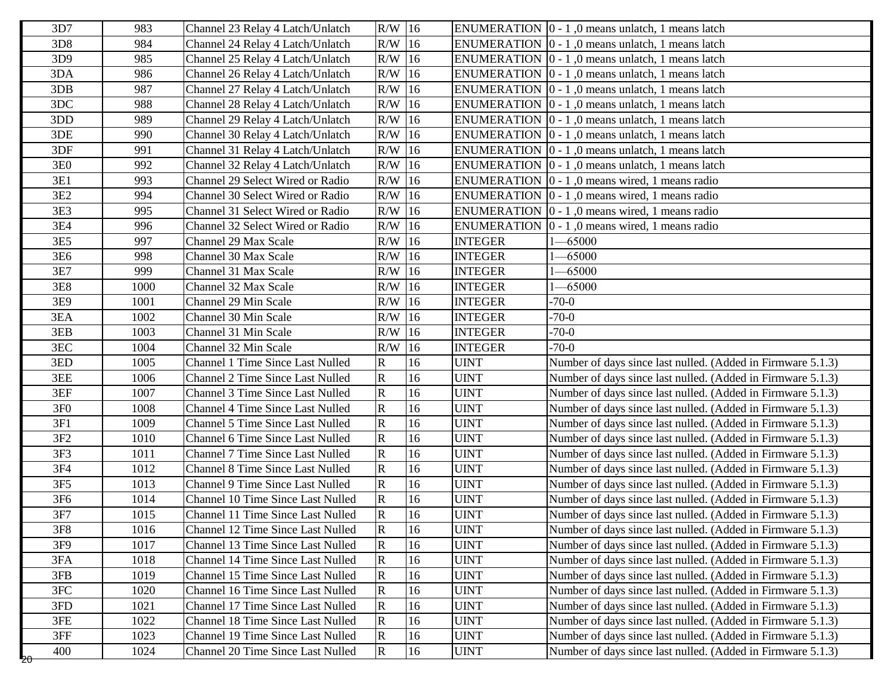| 3D7             | 983  | Channel 23 Relay 4 Latch/Unlatch         | $R/W$ 16                |    |                | ENUMERATION $\vert 0 - 1 \vert$ , 0 means unlatch, 1 means latch |
|-----------------|------|------------------------------------------|-------------------------|----|----------------|------------------------------------------------------------------|
| 3D <sub>8</sub> | 984  | Channel 24 Relay 4 Latch/Unlatch         | $R/W$ 16                |    |                | ENUMERATION  0 - 1,0 means unlatch, 1 means latch                |
| 3D9             | 985  | Channel 25 Relay 4 Latch/Unlatch         | $R/W$ 16                |    |                | ENUMERATION $\vert 0 - 1 \vert$ , 0 means unlatch, 1 means latch |
| 3DA             | 986  | Channel 26 Relay 4 Latch/Unlatch         | $R/W$ 16                |    |                | ENUMERATION $\vert 0 - 1 \vert$ , 0 means unlatch, 1 means latch |
| 3DB             | 987  | Channel 27 Relay 4 Latch/Unlatch         | $R/W$ 16                |    |                | ENUMERATION $[0 - 1, 0$ means unlatch, 1 means latch             |
| 3DC             | 988  | Channel 28 Relay 4 Latch/Unlatch         | R/W                     | 16 |                | ENUMERATION   0 - 1,0 means unlatch, 1 means latch               |
| 3DD             | 989  | Channel 29 Relay 4 Latch/Unlatch         | R/W                     | 16 |                | ENUMERATION  0 - 1,0 means unlatch, 1 means latch                |
| 3DE             | 990  | Channel 30 Relay 4 Latch/Unlatch         | $R/W$ 16                |    |                | ENUMERATION  0 - 1,0 means unlatch, 1 means latch                |
| 3DF             | 991  | Channel 31 Relay 4 Latch/Unlatch         | $R/W$ 16                |    |                | ENUMERATION $[0 - 1, 0$ means unlatch, 1 means latch             |
| 3E0             | 992  | Channel 32 Relay 4 Latch/Unlatch         | $R/W$ 16                |    |                | ENUMERATION $[0 - 1, 0$ means unlatch, 1 means latch             |
| 3E1             | 993  | Channel 29 Select Wired or Radio         | $R/W$ 16                |    |                | ENUMERATION $\vert 0 - 1 \vert$ , 0 means wired, 1 means radio   |
| 3E2             | 994  | Channel 30 Select Wired or Radio         | $R/W$ 16                |    |                | ENUMERATION $\vert 0 - 1 \vert$ , 0 means wired, 1 means radio   |
| 3E3             | 995  | Channel 31 Select Wired or Radio         | $R/W$ 16                |    |                | ENUMERATION $\vert 0 - 1 \vert$ , 0 means wired, 1 means radio   |
| 3E4             | 996  | Channel 32 Select Wired or Radio         | R/W                     | 16 |                | ENUMERATION $\vert 0 - 1 \vert$ , 0 means wired, 1 means radio   |
| 3E5             | 997  | Channel 29 Max Scale                     | $R/W$ 16                |    | <b>INTEGER</b> | $-65000$                                                         |
| 3E <sub>6</sub> | 998  | Channel 30 Max Scale                     | $R/W$ 16                |    | <b>INTEGER</b> | $-65000$                                                         |
| 3E7             | 999  | Channel 31 Max Scale                     | $R/W$ 16                |    | <b>INTEGER</b> | $-65000$                                                         |
| <b>3E8</b>      | 1000 | Channel 32 Max Scale                     | $R/W$ 16                |    | <b>INTEGER</b> | $-65000$                                                         |
| 3E9             | 1001 | Channel 29 Min Scale                     | $R/W$ 16                |    | <b>INTEGER</b> | $-70-0$                                                          |
| 3EA             | 1002 | Channel 30 Min Scale                     | $R/W$ 16                |    | <b>INTEGER</b> | $-70-0$                                                          |
| 3EB             | 1003 | Channel 31 Min Scale                     | $R/W$ 16                |    | <b>INTEGER</b> | $-70-0$                                                          |
| 3EC             | 1004 | Channel 32 Min Scale                     | $R/W$ 16                |    | <b>INTEGER</b> | $-70-0$                                                          |
| 3ED             | 1005 | <b>Channel 1 Time Since Last Nulled</b>  | $\mathbf R$             | 16 | <b>UINT</b>    | Number of days since last nulled. (Added in Firmware 5.1.3)      |
| 3EE             | 1006 | <b>Channel 2 Time Since Last Nulled</b>  | $\mathbf R$             | 16 | <b>UINT</b>    | Number of days since last nulled. (Added in Firmware 5.1.3)      |
| 3EF             | 1007 | Channel 3 Time Since Last Nulled         | $\mathbf R$             | 16 | <b>UINT</b>    | Number of days since last nulled. (Added in Firmware 5.1.3)      |
| 3F <sub>0</sub> | 1008 | <b>Channel 4 Time Since Last Nulled</b>  | $\mathbf R$             | 16 | <b>UINT</b>    | Number of days since last nulled. (Added in Firmware 5.1.3)      |
| 3F1             | 1009 | <b>Channel 5 Time Since Last Nulled</b>  | $\mathbf R$             | 16 | <b>UINT</b>    | Number of days since last nulled. (Added in Firmware 5.1.3)      |
| $3F2$           | 1010 | <b>Channel 6 Time Since Last Nulled</b>  | $\mathbf R$             | 16 | <b>UINT</b>    | Number of days since last nulled. (Added in Firmware 5.1.3)      |
| 3F3             | 1011 | Channel 7 Time Since Last Nulled         | $\mathbf R$             | 16 | <b>UINT</b>    | Number of days since last nulled. (Added in Firmware 5.1.3)      |
| 3F4             | 1012 | <b>Channel 8 Time Since Last Nulled</b>  | $\mathbf R$             | 16 | <b>UINT</b>    | Number of days since last nulled. (Added in Firmware 5.1.3)      |
| 3F <sub>5</sub> | 1013 | <b>Channel 9 Time Since Last Nulled</b>  | $\mathbf R$             | 16 | <b>UINT</b>    | Number of days since last nulled. (Added in Firmware 5.1.3)      |
| 3F <sub>6</sub> | 1014 | Channel 10 Time Since Last Nulled        | $\mathbf R$             | 16 | <b>UINT</b>    | Number of days since last nulled. (Added in Firmware 5.1.3)      |
| $3F7$           | 1015 | Channel 11 Time Since Last Nulled        | $\mathbf R$             | 16 | <b>UINT</b>    | Number of days since last nulled. (Added in Firmware 5.1.3)      |
| 3F8             | 1016 | Channel 12 Time Since Last Nulled        | $\mathbf R$             | 16 | <b>UINT</b>    | Number of days since last nulled. (Added in Firmware 5.1.3)      |
| 3F9             | 1017 | Channel 13 Time Since Last Nulled        | $\mathbf R$             | 16 | <b>UINT</b>    | Number of days since last nulled. (Added in Firmware 5.1.3)      |
| 3FA             | 1018 | Channel 14 Time Since Last Nulled        | $\mathbf R$             | 16 | <b>UINT</b>    | Number of days since last nulled. (Added in Firmware 5.1.3)      |
| 3FB             | 1019 | Channel 15 Time Since Last Nulled        | $\overline{\mathbf{R}}$ | 16 | <b>UINT</b>    | Number of days since last nulled. (Added in Firmware 5.1.3)      |
| 3FC             | 1020 | Channel 16 Time Since Last Nulled        | $\overline{\mathbf{R}}$ | 16 | <b>UINT</b>    | Number of days since last nulled. (Added in Firmware 5.1.3)      |
| 3FD             | 1021 | <b>Channel 17 Time Since Last Nulled</b> | $\mathbf R$             | 16 | <b>UINT</b>    | Number of days since last nulled. (Added in Firmware 5.1.3)      |
| $3FE$           | 1022 | Channel 18 Time Since Last Nulled        | $\mathbf R$             | 16 | <b>UINT</b>    | Number of days since last nulled. (Added in Firmware 5.1.3)      |
| 3FF             | 1023 | Channel 19 Time Since Last Nulled        | $\mathbf R$             | 16 | <b>UINT</b>    | Number of days since last nulled. (Added in Firmware 5.1.3)      |
| 400<br>20       | 1024 | Channel 20 Time Since Last Nulled        | $\mathbf R$             | 16 | <b>UINT</b>    | Number of days since last nulled. (Added in Firmware 5.1.3)      |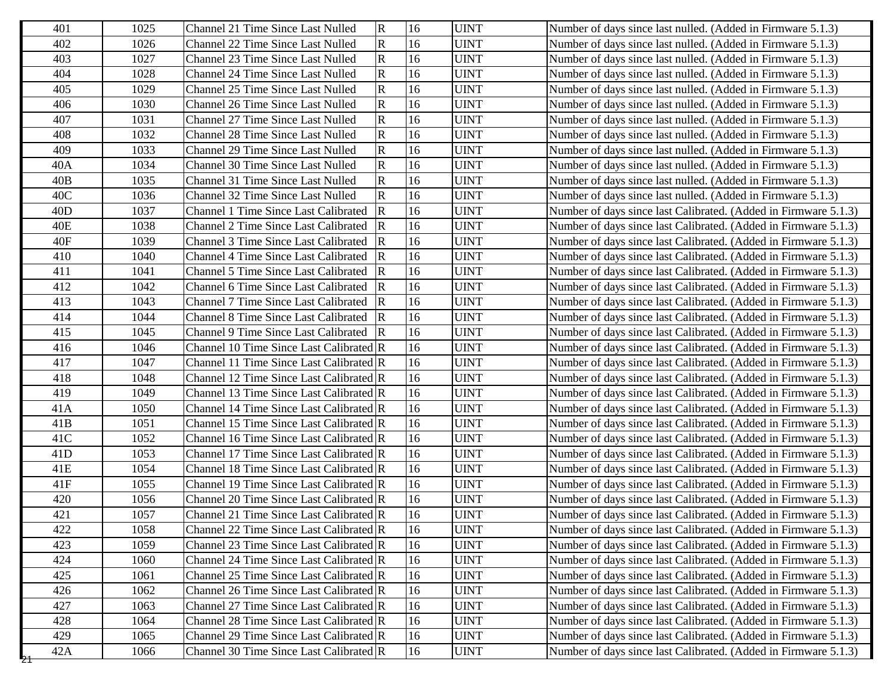| 401      | 1025 | Channel 21 Time Since Last Nulled           | $\overline{\mathbf{R}}$ | 16 | <b>UINT</b> | Number of days since last nulled. (Added in Firmware 5.1.3)     |
|----------|------|---------------------------------------------|-------------------------|----|-------------|-----------------------------------------------------------------|
| 402      | 1026 | Channel 22 Time Since Last Nulled           | $\mathbf R$             | 16 | <b>UINT</b> | Number of days since last nulled. (Added in Firmware 5.1.3)     |
| 403      | 1027 | Channel 23 Time Since Last Nulled           | $\overline{\mathbf{R}}$ | 16 | <b>UINT</b> | Number of days since last nulled. (Added in Firmware 5.1.3)     |
| 404      | 1028 | Channel 24 Time Since Last Nulled           | $\overline{\mathbf{R}}$ | 16 | <b>UINT</b> | Number of days since last nulled. (Added in Firmware 5.1.3)     |
| 405      | 1029 | Channel 25 Time Since Last Nulled           | $\overline{\mathbf{R}}$ | 16 | <b>UINT</b> | Number of days since last nulled. (Added in Firmware 5.1.3)     |
| 406      | 1030 | Channel 26 Time Since Last Nulled           | ${\bf R}$               | 16 | <b>UINT</b> | Number of days since last nulled. (Added in Firmware 5.1.3)     |
| 407      | 1031 | Channel 27 Time Since Last Nulled           | ${\bf R}$               | 16 | <b>UINT</b> | Number of days since last nulled. (Added in Firmware 5.1.3)     |
| 408      | 1032 | Channel 28 Time Since Last Nulled           | ${\bf R}$               | 16 | <b>UINT</b> | Number of days since last nulled. (Added in Firmware 5.1.3)     |
| 409      | 1033 | Channel 29 Time Since Last Nulled           | $\overline{\mathsf{R}}$ | 16 | <b>UINT</b> | Number of days since last nulled. (Added in Firmware 5.1.3)     |
| 40A      | 1034 | Channel 30 Time Since Last Nulled           | $\overline{\mathbf{R}}$ | 16 | <b>UINT</b> | Number of days since last nulled. (Added in Firmware 5.1.3)     |
| 40B      | 1035 | Channel 31 Time Since Last Nulled           | $\mathbf R$             | 16 | <b>UINT</b> | Number of days since last nulled. (Added in Firmware 5.1.3)     |
| 40C      | 1036 | Channel 32 Time Since Last Nulled           | $\overline{\mathbf{R}}$ | 16 | <b>UINT</b> | Number of days since last nulled. (Added in Firmware 5.1.3)     |
| 40D      | 1037 | <b>Channel 1 Time Since Last Calibrated</b> | $\vert$ R               | 16 | <b>UINT</b> | Number of days since last Calibrated. (Added in Firmware 5.1.3) |
| 40E      | 1038 | Channel 2 Time Since Last Calibrated R      |                         | 16 | <b>UINT</b> | Number of days since last Calibrated. (Added in Firmware 5.1.3) |
| 40F      | 1039 | Channel 3 Time Since Last Calibrated        | $\overline{R}$          | 16 | <b>UINT</b> | Number of days since last Calibrated. (Added in Firmware 5.1.3) |
| 410      | 1040 | <b>Channel 4 Time Since Last Calibrated</b> | $\overline{R}$          | 16 | <b>UINT</b> | Number of days since last Calibrated. (Added in Firmware 5.1.3) |
| 411      | 1041 | Channel 5 Time Since Last Calibrated R      |                         | 16 | <b>UINT</b> | Number of days since last Calibrated. (Added in Firmware 5.1.3) |
| 412      | 1042 | Channel 6 Time Since Last Calibrated R      |                         | 16 | <b>UINT</b> | Number of days since last Calibrated. (Added in Firmware 5.1.3) |
| 413      | 1043 | Channel 7 Time Since Last Calibrated        | $\overline{R}$          | 16 | <b>UINT</b> | Number of days since last Calibrated. (Added in Firmware 5.1.3) |
| 414      | 1044 | <b>Channel 8 Time Since Last Calibrated</b> | R                       | 16 | <b>UINT</b> | Number of days since last Calibrated. (Added in Firmware 5.1.3) |
| 415      | 1045 | Channel 9 Time Since Last Calibrated R      |                         | 16 | <b>UINT</b> | Number of days since last Calibrated. (Added in Firmware 5.1.3) |
| 416      | 1046 | Channel 10 Time Since Last Calibrated R     |                         | 16 | <b>UINT</b> | Number of days since last Calibrated. (Added in Firmware 5.1.3) |
| 417      | 1047 | Channel 11 Time Since Last Calibrated R     |                         | 16 | <b>UINT</b> | Number of days since last Calibrated. (Added in Firmware 5.1.3) |
| 418      | 1048 | Channel 12 Time Since Last Calibrated R     |                         | 16 | <b>UINT</b> | Number of days since last Calibrated. (Added in Firmware 5.1.3) |
| 419      | 1049 | Channel 13 Time Since Last Calibrated R     |                         | 16 | <b>UINT</b> | Number of days since last Calibrated. (Added in Firmware 5.1.3) |
| 41A      | 1050 | Channel 14 Time Since Last Calibrated R     |                         | 16 | <b>UINT</b> | Number of days since last Calibrated. (Added in Firmware 5.1.3) |
| 41B      | 1051 | Channel 15 Time Since Last Calibrated R     |                         | 16 | <b>UINT</b> | Number of days since last Calibrated. (Added in Firmware 5.1.3) |
| 41C      | 1052 | Channel 16 Time Since Last Calibrated R     |                         | 16 | <b>UINT</b> | Number of days since last Calibrated. (Added in Firmware 5.1.3) |
| 41D      | 1053 | Channel 17 Time Since Last Calibrated R     |                         | 16 | <b>UINT</b> | Number of days since last Calibrated. (Added in Firmware 5.1.3) |
| 41E      | 1054 | Channel 18 Time Since Last Calibrated R     |                         | 16 | <b>UINT</b> | Number of days since last Calibrated. (Added in Firmware 5.1.3) |
| 41F      | 1055 | Channel 19 Time Since Last Calibrated R     |                         | 16 | <b>UINT</b> | Number of days since last Calibrated. (Added in Firmware 5.1.3) |
| 420      | 1056 | Channel 20 Time Since Last Calibrated R     |                         | 16 | <b>UINT</b> | Number of days since last Calibrated. (Added in Firmware 5.1.3) |
| 421      | 1057 | Channel 21 Time Since Last Calibrated R     |                         | 16 | <b>UINT</b> | Number of days since last Calibrated. (Added in Firmware 5.1.3) |
| 422      | 1058 | Channel 22 Time Since Last Calibrated R     |                         | 16 | <b>UINT</b> | Number of days since last Calibrated. (Added in Firmware 5.1.3) |
| 423      | 1059 | Channel 23 Time Since Last Calibrated R     |                         | 16 | <b>UINT</b> | Number of days since last Calibrated. (Added in Firmware 5.1.3) |
| 424      | 1060 | Channel 24 Time Since Last Calibrated R     |                         | 16 | <b>UINT</b> | Number of days since last Calibrated. (Added in Firmware 5.1.3) |
| 425      | 1061 | Channel 25 Time Since Last Calibrated R     |                         | 16 | <b>UINT</b> | Number of days since last Calibrated. (Added in Firmware 5.1.3) |
| 426      | 1062 | Channel 26 Time Since Last Calibrated R     |                         | 16 | <b>UINT</b> | Number of days since last Calibrated. (Added in Firmware 5.1.3) |
| 427      | 1063 | Channel 27 Time Since Last Calibrated R     |                         | 16 | <b>UINT</b> | Number of days since last Calibrated. (Added in Firmware 5.1.3) |
| 428      | 1064 | Channel 28 Time Since Last Calibrated R     |                         | 16 | <b>UINT</b> | Number of days since last Calibrated. (Added in Firmware 5.1.3) |
| 429      | 1065 | Channel 29 Time Since Last Calibrated R     |                         | 16 | <b>UINT</b> | Number of days since last Calibrated. (Added in Firmware 5.1.3) |
| 42A<br>z | 1066 | Channel 30 Time Since Last Calibrated R     |                         | 16 | <b>UINT</b> | Number of days since last Calibrated. (Added in Firmware 5.1.3) |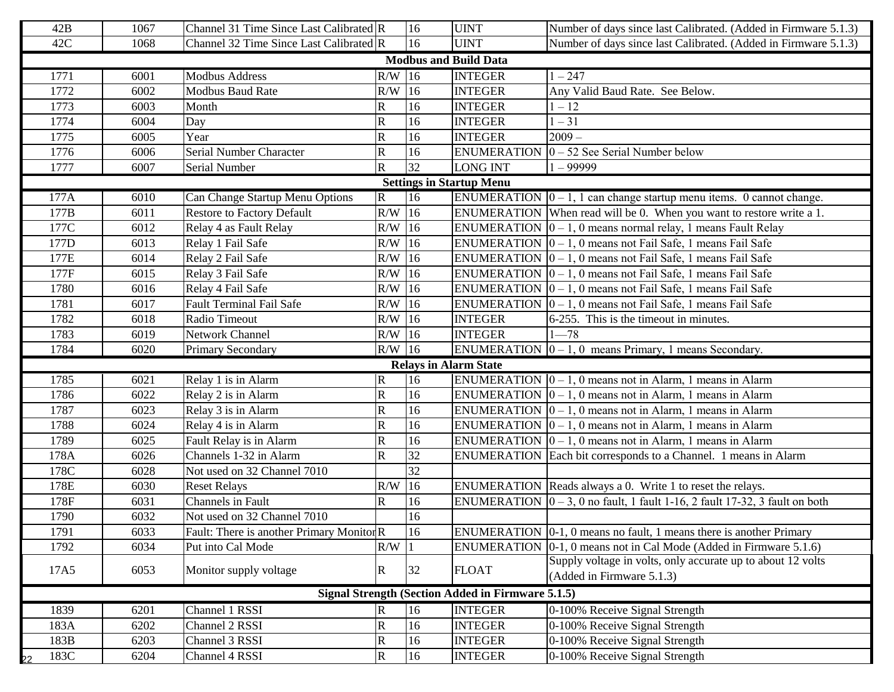| 42B        | 1067 | Channel 31 Time Since Last Calibrated R  |                         | 16              | <b>UINT</b>                                       | Number of days since last Calibrated. (Added in Firmware 5.1.3)                           |
|------------|------|------------------------------------------|-------------------------|-----------------|---------------------------------------------------|-------------------------------------------------------------------------------------------|
| 42C        | 1068 | Channel 32 Time Since Last Calibrated R  |                         | 16              | <b>UINT</b>                                       | Number of days since last Calibrated. (Added in Firmware 5.1.3)                           |
|            |      |                                          |                         |                 | <b>Modbus and Build Data</b>                      |                                                                                           |
| 1771       | 6001 | <b>Modbus Address</b>                    | $R/W$ 16                |                 | <b>INTEGER</b>                                    | $1 - 247$                                                                                 |
| 1772       | 6002 | <b>Modbus Baud Rate</b>                  | R/W                     | 16              | <b>INTEGER</b>                                    | Any Valid Baud Rate. See Below.                                                           |
| 1773       | 6003 | Month                                    | $\mathbf R$             | 16              | <b>INTEGER</b>                                    | $1 - 12$                                                                                  |
| 1774       | 6004 | Day                                      | $\overline{\mathsf{R}}$ | 16              | <b>INTEGER</b>                                    | $-31$                                                                                     |
| 1775       | 6005 | Year                                     | $\mathbf R$             | 16              | <b>INTEGER</b>                                    | $2009 -$                                                                                  |
| 1776       | 6006 | Serial Number Character                  | $\mathsf{R}$            | 16              | <b>ENUMERATION</b>                                | $0 - 52$ See Serial Number below                                                          |
| 1777       | 6007 | Serial Number                            | $\overline{\mathsf{R}}$ | $\overline{32}$ | <b>LONG INT</b>                                   | $1 - 99999$                                                                               |
|            |      |                                          |                         |                 | <b>Settings in Startup Menu</b>                   |                                                                                           |
| 177A       | 6010 | Can Change Startup Menu Options          | $\mathbf R$             | 16              |                                                   | ENUMERATION $\vert 0 - 1$ , 1 can change startup menu items. 0 cannot change.             |
| 177B       | 6011 | <b>Restore to Factory Default</b>        | $R/W$ 16                |                 |                                                   | ENUMERATION When read will be 0. When you want to restore write a 1.                      |
| 177C       | 6012 | Relay 4 as Fault Relay                   | R/W                     | 16              |                                                   | ENUMERATION $\vert 0 - 1, 0 \rangle$ means normal relay, 1 means Fault Relay              |
| 177D       | 6013 | Relay 1 Fail Safe                        | R/W                     | $\overline{16}$ |                                                   | ENUMERATION $\vert 0 - 1$ , 0 means not Fail Safe, 1 means Fail Safe                      |
| 177E       | 6014 | Relay 2 Fail Safe                        | $R/W$ 16                |                 |                                                   | ENUMERATION $\vert 0 - 1$ , 0 means not Fail Safe, 1 means Fail Safe                      |
| 177F       | 6015 | Relay 3 Fail Safe                        | $R/W$ 16                |                 |                                                   | ENUMERATION $\vert 0-1, 0 \vert$ means not Fail Safe, 1 means Fail Safe                   |
| 1780       | 6016 | Relay 4 Fail Safe                        | $R/W$ 16                |                 |                                                   | ENUMERATION $\vert 0-1, 0 \vert$ means not Fail Safe, 1 means Fail Safe                   |
| 1781       | 6017 | <b>Fault Terminal Fail Safe</b>          | $R/W$ 16                |                 |                                                   | ENUMERATION $\vert 0-1, 0 \vert$ means not Fail Safe, 1 means Fail Safe                   |
| 1782       | 6018 | Radio Timeout                            | $R/W$ 16                |                 | <b>INTEGER</b>                                    | 6-255. This is the timeout in minutes.                                                    |
| 1783       | 6019 | Network Channel                          | $R/W$ 16                |                 | <b>INTEGER</b>                                    | $1 - 78$                                                                                  |
| 1784       | 6020 | <b>Primary Secondary</b>                 | $R/W$ 16                |                 |                                                   | ENUMERATION $ 0 - 1, 0 $ means Primary, 1 means Secondary.                                |
|            |      |                                          |                         |                 | <b>Relays in Alarm State</b>                      |                                                                                           |
| 1785       | 6021 | Relay 1 is in Alarm                      | $\mathbb R$             | 16              |                                                   | ENUMERATION $ 0 - 1, 0$ means not in Alarm, 1 means in Alarm                              |
| 1786       | 6022 | Relay 2 is in Alarm                      | $\mathbf R$             | 16              |                                                   | ENUMERATION $\vert 0-1, 0 \vert$ means not in Alarm, 1 means in Alarm                     |
| 1787       | 6023 | Relay 3 is in Alarm                      | $\overline{\text{R}}$   | 16              |                                                   | ENUMERATION $\vert 0-1, 0 \vert$ means not in Alarm, 1 means in Alarm                     |
| 1788       | 6024 | Relay 4 is in Alarm                      | $\overline{\text{R}}$   | 16              |                                                   | ENUMERATION $\vert 0 - 1$ , 0 means not in Alarm, 1 means in Alarm                        |
| 1789       | 6025 | Fault Relay is in Alarm                  | $\mathbf R$             | 16              |                                                   | ENUMERATION $\vert 0-1, 0 \vert$ means not in Alarm, 1 means in Alarm                     |
| 178A       | 6026 | Channels 1-32 in Alarm                   | $\mathbf R$             | 32              |                                                   | ENUMERATION Each bit corresponds to a Channel. 1 means in Alarm                           |
| 178C       | 6028 | Not used on 32 Channel 7010              |                         | 32              |                                                   |                                                                                           |
| 178E       | 6030 | <b>Reset Relays</b>                      | R/W                     | 16              |                                                   | ENUMERATION Reads always a 0. Write 1 to reset the relays.                                |
| 178F       | 6031 | Channels in Fault                        | R                       | 16              |                                                   | ENUMERATION $\vert 0-3, 0 \rangle$ no fault, 1 fault 1-16, 2 fault 17-32, 3 fault on both |
| 1790       | 6032 | Not used on 32 Channel 7010              |                         | 16              |                                                   |                                                                                           |
| 1791       | 6033 | Fault: There is another Primary MonitorR |                         | 16              |                                                   | ENUMERATION $[0-1, 0$ means no fault, 1 means there is another Primary                    |
| 1792       | 6034 | Put into Cal Mode                        | $R/W$  1                |                 |                                                   | ENUMERATION $[0-1, 0$ means not in Cal Mode (Added in Firmware 5.1.6)                     |
| 17A5       | 6053 | Monitor supply voltage                   | $\mathbf R$             | 32              | <b>FLOAT</b>                                      | Supply voltage in volts, only accurate up to about 12 volts<br>(Added in Firmware 5.1.3)  |
|            |      |                                          |                         |                 | Signal Strength (Section Added in Firmware 5.1.5) |                                                                                           |
| 1839       | 6201 | Channel 1 RSSI                           | $\mathbf R$             | 16              | <b>INTEGER</b>                                    | 0-100% Receive Signal Strength                                                            |
| 183A       | 6202 | Channel 2 RSSI                           | $\mathbf R$             | 16              | <b>INTEGER</b>                                    | 0-100% Receive Signal Strength                                                            |
| 183B       | 6203 | Channel 3 RSSI                           | ${\bf R}$               | 16              | <b>INTEGER</b>                                    | 0-100% Receive Signal Strength                                                            |
| 183C<br>22 | 6204 | Channel 4 RSSI                           | $\mathbf R$             | 16              | <b>INTEGER</b>                                    | 0-100% Receive Signal Strength                                                            |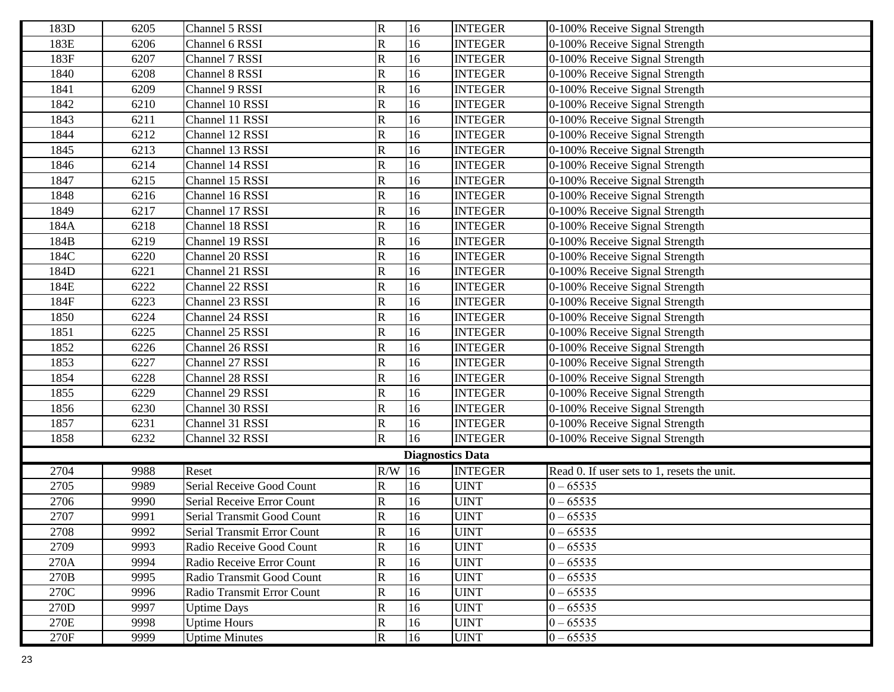| 183D | 6205 | Channel 5 RSSI              | $\mathbf R$             | 16                      | <b>INTEGER</b> | 0-100% Receive Signal Strength              |
|------|------|-----------------------------|-------------------------|-------------------------|----------------|---------------------------------------------|
| 183E | 6206 | Channel 6 RSSI              | $\mathsf{R}$            | 16                      | <b>INTEGER</b> | 0-100% Receive Signal Strength              |
| 183F | 6207 | Channel 7 RSSI              | R                       | 16                      | <b>INTEGER</b> | 0-100% Receive Signal Strength              |
| 1840 | 6208 | Channel 8 RSSI              | $\mathbf R$             | 16                      | <b>INTEGER</b> | 0-100% Receive Signal Strength              |
| 1841 | 6209 | Channel 9 RSSI              | R                       | 16                      | <b>INTEGER</b> | 0-100% Receive Signal Strength              |
| 1842 | 6210 | Channel 10 RSSI             | $\overline{\mathsf{R}}$ | 16                      | <b>INTEGER</b> | 0-100% Receive Signal Strength              |
| 1843 | 6211 | Channel 11 RSSI             | $\mathsf{R}% _{T}$      | 16                      | <b>INTEGER</b> | 0-100% Receive Signal Strength              |
| 1844 | 6212 | Channel 12 RSSI             | $\overline{\mathsf{R}}$ | 16                      | <b>INTEGER</b> | 0-100% Receive Signal Strength              |
| 1845 | 6213 | Channel 13 RSSI             | R                       | 16                      | <b>INTEGER</b> | 0-100% Receive Signal Strength              |
| 1846 | 6214 | Channel 14 RSSI             | $\mathbf R$             | 16                      | <b>INTEGER</b> | 0-100% Receive Signal Strength              |
| 1847 | 6215 | Channel 15 RSSI             | $\mathsf{R}% _{T}$      | 16                      | <b>INTEGER</b> | 0-100% Receive Signal Strength              |
| 1848 | 6216 | Channel 16 RSSI             | R                       | 16                      | <b>INTEGER</b> | 0-100% Receive Signal Strength              |
| 1849 | 6217 | Channel 17 RSSI             | R                       | 16                      | <b>INTEGER</b> | 0-100% Receive Signal Strength              |
| 184A | 6218 | Channel 18 RSSI             | R                       | 16                      | <b>INTEGER</b> | 0-100% Receive Signal Strength              |
| 184B | 6219 | Channel 19 RSSI             | R                       | 16                      | <b>INTEGER</b> | 0-100% Receive Signal Strength              |
| 184C | 6220 | Channel 20 RSSI             | R                       | 16                      | <b>INTEGER</b> | 0-100% Receive Signal Strength              |
| 184D | 6221 | Channel 21 RSSI             | R                       | 16                      | <b>INTEGER</b> | 0-100% Receive Signal Strength              |
| 184E | 6222 | Channel 22 RSSI             | R                       | 16                      | <b>INTEGER</b> | 0-100% Receive Signal Strength              |
| 184F | 6223 | Channel 23 RSSI             | $\mathsf{R}$            | 16                      | <b>INTEGER</b> | 0-100% Receive Signal Strength              |
| 1850 | 6224 | Channel 24 RSSI             | R                       | 16                      | <b>INTEGER</b> | 0-100% Receive Signal Strength              |
| 1851 | 6225 | Channel 25 RSSI             | R                       | 16                      | <b>INTEGER</b> | 0-100% Receive Signal Strength              |
| 1852 | 6226 | Channel 26 RSSI             | R                       | 16                      | <b>INTEGER</b> | 0-100% Receive Signal Strength              |
| 1853 | 6227 | Channel 27 RSSI             | $\mathsf{R}$            | 16                      | <b>INTEGER</b> | 0-100% Receive Signal Strength              |
| 1854 | 6228 | Channel 28 RSSI             | R                       | 16                      | <b>INTEGER</b> | 0-100% Receive Signal Strength              |
| 1855 | 6229 | Channel 29 RSSI             | $\overline{\mathsf{R}}$ | 16                      | <b>INTEGER</b> | 0-100% Receive Signal Strength              |
| 1856 | 6230 | Channel 30 RSSI             | R                       | 16                      | <b>INTEGER</b> | 0-100% Receive Signal Strength              |
| 1857 | 6231 | Channel 31 RSSI             | $\overline{\mathsf{R}}$ | 16                      | <b>INTEGER</b> | 0-100% Receive Signal Strength              |
| 1858 | 6232 | Channel 32 RSSI             | $\mathbf R$             | 16                      | <b>INTEGER</b> | 0-100% Receive Signal Strength              |
|      |      |                             |                         | <b>Diagnostics Data</b> |                |                                             |
| 2704 | 9988 | Reset                       | $R/W$ 16                |                         | <b>INTEGER</b> | Read 0. If user sets to 1, resets the unit. |
| 2705 | 9989 | Serial Receive Good Count   | R                       | 16                      | <b>UINT</b>    | $0 - 65535$                                 |
| 2706 | 9990 | Serial Receive Error Count  | $\mathsf{R}$            | 16                      | <b>UINT</b>    | $0 - 65535$                                 |
| 2707 | 9991 | Serial Transmit Good Count  | R                       | 16                      | <b>UINT</b>    | $0 - 65535$                                 |
| 2708 | 9992 | Serial Transmit Error Count | $\overline{\mathbb{R}}$ | 16                      | <b>UINT</b>    | $0 - 65535$                                 |
| 2709 | 9993 | Radio Receive Good Count    | ${\bf R}$               | 16                      | <b>UINT</b>    | $0 - 65535$                                 |
| 270A | 9994 | Radio Receive Error Count   | $\mathbf R$             | 16                      | <b>UINT</b>    | $0 - 65535$                                 |
| 270B | 9995 | Radio Transmit Good Count   | ${\bf R}$               | 16                      | <b>UINT</b>    | $0 - 65535$                                 |
| 270C | 9996 | Radio Transmit Error Count  | $\mathbf R$             | 16                      | <b>UINT</b>    | $0 - 65535$                                 |
| 270D | 9997 | <b>Uptime Days</b>          | ${\bf R}$               | 16                      | <b>UINT</b>    | $0 - 65535$                                 |
| 270E | 9998 | <b>Uptime Hours</b>         | $\mathbf R$             | 16                      | <b>UINT</b>    | $0 - 65535$                                 |
| 270F | 9999 | <b>Uptime Minutes</b>       | $\mathbf R$             | 16                      | <b>UINT</b>    | $0 - 65535$                                 |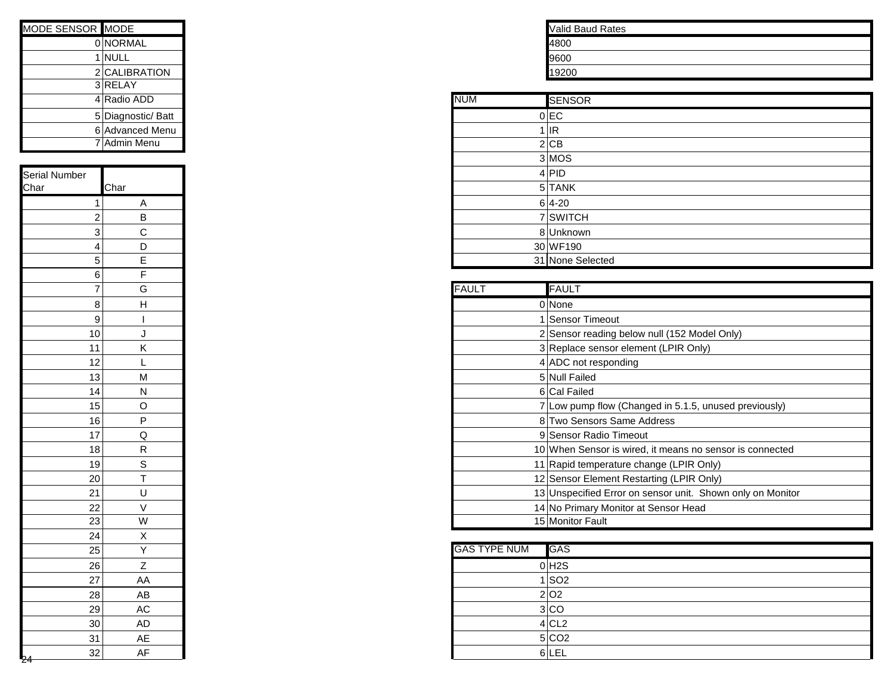| MODE SENSOR MODE<br>0 NORMAL<br>$1$ NULL<br>2 CALIBRATION<br>3RELAY<br>4 Radio ADD<br><b>NUM</b><br>$0$ EC<br>5 Diagnostic/ Batt<br>$1$ IR<br>6 Advanced Menu<br>7 Admin Menu<br>$2$ CB<br>$3$ MOS<br>4 PID<br>Char<br>$5$ TANK<br>$6 4-20$<br>A<br>1<br>7 SWITCH<br>$\sf B$<br>2<br>C<br>3<br>8Unknown<br>D<br>30 WF190<br>4<br>E<br>31 None Selected<br>5<br>F<br>6<br>G<br><b>FAULT</b><br>$\overline{\mathcal{I}}$<br>0 None<br>8<br>Н<br>1 Sensor Timeout<br>9<br>2 Sensor reading b<br>10<br>J<br>Κ<br>3 Replace sensor e<br>11<br>12<br>4 ADC not respond<br>L<br>${\sf M}$<br>5 Null Failed<br>13<br>6 Cal Failed<br>14<br>${\sf N}$<br>7 Low pump flow (C<br>15<br>$\mathsf O$<br>$\sf P$<br>8 Two Sensors Sar<br>16<br>9 Sensor Radio Tin<br>Q<br>17<br>${\sf R}$<br>10 When Sensor is v<br>18<br>$\mathbb S$<br>11 Rapid temperatur<br>19<br>$\bar{T}$<br>20<br>12 Sensor Element F<br>21<br>U<br>13 Unspecified Error<br>22<br>$\mathsf V$<br>14 No Primary Monit<br>23<br>W<br>15 Monitor Fault<br>24<br>X<br><b>GAS TYPE NUM</b><br>Y<br>25<br>$0$ H <sub>2</sub> S<br>Z<br>26<br>$1$ SO <sub>2</sub><br>AA<br>27<br>2 O2<br>28<br>AB<br>3 CO<br>29<br>AC<br>$4$ CL <sub>2</sub><br>30<br><b>AD</b><br>5 CO2<br>AE<br>31<br>6 LEL<br>32 |    |
|-------------------------------------------------------------------------------------------------------------------------------------------------------------------------------------------------------------------------------------------------------------------------------------------------------------------------------------------------------------------------------------------------------------------------------------------------------------------------------------------------------------------------------------------------------------------------------------------------------------------------------------------------------------------------------------------------------------------------------------------------------------------------------------------------------------------------------------------------------------------------------------------------------------------------------------------------------------------------------------------------------------------------------------------------------------------------------------------------------------------------------------------------------------------------------------------------------------------------------------------------------|----|
| Serial Number<br>Char                                                                                                                                                                                                                                                                                                                                                                                                                                                                                                                                                                                                                                                                                                                                                                                                                                                                                                                                                                                                                                                                                                                                                                                                                                 |    |
|                                                                                                                                                                                                                                                                                                                                                                                                                                                                                                                                                                                                                                                                                                                                                                                                                                                                                                                                                                                                                                                                                                                                                                                                                                                       |    |
|                                                                                                                                                                                                                                                                                                                                                                                                                                                                                                                                                                                                                                                                                                                                                                                                                                                                                                                                                                                                                                                                                                                                                                                                                                                       |    |
|                                                                                                                                                                                                                                                                                                                                                                                                                                                                                                                                                                                                                                                                                                                                                                                                                                                                                                                                                                                                                                                                                                                                                                                                                                                       |    |
|                                                                                                                                                                                                                                                                                                                                                                                                                                                                                                                                                                                                                                                                                                                                                                                                                                                                                                                                                                                                                                                                                                                                                                                                                                                       |    |
|                                                                                                                                                                                                                                                                                                                                                                                                                                                                                                                                                                                                                                                                                                                                                                                                                                                                                                                                                                                                                                                                                                                                                                                                                                                       |    |
|                                                                                                                                                                                                                                                                                                                                                                                                                                                                                                                                                                                                                                                                                                                                                                                                                                                                                                                                                                                                                                                                                                                                                                                                                                                       |    |
|                                                                                                                                                                                                                                                                                                                                                                                                                                                                                                                                                                                                                                                                                                                                                                                                                                                                                                                                                                                                                                                                                                                                                                                                                                                       |    |
|                                                                                                                                                                                                                                                                                                                                                                                                                                                                                                                                                                                                                                                                                                                                                                                                                                                                                                                                                                                                                                                                                                                                                                                                                                                       |    |
|                                                                                                                                                                                                                                                                                                                                                                                                                                                                                                                                                                                                                                                                                                                                                                                                                                                                                                                                                                                                                                                                                                                                                                                                                                                       |    |
|                                                                                                                                                                                                                                                                                                                                                                                                                                                                                                                                                                                                                                                                                                                                                                                                                                                                                                                                                                                                                                                                                                                                                                                                                                                       |    |
|                                                                                                                                                                                                                                                                                                                                                                                                                                                                                                                                                                                                                                                                                                                                                                                                                                                                                                                                                                                                                                                                                                                                                                                                                                                       |    |
|                                                                                                                                                                                                                                                                                                                                                                                                                                                                                                                                                                                                                                                                                                                                                                                                                                                                                                                                                                                                                                                                                                                                                                                                                                                       |    |
|                                                                                                                                                                                                                                                                                                                                                                                                                                                                                                                                                                                                                                                                                                                                                                                                                                                                                                                                                                                                                                                                                                                                                                                                                                                       |    |
|                                                                                                                                                                                                                                                                                                                                                                                                                                                                                                                                                                                                                                                                                                                                                                                                                                                                                                                                                                                                                                                                                                                                                                                                                                                       |    |
|                                                                                                                                                                                                                                                                                                                                                                                                                                                                                                                                                                                                                                                                                                                                                                                                                                                                                                                                                                                                                                                                                                                                                                                                                                                       |    |
|                                                                                                                                                                                                                                                                                                                                                                                                                                                                                                                                                                                                                                                                                                                                                                                                                                                                                                                                                                                                                                                                                                                                                                                                                                                       |    |
|                                                                                                                                                                                                                                                                                                                                                                                                                                                                                                                                                                                                                                                                                                                                                                                                                                                                                                                                                                                                                                                                                                                                                                                                                                                       |    |
|                                                                                                                                                                                                                                                                                                                                                                                                                                                                                                                                                                                                                                                                                                                                                                                                                                                                                                                                                                                                                                                                                                                                                                                                                                                       |    |
|                                                                                                                                                                                                                                                                                                                                                                                                                                                                                                                                                                                                                                                                                                                                                                                                                                                                                                                                                                                                                                                                                                                                                                                                                                                       |    |
|                                                                                                                                                                                                                                                                                                                                                                                                                                                                                                                                                                                                                                                                                                                                                                                                                                                                                                                                                                                                                                                                                                                                                                                                                                                       |    |
|                                                                                                                                                                                                                                                                                                                                                                                                                                                                                                                                                                                                                                                                                                                                                                                                                                                                                                                                                                                                                                                                                                                                                                                                                                                       |    |
|                                                                                                                                                                                                                                                                                                                                                                                                                                                                                                                                                                                                                                                                                                                                                                                                                                                                                                                                                                                                                                                                                                                                                                                                                                                       |    |
|                                                                                                                                                                                                                                                                                                                                                                                                                                                                                                                                                                                                                                                                                                                                                                                                                                                                                                                                                                                                                                                                                                                                                                                                                                                       |    |
|                                                                                                                                                                                                                                                                                                                                                                                                                                                                                                                                                                                                                                                                                                                                                                                                                                                                                                                                                                                                                                                                                                                                                                                                                                                       |    |
|                                                                                                                                                                                                                                                                                                                                                                                                                                                                                                                                                                                                                                                                                                                                                                                                                                                                                                                                                                                                                                                                                                                                                                                                                                                       |    |
|                                                                                                                                                                                                                                                                                                                                                                                                                                                                                                                                                                                                                                                                                                                                                                                                                                                                                                                                                                                                                                                                                                                                                                                                                                                       |    |
|                                                                                                                                                                                                                                                                                                                                                                                                                                                                                                                                                                                                                                                                                                                                                                                                                                                                                                                                                                                                                                                                                                                                                                                                                                                       |    |
|                                                                                                                                                                                                                                                                                                                                                                                                                                                                                                                                                                                                                                                                                                                                                                                                                                                                                                                                                                                                                                                                                                                                                                                                                                                       |    |
|                                                                                                                                                                                                                                                                                                                                                                                                                                                                                                                                                                                                                                                                                                                                                                                                                                                                                                                                                                                                                                                                                                                                                                                                                                                       |    |
|                                                                                                                                                                                                                                                                                                                                                                                                                                                                                                                                                                                                                                                                                                                                                                                                                                                                                                                                                                                                                                                                                                                                                                                                                                                       |    |
|                                                                                                                                                                                                                                                                                                                                                                                                                                                                                                                                                                                                                                                                                                                                                                                                                                                                                                                                                                                                                                                                                                                                                                                                                                                       |    |
|                                                                                                                                                                                                                                                                                                                                                                                                                                                                                                                                                                                                                                                                                                                                                                                                                                                                                                                                                                                                                                                                                                                                                                                                                                                       |    |
|                                                                                                                                                                                                                                                                                                                                                                                                                                                                                                                                                                                                                                                                                                                                                                                                                                                                                                                                                                                                                                                                                                                                                                                                                                                       |    |
|                                                                                                                                                                                                                                                                                                                                                                                                                                                                                                                                                                                                                                                                                                                                                                                                                                                                                                                                                                                                                                                                                                                                                                                                                                                       |    |
|                                                                                                                                                                                                                                                                                                                                                                                                                                                                                                                                                                                                                                                                                                                                                                                                                                                                                                                                                                                                                                                                                                                                                                                                                                                       |    |
|                                                                                                                                                                                                                                                                                                                                                                                                                                                                                                                                                                                                                                                                                                                                                                                                                                                                                                                                                                                                                                                                                                                                                                                                                                                       |    |
|                                                                                                                                                                                                                                                                                                                                                                                                                                                                                                                                                                                                                                                                                                                                                                                                                                                                                                                                                                                                                                                                                                                                                                                                                                                       |    |
|                                                                                                                                                                                                                                                                                                                                                                                                                                                                                                                                                                                                                                                                                                                                                                                                                                                                                                                                                                                                                                                                                                                                                                                                                                                       |    |
|                                                                                                                                                                                                                                                                                                                                                                                                                                                                                                                                                                                                                                                                                                                                                                                                                                                                                                                                                                                                                                                                                                                                                                                                                                                       |    |
|                                                                                                                                                                                                                                                                                                                                                                                                                                                                                                                                                                                                                                                                                                                                                                                                                                                                                                                                                                                                                                                                                                                                                                                                                                                       |    |
|                                                                                                                                                                                                                                                                                                                                                                                                                                                                                                                                                                                                                                                                                                                                                                                                                                                                                                                                                                                                                                                                                                                                                                                                                                                       |    |
|                                                                                                                                                                                                                                                                                                                                                                                                                                                                                                                                                                                                                                                                                                                                                                                                                                                                                                                                                                                                                                                                                                                                                                                                                                                       |    |
|                                                                                                                                                                                                                                                                                                                                                                                                                                                                                                                                                                                                                                                                                                                                                                                                                                                                                                                                                                                                                                                                                                                                                                                                                                                       | AF |

| <b>Valid Baud Rates</b> |  |  |  |
|-------------------------|--|--|--|
| 4800                    |  |  |  |
| 9600                    |  |  |  |
| 9200                    |  |  |  |

| 3 RELAY            |  |  |
|--------------------|--|--|
| 4 Radio ADD        |  |  |
| 5 Diagnostic/ Batt |  |  |
| 6 Advanced Menu    |  |  |
| 7 Admin Menu       |  |  |
|                    |  |  |
|                    |  |  |
| Char               |  |  |
| Α                  |  |  |
| B                  |  |  |
| C                  |  |  |
| D                  |  |  |
| Е                  |  |  |

| $\overline{7}$  | G  |
|-----------------|----|
| 8               | н  |
| 9               |    |
| 10              |    |
| 11              | K. |
| 12              |    |
| 13              | M  |
| 14              | N  |
| 15              | O  |
| 16              | P  |
| 17              | Q  |
| 18              | R  |
| 19              | S  |
| 20              |    |
| 21              | U  |
| $\overline{22}$ |    |
| 23              | W  |

| 25 |    |
|----|----|
| 26 |    |
| 27 | AA |
| 28 | AB |
| 29 | AC |
| 30 | AD |
| 31 | AE |
| 32 | AF |